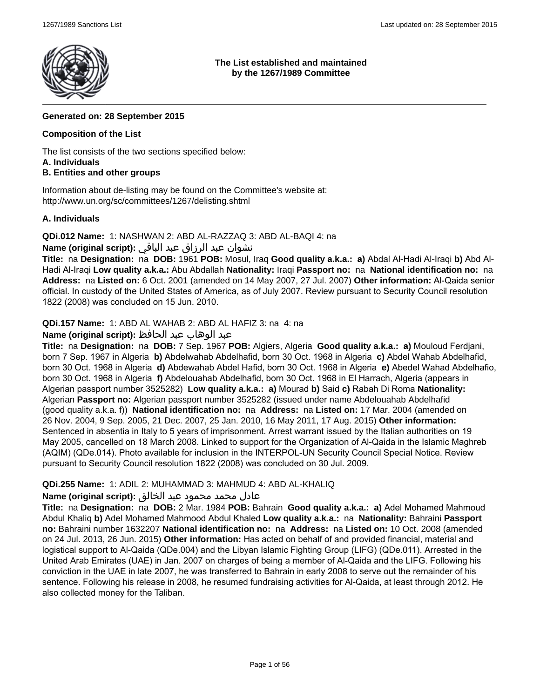

### **The List established and maintained by the 1267/1989 Committee**

# **Generated on: 28 September 2015**

# **Composition of the List**

The list consists of the two sections specified below:

#### **A. Individuals**

# **B. Entities and other groups**

Information about de-listing may be found on the Committee's website at: http://www.un.org/sc/committees/1267/delisting.shtml

### **A. Individuals**

**QDi.012 Name:** 1: NASHWAN 2: ABD AL-RAZZAQ 3: ABD AL-BAQI 4: na

# نشوان عبد الرزاق عبد الباقي **:(script original (Name**

**Title:** na **Designation:** na **DOB:** 1961 **POB:** Mosul, Iraq **Good quality a.k.a.: a)** Abdal Al-Hadi Al-Iraqi **b)** Abd Al-Hadi Al-Iraqi **Low quality a.k.a.:** Abu Abdallah **Nationality:** Iraqi **Passport no:** na **National identification no:** na **Address:** na **Listed on:** 6 Oct. 2001 (amended on 14 May 2007, 27 Jul. 2007) **Other information:** Al-Qaida senior official. In custody of the United States of America, as of July 2007. Review pursuant to Security Council resolution 1822 (2008) was concluded on 15 Jun. 2010.

**QDi.157 Name:** 1: ABD AL WAHAB 2: ABD AL HAFIZ 3: na 4: na

# عبد الوهاب عبد الحافظ **:(script original (Name**

**Title:** na **Designation:** na **DOB:** 7 Sep. 1967 **POB:** Algiers, Algeria **Good quality a.k.a.: a)** Mouloud Ferdjani, born 7 Sep. 1967 in Algeria **b)** Abdelwahab Abdelhafid, born 30 Oct. 1968 in Algeria **c)** Abdel Wahab Abdelhafid, born 30 Oct. 1968 in Algeria **d)** Abdewahab Abdel Hafid, born 30 Oct. 1968 in Algeria **e)** Abedel Wahad Abdelhafio, born 30 Oct. 1968 in Algeria **f)** Abdelouahab Abdelhafid, born 30 Oct. 1968 in El Harrach, Algeria (appears in Algerian passport number 3525282) **Low quality a.k.a.: a)** Mourad **b)** Said **c)** Rabah Di Roma **Nationality:** Algerian **Passport no:** Algerian passport number 3525282 (issued under name Abdelouahab Abdelhafid (good quality a.k.a. f)) **National identification no:** na **Address:** na **Listed on:** 17 Mar. 2004 (amended on 26 Nov. 2004, 9 Sep. 2005, 21 Dec. 2007, 25 Jan. 2010, 16 May 2011, 17 Aug. 2015) **Other information:** Sentenced in absentia in Italy to 5 years of imprisonment. Arrest warrant issued by the Italian authorities on 19 May 2005, cancelled on 18 March 2008. Linked to support for the Organization of Al-Qaida in the Islamic Maghreb (AQIM) (QDe.014). Photo available for inclusion in the INTERPOL-UN Security Council Special Notice. Review pursuant to Security Council resolution 1822 (2008) was concluded on 30 Jul. 2009.

# **QDi.255 Name:** 1: ADIL 2: MUHAMMAD 3: MAHMUD 4: ABD AL-KHALIQ

# عادل محمد محمود عبد الخالق **:(script original (Name**

**Title:** na **Designation:** na **DOB:** 2 Mar. 1984 **POB:** Bahrain **Good quality a.k.a.: a)** Adel Mohamed Mahmoud Abdul Khaliq **b)** Adel Mohamed Mahmood Abdul Khaled **Low quality a.k.a.:** na **Nationality:** Bahraini **Passport no:** Bahraini number 1632207 **National identification no:** na **Address:** na **Listed on:** 10 Oct. 2008 (amended on 24 Jul. 2013, 26 Jun. 2015) **Other information:** Has acted on behalf of and provided financial, material and logistical support to Al-Qaida (QDe.004) and the Libyan Islamic Fighting Group (LIFG) (QDe.011). Arrested in the United Arab Emirates (UAE) in Jan. 2007 on charges of being a member of Al-Qaida and the LIFG. Following his conviction in the UAE in late 2007, he was transferred to Bahrain in early 2008 to serve out the remainder of his sentence. Following his release in 2008, he resumed fundraising activities for Al-Qaida, at least through 2012. He also collected money for the Taliban.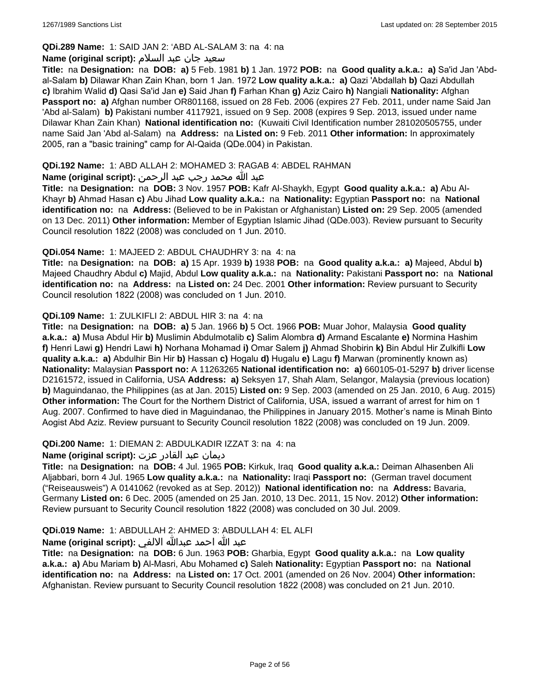# **QDi.289 Name:** 1: SAID JAN 2: 'ABD AL-SALAM 3: na 4: na

### سعید جان عبد السلام **:(script original (Name**

**Title:** na **Designation:** na **DOB: a)** 5 Feb. 1981 **b)** 1 Jan. 1972 **POB:** na **Good quality a.k.a.: a)** Sa'id Jan 'Abdal-Salam **b)** Dilawar Khan Zain Khan, born 1 Jan. 1972 **Low quality a.k.a.: a)** Qazi 'Abdallah **b)** Qazi Abdullah **c)** Ibrahim Walid **d)** Qasi Sa'id Jan **e)** Said Jhan **f)** Farhan Khan **g)** Aziz Cairo **h)** Nangiali **Nationality:** Afghan **Passport no: a)** Afghan number OR801168, issued on 28 Feb. 2006 (expires 27 Feb. 2011, under name Said Jan 'Abd al-Salam) **b)** Pakistani number 4117921, issued on 9 Sep. 2008 (expires 9 Sep. 2013, issued under name Dilawar Khan Zain Khan) **National identification no:** (Kuwaiti Civil Identification number 281020505755, under name Said Jan 'Abd al-Salam) na **Address:** na **Listed on:** 9 Feb. 2011 **Other information:** In approximately 2005, ran a "basic training" camp for Al-Qaida (QDe.004) in Pakistan.

### **QDi.192 Name:** 1: ABD ALLAH 2: MOHAMED 3: RAGAB 4: ABDEL RAHMAN

# عبد الله محمد رجب عبد الرحمن **:(script original (Name**

**Title:** na **Designation:** na **DOB:** 3 Nov. 1957 **POB:** Kafr Al-Shaykh, Egypt **Good quality a.k.a.: a)** Abu Al-Khayr **b)** Ahmad Hasan **c)** Abu Jihad **Low quality a.k.a.:** na **Nationality:** Egyptian **Passport no:** na **National identification no:** na **Address:** (Believed to be in Pakistan or Afghanistan) **Listed on:** 29 Sep. 2005 (amended on 13 Dec. 2011) **Other information:** Member of Egyptian Islamic Jihad (QDe.003). Review pursuant to Security Council resolution 1822 (2008) was concluded on 1 Jun. 2010.

### **QDi.054 Name:** 1: MAJEED 2: ABDUL CHAUDHRY 3: na 4: na

**Title:** na **Designation:** na **DOB: a)** 15 Apr. 1939 **b)** 1938 **POB:** na **Good quality a.k.a.: a)** Majeed, Abdul **b)** Majeed Chaudhry Abdul **c)** Majid, Abdul **Low quality a.k.a.:** na **Nationality:** Pakistani **Passport no:** na **National identification no:** na **Address:** na **Listed on:** 24 Dec. 2001 **Other information:** Review pursuant to Security Council resolution 1822 (2008) was concluded on 1 Jun. 2010.

### **QDi.109 Name:** 1: ZULKIFLI 2: ABDUL HIR 3: na 4: na

**Title:** na **Designation:** na **DOB: a)** 5 Jan. 1966 **b)** 5 Oct. 1966 **POB:** Muar Johor, Malaysia **Good quality a.k.a.: a)** Musa Abdul Hir **b)** Muslimin Abdulmotalib **c)** Salim Alombra **d)** Armand Escalante **e)** Normina Hashim **f)** Henri Lawi **g)** Hendri Lawi **h)** Norhana Mohamad **i)** Omar Salem **j)** Ahmad Shobirin **k)** Bin Abdul Hir Zulkifli **Low quality a.k.a.: a)** Abdulhir Bin Hir **b)** Hassan **c)** Hogalu **d)** Hugalu **e)** Lagu **f)** Marwan (prominently known as) **Nationality:** Malaysian **Passport no:** A 11263265 **National identification no: a)** 660105-01-5297 **b)** driver license D2161572, issued in California, USA **Address: a)** Seksyen 17, Shah Alam, Selangor, Malaysia (previous location) **b)** Maguindanao, the Philippines (as at Jan. 2015) **Listed on:** 9 Sep. 2003 (amended on 25 Jan. 2010, 6 Aug. 2015) **Other information:** The Court for the Northern District of California, USA, issued a warrant of arrest for him on 1 Aug. 2007. Confirmed to have died in Maguindanao, the Philippines in January 2015. Mother's name is Minah Binto Aogist Abd Aziz. Review pursuant to Security Council resolution 1822 (2008) was concluded on 19 Jun. 2009.

# **QDi.200 Name:** 1: DIEMAN 2: ABDULKADIR IZZAT 3: na 4: na

# ديمان عبد القادر عزت **:(script original (Name**

**Title:** na **Designation:** na **DOB:** 4 Jul. 1965 **POB:** Kirkuk, Iraq **Good quality a.k.a.:** Deiman Alhasenben Ali Aljabbari, born 4 Jul. 1965 **Low quality a.k.a.:** na **Nationality:** Iraqi **Passport no:** (German travel document ("Reiseausweis") A 0141062 (revoked as at Sep. 2012)) **National identification no:** na **Address:** Bavaria, Germany **Listed on:** 6 Dec. 2005 (amended on 25 Jan. 2010, 13 Dec. 2011, 15 Nov. 2012) **Other information:** Review pursuant to Security Council resolution 1822 (2008) was concluded on 30 Jul. 2009.

# **QDi.019 Name:** 1: ABDULLAH 2: AHMED 3: ABDULLAH 4: EL ALFI

# عبد الله احمد عبدالله الالفي **:(script original (Name**

**Title:** na **Designation:** na **DOB:** 6 Jun. 1963 **POB:** Gharbia, Egypt **Good quality a.k.a.:** na **Low quality a.k.a.: a)** Abu Mariam **b)** Al-Masri, Abu Mohamed **c)** Saleh **Nationality:** Egyptian **Passport no:** na **National identification no:** na **Address:** na **Listed on:** 17 Oct. 2001 (amended on 26 Nov. 2004) **Other information:** Afghanistan. Review pursuant to Security Council resolution 1822 (2008) was concluded on 21 Jun. 2010.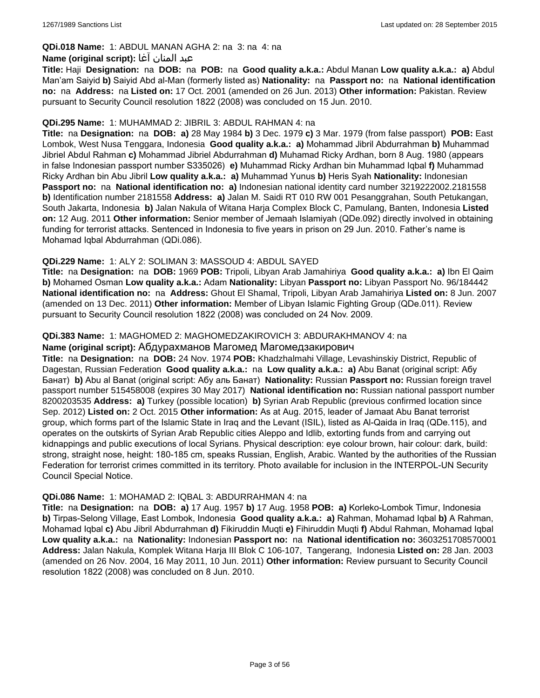# **QDi.018 Name:** 1: ABDUL MANAN AGHA 2: na 3: na 4: na

### عبد المنان آغا **:(script original (Name**

**Title:** Haji **Designation:** na **DOB:** na **POB:** na **Good quality a.k.a.:** Abdul Manan **Low quality a.k.a.: a)** Abdul Man'am Saiyid **b)** Saiyid Abd al-Man (formerly listed as) **Nationality:** na **Passport no:** na **National identification no:** na **Address:** na **Listed on:** 17 Oct. 2001 (amended on 26 Jun. 2013) **Other information:** Pakistan. Review pursuant to Security Council resolution 1822 (2008) was concluded on 15 Jun. 2010.

### **QDi.295 Name:** 1: MUHAMMAD 2: JIBRIL 3: ABDUL RAHMAN 4: na

**Title:** na **Designation:** na **DOB: a)** 28 May 1984 **b)** 3 Dec. 1979 **c)** 3 Mar. 1979 (from false passport) **POB:** East Lombok, West Nusa Tenggara, Indonesia **Good quality a.k.a.: a)** Mohammad Jibril Abdurrahman **b)** Muhammad Jibriel Abdul Rahman **c)** Mohammad Jibriel Abdurrahman **d)** Muhamad Ricky Ardhan, born 8 Aug. 1980 (appears in false Indonesian passport number S335026) **e)** Muhammad Ricky Ardhan bin Muhammad Iqbal **f)** Muhammad Ricky Ardhan bin Abu Jibril **Low quality a.k.a.: a)** Muhammad Yunus **b)** Heris Syah **Nationality:** Indonesian **Passport no:** na **National identification no: a)** Indonesian national identity card number 3219222002.2181558 **b)** Identification number 2181558 **Address: a)** Jalan M. Saidi RT 010 RW 001 Pesanggrahan, South Petukangan, South Jakarta, Indonesia **b)** Jalan Nakula of Witana Harja Complex Block C, Pamulang, Banten, Indonesia **Listed on:** 12 Aug. 2011 **Other information:** Senior member of Jemaah Islamiyah (QDe.092) directly involved in obtaining funding for terrorist attacks. Sentenced in Indonesia to five years in prison on 29 Jun. 2010. Father's name is Mohamad Iqbal Abdurrahman (QDi.086).

# **QDi.229 Name:** 1: ALY 2: SOLIMAN 3: MASSOUD 4: ABDUL SAYED

**Title:** na **Designation:** na **DOB:** 1969 **POB:** Tripoli, Libyan Arab Jamahiriya **Good quality a.k.a.: a)** Ibn El Qaim **b)** Mohamed Osman **Low quality a.k.a.:** Adam **Nationality:** Libyan **Passport no:** Libyan Passport No. 96/184442 **National identification no:** na **Address:** Ghout El Shamal, Tripoli, Libyan Arab Jamahiriya **Listed on:** 8 Jun. 2007 (amended on 13 Dec. 2011) **Other information:** Member of Libyan Islamic Fighting Group (QDe.011). Review pursuant to Security Council resolution 1822 (2008) was concluded on 24 Nov. 2009.

### **QDi.383 Name:** 1: MAGHOMED 2: MAGHOMEDZAKIROVICH 3: ABDURAKHMANOV 4: na

### **Name (original script):** Абдурахманов Магомед Магомедзакирович

**Title:** na **Designation:** na **DOB:** 24 Nov. 1974 **POB:** Khadzhalmahi Village, Levashinskiy District, Republic of Dagestan, Russian Federation **Good quality a.k.a.:** na **Low quality a.k.a.: a)** Abu Banat (original script: Абу Банат) **b)** Abu al Banat (original script: Абу аль Банат) **Nationality:** Russian **Passport no:** Russian foreign travel passport number 515458008 (expires 30 May 2017) **National identification no:** Russian national passport number 8200203535 **Address: a)** Turkey (possible location) **b)** Syrian Arab Republic (previous confirmed location since Sep. 2012) **Listed on:** 2 Oct. 2015 **Other information:** As at Aug. 2015, leader of Jamaat Abu Banat terrorist group, which forms part of the Islamic State in Iraq and the Levant (ISIL), listed as Al-Qaida in Iraq (QDe.115), and operates on the outskirts of Syrian Arab Republic cities Aleppo and Idlib, extorting funds from and carrying out kidnappings and public executions of local Syrians. Physical description: eye colour brown, hair colour: dark, build: strong, straight nose, height: 180-185 cm, speaks Russian, English, Arabic. Wanted by the authorities of the Russian Federation for terrorist crimes committed in its territory. Photo available for inclusion in the INTERPOL-UN Security Council Special Notice.

#### **QDi.086 Name:** 1: MOHAMAD 2: IQBAL 3: ABDURRAHMAN 4: na

**Title:** na **Designation:** na **DOB: a)** 17 Aug. 1957 **b)** 17 Aug. 1958 **POB: a)** Korleko-Lombok Timur, Indonesia **b)** Tirpas-Selong Village, East Lombok, Indonesia **Good quality a.k.a.: a)** Rahman, Mohamad Iqbal **b)** A Rahman, Mohamad Iqbal **c)** Abu Jibril Abdurrahman **d)** Fikiruddin Muqti **e)** Fihiruddin Muqti **f)** Abdul Rahman, Mohamad Iqbal **Low quality a.k.a.:** na **Nationality:** Indonesian **Passport no:** na **National identification no:** 3603251708570001 **Address:** Jalan Nakula, Komplek Witana Harja III Blok C 106-107, Tangerang, Indonesia **Listed on:** 28 Jan. 2003 (amended on 26 Nov. 2004, 16 May 2011, 10 Jun. 2011) **Other information:** Review pursuant to Security Council resolution 1822 (2008) was concluded on 8 Jun. 2010.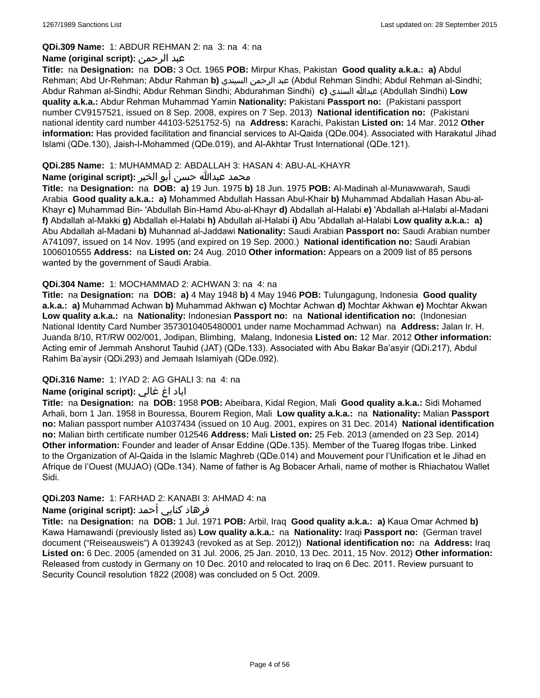#### **QDi.309 Name:** 1: ABDUR REHMAN 2: na 3: na 4: na

# **Name (original script):** الرحمن عبد

**Title:** na **Designation:** na **DOB:** 3 Oct. 1965 **POB:** Mirpur Khas, Pakistan **Good quality a.k.a.: a)** Abdul Rehman; Abd Ur-Rehman; Abdur Rahman **b)** السيندي الرحمن عبد) Abdul Rehman Sindhi; Abdul Rehman al-Sindhi; Abdur Rahman al-Sindhi; Abdur Rehman Sindhi; Abdurahman Sindhi) **c)** السندي عبدالله) Abdullah Sindhi) **Low quality a.k.a.:** Abdur Rehman Muhammad Yamin **Nationality:** Pakistani **Passport no:** (Pakistani passport number CV9157521, issued on 8 Sep. 2008, expires on 7 Sep. 2013) **National identification no:** (Pakistani national identity card number 44103-5251752-5) na **Address:** Karachi, Pakistan **Listed on:** 14 Mar. 2012 **Other information:** Has provided facilitation and financial services to Al-Qaida (QDe.004). Associated with Harakatul Jihad Islami (QDe.130), Jaish-I-Mohammed (QDe.019), and Al-Akhtar Trust International (QDe.121).

### **QDi.285 Name:** 1: MUHAMMAD 2: ABDALLAH 3: HASAN 4: ABU-AL-KHAYR

# محمد عبدالله حسن أبو الخير **:Name (original script**)

**Title:** na **Designation:** na **DOB: a)** 19 Jun. 1975 **b)** 18 Jun. 1975 **POB:** Al-Madinah al-Munawwarah, Saudi Arabia **Good quality a.k.a.: a)** Mohammed Abdullah Hassan Abul-Khair **b)** Muhammad Abdallah Hasan Abu-al-Khayr **c)** Muhammad Bin- 'Abdullah Bin-Hamd Abu-al-Khayr **d)** Abdallah al-Halabi **e)** 'Abdallah al-Halabi al-Madani **f)** Abdallah al-Makki **g)** Abdallah el-Halabi **h)** Abdullah al-Halabi **i)** Abu 'Abdallah al-Halabi **Low quality a.k.a.: a)** Abu Abdallah al-Madani **b)** Muhannad al-Jaddawi **Nationality:** Saudi Arabian **Passport no:** Saudi Arabian number A741097, issued on 14 Nov. 1995 (and expired on 19 Sep. 2000.) **National identification no:** Saudi Arabian 1006010555 **Address:** na **Listed on:** 24 Aug. 2010 **Other information:** Appears on a 2009 list of 85 persons wanted by the government of Saudi Arabia.

### **QDi.304 Name:** 1: MOCHAMMAD 2: ACHWAN 3: na 4: na

**Title:** na **Designation:** na **DOB: a)** 4 May 1948 **b)** 4 May 1946 **POB:** Tulungagung, Indonesia **Good quality a.k.a.: a)** Muhammad Achwan **b)** Muhammad Akhwan **c)** Mochtar Achwan **d)** Mochtar Akhwan **e)** Mochtar Akwan **Low quality a.k.a.:** na **Nationality:** Indonesian **Passport no:** na **National identification no:** (Indonesian National Identity Card Number 3573010405480001 under name Mochammad Achwan) na **Address:** Jalan Ir. H. Juanda 8/10, RT/RW 002/001, Jodipan, Blimbing, Malang, Indonesia **Listed on:** 12 Mar. 2012 **Other information:** Acting emir of Jemmah Anshorut Tauhid (JAT) (QDe.133). Associated with Abu Bakar Ba'asyir (QDi.217), Abdul Rahim Ba'aysir (QDi.293) and Jemaah Islamiyah (QDe.092).

# **QDi.316 Name:** 1: IYAD 2: AG GHALI 3: na 4: na

# اياد اغ غالي **:(script original (Name**

**Title:** na **Designation:** na **DOB:** 1958 **POB:** Abeibara, Kidal Region, Mali **Good quality a.k.a.:** Sidi Mohamed Arhali, born 1 Jan. 1958 in Bouressa, Bourem Region, Mali **Low quality a.k.a.:** na **Nationality:** Malian **Passport no:** Malian passport number A1037434 (issued on 10 Aug. 2001, expires on 31 Dec. 2014) **National identification no:** Malian birth certificate number 012546 **Address:** Mali **Listed on:** 25 Feb. 2013 (amended on 23 Sep. 2014) **Other information:** Founder and leader of Ansar Eddine (QDe.135). Member of the Tuareg Ifogas tribe. Linked to the Organization of Al-Qaida in the Islamic Maghreb (QDe.014) and Mouvement pour l'Unification et le Jihad en Afrique de l'Ouest (MUJAO) (QDe.134). Name of father is Ag Bobacer Arhali, name of mother is Rhiachatou Wallet Sidi.

# **QDi.203 Name:** 1: FARHAD 2: KANABI 3: AHMAD 4: na

# فرهاد كنابي أحمد **:Name (original script)**

**Title:** na **Designation:** na **DOB:** 1 Jul. 1971 **POB:** Arbil, Iraq **Good quality a.k.a.: a)** Kaua Omar Achmed **b)** Kawa Hamawandi (previously listed as) **Low quality a.k.a.:** na **Nationality:** Iraqi **Passport no:** (German travel document ("Reiseausweis") A 0139243 (revoked as at Sep. 2012)) **National identification no:** na **Address:** Iraq **Listed on:** 6 Dec. 2005 (amended on 31 Jul. 2006, 25 Jan. 2010, 13 Dec. 2011, 15 Nov. 2012) **Other information:** Released from custody in Germany on 10 Dec. 2010 and relocated to Iraq on 6 Dec. 2011. Review pursuant to Security Council resolution 1822 (2008) was concluded on 5 Oct. 2009.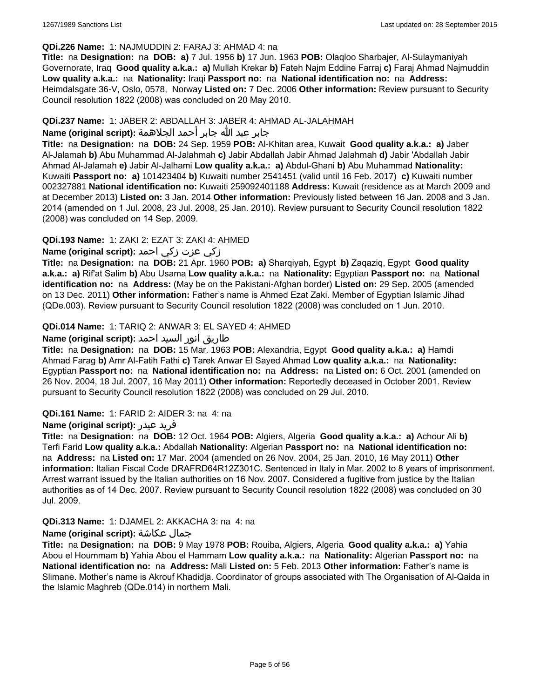#### **QDi.226 Name:** 1: NAJMUDDIN 2: FARAJ 3: AHMAD 4: na

**Title:** na **Designation:** na **DOB: a)** 7 Jul. 1956 **b)** 17 Jun. 1963 **POB:** Olaqloo Sharbajer, Al-Sulaymaniyah Governorate, Iraq **Good quality a.k.a.: a)** Mullah Krekar **b)** Fateh Najm Eddine Farraj **c)** Faraj Ahmad Najmuddin **Low quality a.k.a.:** na **Nationality:** Iraqi **Passport no:** na **National identification no:** na **Address:** Heimdalsgate 36-V, Oslo, 0578, Norway **Listed on:** 7 Dec. 2006 **Other information:** Review pursuant to Security Council resolution 1822 (2008) was concluded on 20 May 2010.

### **QDi.237 Name:** 1: JABER 2: ABDALLAH 3: JABER 4: AHMAD AL-JALAHMAH

### جابر عبد الله جابر أحمد الجلاهمة **:(script original (Name**

**Title:** na **Designation:** na **DOB:** 24 Sep. 1959 **POB:** Al-Khitan area, Kuwait **Good quality a.k.a.: a)** Jaber Al-Jalamah **b)** Abu Muhammad Al-Jalahmah **c)** Jabir Abdallah Jabir Ahmad Jalahmah **d)** Jabir 'Abdallah Jabir Ahmad Al-Jalamah **e)** Jabir Al-Jalhami **Low quality a.k.a.: a)** Abdul-Ghani **b)** Abu Muhammad **Nationality:** Kuwaiti **Passport no: a)** 101423404 **b)** Kuwaiti number 2541451 (valid until 16 Feb. 2017) **c)** Kuwaiti number 002327881 **National identification no:** Kuwaiti 259092401188 **Address:** Kuwait (residence as at March 2009 and at December 2013) **Listed on:** 3 Jan. 2014 **Other information:** Previously listed between 16 Jan. 2008 and 3 Jan. 2014 (amended on 1 Jul. 2008, 23 Jul. 2008, 25 Jan. 2010). Review pursuant to Security Council resolution 1822 (2008) was concluded on 14 Sep. 2009.

# **QDi.193 Name:** 1: ZAKI 2: EZAT 3: ZAKI 4: AHMED

# زكي عزت زكي احمد **:(script original (Name**

**Title:** na **Designation:** na **DOB:** 21 Apr. 1960 **POB: a)** Sharqiyah, Egypt **b)** Zaqaziq, Egypt **Good quality a.k.a.: a)** Rif'at Salim **b)** Abu Usama **Low quality a.k.a.:** na **Nationality:** Egyptian **Passport no:** na **National identification no:** na **Address:** (May be on the Pakistani-Afghan border) **Listed on:** 29 Sep. 2005 (amended on 13 Dec. 2011) **Other information:** Father's name is Ahmed Ezat Zaki. Member of Egyptian Islamic Jihad (QDe.003). Review pursuant to Security Council resolution 1822 (2008) was concluded on 1 Jun. 2010.

# **QDi.014 Name:** 1: TARIQ 2: ANWAR 3: EL SAYED 4: AHMED

# طاريق أنور السيد احمد **:(script original (Name**

**Title:** na **Designation:** na **DOB:** 15 Mar. 1963 **POB:** Alexandria, Egypt **Good quality a.k.a.: a)** Hamdi Ahmad Farag **b)** Amr Al-Fatih Fathi **c)** Tarek Anwar El Sayed Ahmad **Low quality a.k.a.:** na **Nationality:** Egyptian **Passport no:** na **National identification no:** na **Address:** na **Listed on:** 6 Oct. 2001 (amended on 26 Nov. 2004, 18 Jul. 2007, 16 May 2011) **Other information:** Reportedly deceased in October 2001. Review pursuant to Security Council resolution 1822 (2008) was concluded on 29 Jul. 2010.

# **QDi.161 Name:** 1: FARID 2: AIDER 3: na 4: na

# **Name (original script):** عيدر فريد

**Title:** na **Designation:** na **DOB:** 12 Oct. 1964 **POB:** Algiers, Algeria **Good quality a.k.a.: a)** Achour Ali **b)** Terfi Farid **Low quality a.k.a.:** Abdallah **Nationality:** Algerian **Passport no:** na **National identification no:**  na **Address:** na **Listed on:** 17 Mar. 2004 (amended on 26 Nov. 2004, 25 Jan. 2010, 16 May 2011) **Other information:** Italian Fiscal Code DRAFRD64R12Z301C. Sentenced in Italy in Mar. 2002 to 8 years of imprisonment. Arrest warrant issued by the Italian authorities on 16 Nov. 2007. Considered a fugitive from justice by the Italian authorities as of 14 Dec. 2007. Review pursuant to Security Council resolution 1822 (2008) was concluded on 30 Jul. 2009.

# **QDi.313 Name:** 1: DJAMEL 2: AKKACHA 3: na 4: na

# **Name (original script):** عكاشة جمال

**Title:** na **Designation:** na **DOB:** 9 May 1978 **POB:** Rouiba, Algiers, Algeria **Good quality a.k.a.: a)** Yahia Abou el Hoummam **b)** Yahia Abou el Hammam **Low quality a.k.a.:** na **Nationality:** Algerian **Passport no:** na **National identification no:** na **Address:** Mali **Listed on:** 5 Feb. 2013 **Other information:** Father's name is Slimane. Mother's name is Akrouf Khadidja. Coordinator of groups associated with The Organisation of Al-Qaida in the Islamic Maghreb (QDe.014) in northern Mali.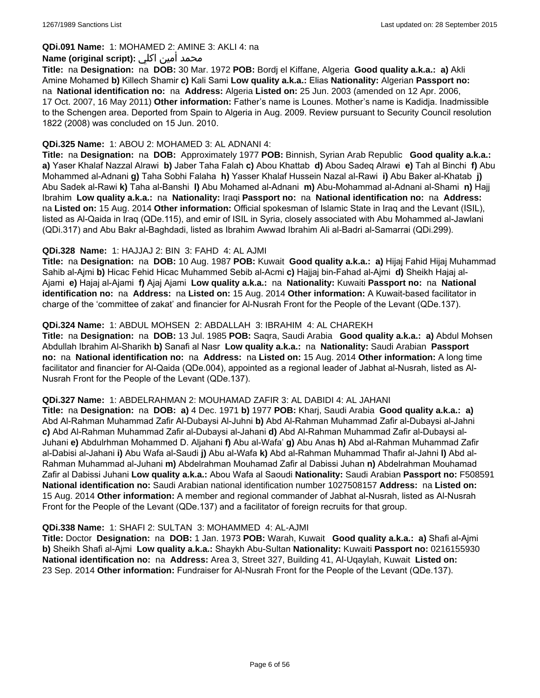### **QDi.091 Name:** 1: MOHAMED 2: AMINE 3: AKLI 4: na

### محمد أمين اكلي :**Name (original script)**

**Title:** na **Designation:** na **DOB:** 30 Mar. 1972 **POB:** Bordj el Kiffane, Algeria **Good quality a.k.a.: a)** Akli Amine Mohamed **b)** Killech Shamir **c)** Kali Sami **Low quality a.k.a.:** Elias **Nationality:** Algerian **Passport no:**  na **National identification no:** na **Address:** Algeria **Listed on:** 25 Jun. 2003 (amended on 12 Apr. 2006, 17 Oct. 2007, 16 May 2011) **Other information:** Father's name is Lounes. Mother's name is Kadidja. Inadmissible to the Schengen area. Deported from Spain to Algeria in Aug. 2009. Review pursuant to Security Council resolution 1822 (2008) was concluded on 15 Jun. 2010.

### **QDi.325 Name:** 1: ABOU 2: MOHAMED 3: AL ADNANI 4:

**Title:** na **Designation:** na **DOB:** Approximately 1977 **POB:** Binnish, Syrian Arab Republic **Good quality a.k.a.: a)** Yaser Khalaf Nazzal Alrawi **b)** Jaber Taha Falah **c)** Abou Khattab **d)** Abou Sadeq Alrawi **e)** Tah al Binchi **f)** Abu Mohammed al-Adnani **g)** Taha Sobhi Falaha **h)** Yasser Khalaf Hussein Nazal al-Rawi **i)** Abu Baker al-Khatab **j)** Abu Sadek al-Rawi **k)** Taha al-Banshi **l)** Abu Mohamed al-Adnani **m)** Abu-Mohammad al-Adnani al-Shami **n)** Hajj Ibrahim **Low quality a.k.a.:** na **Nationality:** Iraqi **Passport no:** na **National identification no:** na **Address:**  na **Listed on:** 15 Aug. 2014 **Other information:** Official spokesman of Islamic State in Iraq and the Levant (ISIL), listed as Al-Qaida in Iraq (QDe.115), and emir of ISIL in Syria, closely associated with Abu Mohammed al-Jawlani (QDi.317) and Abu Bakr al-Baghdadi, listed as Ibrahim Awwad Ibrahim Ali al-Badri al-Samarrai (QDi.299).

### **QDi.328 Name:** 1: HAJJAJ 2: BIN 3: FAHD 4: AL AJMI

**Title:** na **Designation:** na **DOB:** 10 Aug. 1987 **POB:** Kuwait **Good quality a.k.a.: a)** Hijaj Fahid Hijaj Muhammad Sahib al-Ajmi **b)** Hicac Fehid Hicac Muhammed Sebib al-Acmi **c)** Hajjaj bin-Fahad al-Ajmi **d)** Sheikh Hajaj al-Ajami **e)** Hajaj al-Ajami **f)** Ajaj Ajami **Low quality a.k.a.:** na **Nationality:** Kuwaiti **Passport no:** na **National identification no:** na **Address:** na **Listed on:** 15 Aug. 2014 **Other information:** A Kuwait-based facilitator in charge of the 'committee of zakat' and financier for Al-Nusrah Front for the People of the Levant (QDe.137).

### **QDi.324 Name:** 1: ABDUL MOHSEN 2: ABDALLAH 3: IBRAHIM 4: AL CHAREKH

**Title:** na **Designation:** na **DOB:** 13 Jul. 1985 **POB:** Saqra, Saudi Arabia **Good quality a.k.a.: a)** Abdul Mohsen Abdullah Ibrahim Al-Sharikh **b)** Sanafi al Nasr **Low quality a.k.a.:** na **Nationality:** Saudi Arabian **Passport no:** na **National identification no:** na **Address:** na **Listed on:** 15 Aug. 2014 **Other information:** A long time facilitator and financier for Al-Qaida (QDe.004), appointed as a regional leader of Jabhat al-Nusrah, listed as Al-Nusrah Front for the People of the Levant (QDe.137).

#### **QDi.327 Name:** 1: ABDELRAHMAN 2: MOUHAMAD ZAFIR 3: AL DABIDI 4: AL JAHANI

**Title:** na **Designation:** na **DOB: a)** 4 Dec. 1971 **b)** 1977 **POB:** Kharj, Saudi Arabia **Good quality a.k.a.: a)** Abd Al-Rahman Muhammad Zafir Al-Dubaysi Al-Juhni **b)** Abd Al-Rahman Muhammad Zafir al-Dubaysi al-Jahni **c)** Abd Al-Rahman Muhammad Zafir al-Dubaysi al-Jahani **d)** Abd Al-Rahman Muhammad Zafir al-Dubaysi al-Juhani **e)** Abdulrhman Mohammed D. Aljahani **f)** Abu al-Wafa' **g)** Abu Anas **h)** Abd al-Rahman Muhammad Zafir al-Dabisi al-Jahani **i)** Abu Wafa al-Saudi **j)** Abu al-Wafa **k)** Abd al-Rahman Muhammad Thafir al-Jahni **l)** Abd al-Rahman Muhammad al-Juhani **m)** Abdelrahman Mouhamad Zafir al Dabissi Juhan **n)** Abdelrahman Mouhamad Zafir al Dabissi Juhani **Low quality a.k.a.:** Abou Wafa al Saoudi **Nationality:** Saudi Arabian **Passport no:** F508591 **National identification no:** Saudi Arabian national identification number 1027508157 **Address:** na **Listed on:** 15 Aug. 2014 **Other information:** A member and regional commander of Jabhat al-Nusrah, listed as Al-Nusrah Front for the People of the Levant (QDe.137) and a facilitator of foreign recruits for that group.

#### **QDi.338 Name:** 1: SHAFI 2: SULTAN 3: MOHAMMED 4: AL-AJMI

**Title:** Doctor **Designation:** na **DOB:** 1 Jan. 1973 **POB:** Warah, Kuwait **Good quality a.k.a.: a)** Shafi al-Ajmi **b)** Sheikh Shafi al-Ajmi **Low quality a.k.a.:** Shaykh Abu-Sultan **Nationality:** Kuwaiti **Passport no:** 0216155930 **National identification no:** na **Address:** Area 3, Street 327, Building 41, Al-Uqaylah, Kuwait **Listed on:** 23 Sep. 2014 **Other information:** Fundraiser for Al-Nusrah Front for the People of the Levant (QDe.137).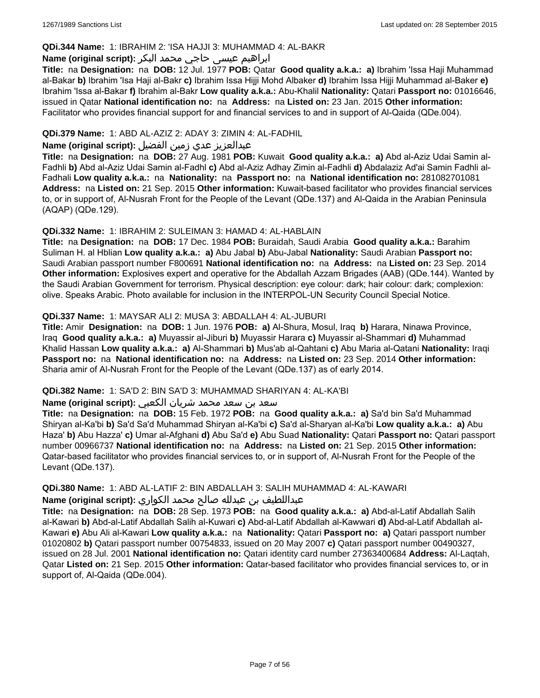### **QDi.344 Name:** 1: IBRAHIM 2: 'ISA HAJJI 3: MUHAMMAD 4: AL-BAKR

# ابراهیم عیسی حاجي محمد البکر **:(script original (Name**

**Title:** na **Designation:** na **DOB:** 12 Jul. 1977 **POB:** Qatar **Good quality a.k.a.: a)** Ibrahim 'Issa Haji Muhammad al-Bakar **b)** Ibrahim 'Isa Haji al-Bakr **c)** Ibrahim Issa Hijji Mohd Albaker **d)** Ibrahim Issa Hijji Muhammad al-Baker **e)** Ibrahim 'Issa al-Bakar **f)** Ibrahim al-Bakr **Low quality a.k.a.:** Abu-Khalil **Nationality:** Qatari **Passport no:** 01016646, issued in Qatar **National identification no:** na **Address:** na **Listed on:** 23 Jan. 2015 **Other information:** Facilitator who provides financial support for and financial services to and in support of Al-Qaida (QDe.004).

# **QDi.379 Name:** 1: ABD AL-AZIZ 2: ADAY 3: ZIMIN 4: AL-FADHIL

# عبدالعزیز عدي زمین الفضیل **:(script original (Name**

**Title:** na **Designation:** na **DOB:** 27 Aug. 1981 **POB:** Kuwait **Good quality a.k.a.: a)** Abd al-Aziz Udai Samin al-Fadhli **b)** Abd al-Aziz Udai Samin al-Fadhl **c)** Abd al-Aziz Adhay Zimin al-Fadhli **d)** Abdalaziz Ad'ai Samin Fadhli al-Fadhali **Low quality a.k.a.:** na **Nationality:** na **Passport no:** na **National identification no:** 281082701081 **Address:** na **Listed on:** 21 Sep. 2015 **Other information:** Kuwait-based facilitator who provides financial services to, or in support of, Al-Nusrah Front for the People of the Levant (QDe.137) and Al-Qaida in the Arabian Peninsula (AQAP) (QDe.129).

### **QDi.332 Name:** 1: IBRAHIM 2: SULEIMAN 3: HAMAD 4: AL-HABLAIN

**Title:** na **Designation:** na **DOB:** 17 Dec. 1984 **POB:** Buraidah, Saudi Arabia **Good quality a.k.a.:** Barahim Suliman H. al Hblian **Low quality a.k.a.: a)** Abu Jabal **b)** Abu-Jabal **Nationality:** Saudi Arabian **Passport no:** Saudi Arabian passport number F800691 **National identification no:** na **Address:** na **Listed on:** 23 Sep. 2014 **Other information:** Explosives expert and operative for the Abdallah Azzam Brigades (AAB) (QDe.144). Wanted by the Saudi Arabian Government for terrorism. Physical description: eye colour: dark; hair colour: dark; complexion: olive. Speaks Arabic. Photo available for inclusion in the INTERPOL-UN Security Council Special Notice.

### **QDi.337 Name:** 1: MAYSAR ALI 2: MUSA 3: ABDALLAH 4: AL-JUBURI

**Title:** Amir **Designation:** na **DOB:** 1 Jun. 1976 **POB: a)** Al-Shura, Mosul, Iraq **b)** Harara, Ninawa Province, Iraq **Good quality a.k.a.: a)** Muyassir al-Jiburi **b)** Muyassir Harara **c)** Muyassir al-Shammari **d)** Muhammad Khalid Hassan **Low quality a.k.a.: a)** Al-Shammari **b)** Mus'ab al-Qahtani **c)** Abu Maria al-Qatani **Nationality:** Iraqi **Passport no:** na **National identification no:** na **Address:** na **Listed on:** 23 Sep. 2014 **Other information:** Sharia amir of Al-Nusrah Front for the People of the Levant (QDe.137) as of early 2014.

#### **QDi.382 Name:** 1: SA'D 2: BIN SA'D 3: MUHAMMAD SHARIYAN 4: AL-KA'BI

#### سعد بن سعد محمد شریان الكعبي **:(script original (Name**

**Title:** na **Designation:** na **DOB:** 15 Feb. 1972 **POB:** na **Good quality a.k.a.: a)** Sa'd bin Sa'd Muhammad Shiryan al-Ka'bi **b)** Sa'd Sa'd Muhammad Shiryan al-Ka'bi **c)** Sa'd al-Sharyan al-Ka'bi **Low quality a.k.a.: a)** Abu Haza' **b)** Abu Hazza' **c)** Umar al-Afghani **d)** Abu Sa'd **e)** Abu Suad **Nationality:** Qatari **Passport no:** Qatari passport number 00966737 **National identification no:** na **Address:** na **Listed on:** 21 Sep. 2015 **Other information:** Qatar-based facilitator who provides financial services to, or in support of, Al-Nusrah Front for the People of the Levant (QDe.137).

# **QDi.380 Name:** 1: ABD AL-LATIF 2: BIN ABDALLAH 3: SALIH MUHAMMAD 4: AL-KAWARI

عبداللطیف بن عبدلله صالح محمد الكواري **:(script original (Name**

**Title:** na **Designation:** na **DOB:** 28 Sep. 1973 **POB:** na **Good quality a.k.a.: a)** Abd-al-Latif Abdallah Salih al-Kawari **b)** Abd-al-Latif Abdallah Salih al-Kuwari **c)** Abd-al-Latif Abdallah al-Kawwari **d)** Abd-al-Latif Abdallah al-Kawari **e)** Abu Ali al-Kawari **Low quality a.k.a.:** na **Nationality:** Qatari **Passport no: a)** Qatari passport number 01020802 **b)** Qatari passport number 00754833, issued on 20 May 2007 **c)** Qatari passport number 00490327, issued on 28 Jul. 2001 **National identification no:** Qatari identity card number 27363400684 **Address:** Al-Laqtah, Qatar **Listed on:** 21 Sep. 2015 **Other information:** Qatar-based facilitator who provides financial services to, or in support of, Al-Qaida (QDe.004).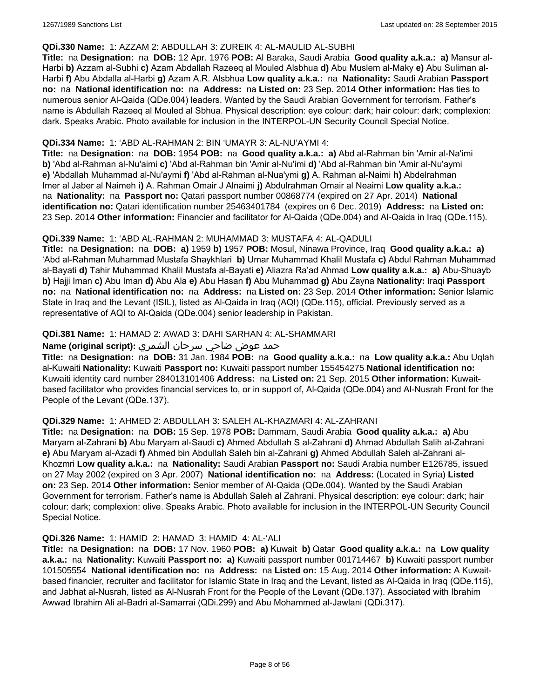#### **QDi.330 Name:** 1: AZZAM 2: ABDULLAH 3: ZUREIK 4: AL-MAULID AL-SUBHI

**Title:** na **Designation:** na **DOB:** 12 Apr. 1976 **POB:** Al Baraka, Saudi Arabia **Good quality a.k.a.: a)** Mansur al-Harbi **b)** Azzam al-Subhi **c)** Azam Abdallah Razeeq al Mouled Alsbhua **d)** Abu Muslem al-Maky **e)** Abu Suliman al-Harbi **f)** Abu Abdalla al-Harbi **g)** Azam A.R. Alsbhua **Low quality a.k.a.:** na **Nationality:** Saudi Arabian **Passport no:** na **National identification no:** na **Address:** na **Listed on:** 23 Sep. 2014 **Other information:** Has ties to numerous senior Al-Qaida (QDe.004) leaders. Wanted by the Saudi Arabian Government for terrorism. Father's name is Abdullah Razeeq al Mouled al Sbhua. Physical description: eye colour: dark; hair colour: dark; complexion: dark. Speaks Arabic. Photo available for inclusion in the INTERPOL-UN Security Council Special Notice.

### **QDi.334 Name:** 1: 'ABD AL-RAHMAN 2: BIN 'UMAYR 3: AL-NU'AYMI 4:

**Title:** na **Designation:** na **DOB:** 1954 **POB:** na **Good quality a.k.a.: a)** Abd al-Rahman bin 'Amir al-Na'imi **b)** 'Abd al-Rahman al-Nu'aimi **c)** 'Abd al-Rahman bin 'Amir al-Nu'imi **d)** 'Abd al-Rahman bin 'Amir al-Nu'aymi **e)** 'Abdallah Muhammad al-Nu'aymi **f)** 'Abd al-Rahman al-Nua'ymi **g)** A. Rahman al-Naimi **h)** Abdelrahman Imer al Jaber al Naimeh **i)** A. Rahman Omair J Alnaimi **j)** Abdulrahman Omair al Neaimi **Low quality a.k.a.:**  na **Nationality:** na **Passport no:** Qatari passport number 00868774 (expired on 27 Apr. 2014) **National identification no:** Qatari identification number 25463401784 (expires on 6 Dec. 2019) **Address:** na **Listed on:** 23 Sep. 2014 **Other information:** Financier and facilitator for Al-Qaida (QDe.004) and Al-Qaida in Iraq (QDe.115).

# **QDi.339 Name:** 1: 'ABD AL-RAHMAN 2: MUHAMMAD 3: MUSTAFA 4: AL-QADULI

**Title:** na **Designation:** na **DOB: a)** 1959 **b)** 1957 **POB:** Mosul, Ninawa Province, Iraq **Good quality a.k.a.: a)** 'Abd al-Rahman Muhammad Mustafa Shaykhlari **b)** Umar Muhammad Khalil Mustafa **c)** Abdul Rahman Muhammad al-Bayati **d)** Tahir Muhammad Khalil Mustafa al-Bayati **e)** Aliazra Ra'ad Ahmad **Low quality a.k.a.: a)** Abu-Shuayb **b)** Hajji Iman **c)** Abu Iman **d)** Abu Ala **e)** Abu Hasan **f)** Abu Muhammad **g)** Abu Zayna **Nationality:** Iraqi **Passport no:** na **National identification no:** na **Address:** na **Listed on:** 23 Sep. 2014 **Other information:** Senior Islamic State in Iraq and the Levant (ISIL), listed as Al-Qaida in Iraq (AQI) (QDe.115), official. Previously served as a representative of AQI to Al-Qaida (QDe.004) senior leadership in Pakistan.

# **QDi.381 Name:** 1: HAMAD 2: AWAD 3: DAHI SARHAN 4: AL-SHAMMARI

#### حمد عوض ضاحي سرحان الشمري **:(script original (Name**

**Title:** na **Designation:** na **DOB:** 31 Jan. 1984 **POB:** na **Good quality a.k.a.:** na **Low quality a.k.a.:** Abu Uqlah al-Kuwaiti **Nationality:** Kuwaiti **Passport no:** Kuwaiti passport number 155454275 **National identification no:** Kuwaiti identity card number 284013101406 **Address:** na **Listed on:** 21 Sep. 2015 **Other information:** Kuwaitbased facilitator who provides financial services to, or in support of, Al-Qaida (QDe.004) and Al-Nusrah Front for the People of the Levant (QDe.137).

#### **QDi.329 Name:** 1: AHMED 2: ABDULLAH 3: SALEH AL-KHAZMARI 4: AL-ZAHRANI

**Title:** na **Designation:** na **DOB:** 15 Sep. 1978 **POB:** Dammam, Saudi Arabia **Good quality a.k.a.: a)** Abu Maryam al-Zahrani **b)** Abu Maryam al-Saudi **c)** Ahmed Abdullah S al-Zahrani **d)** Ahmad Abdullah Salih al-Zahrani **e)** Abu Maryam al-Azadi **f)** Ahmed bin Abdullah Saleh bin al-Zahrani **g)** Ahmed Abdullah Saleh al-Zahrani al-Khozmri **Low quality a.k.a.:** na **Nationality:** Saudi Arabian **Passport no:** Saudi Arabia number E126785, issued on 27 May 2002 (expired on 3 Apr. 2007) **National identification no:** na **Address:** (Located in Syria) **Listed on:** 23 Sep. 2014 **Other information:** Senior member of Al-Qaida (QDe.004). Wanted by the Saudi Arabian Government for terrorism. Father's name is Abdullah Saleh al Zahrani. Physical description: eye colour: dark; hair colour: dark; complexion: olive. Speaks Arabic. Photo available for inclusion in the INTERPOL-UN Security Council Special Notice.

#### **QDi.326 Name:** 1: HAMID 2: HAMAD 3: HAMID 4: AL-'ALI

**Title:** na **Designation:** na **DOB:** 17 Nov. 1960 **POB: a)** Kuwait **b)** Qatar **Good quality a.k.a.:** na **Low quality a.k.a.:** na **Nationality:** Kuwaiti **Passport no: a)** Kuwaiti passport number 001714467 **b)** Kuwaiti passport number 101505554 **National identification no:** na **Address:** na **Listed on:** 15 Aug. 2014 **Other information:** A Kuwaitbased financier, recruiter and facilitator for Islamic State in Iraq and the Levant, listed as Al-Qaida in Iraq (QDe.115), and Jabhat al-Nusrah, listed as Al-Nusrah Front for the People of the Levant (QDe.137). Associated with Ibrahim Awwad Ibrahim Ali al-Badri al-Samarrai (QDi.299) and Abu Mohammed al-Jawlani (QDi.317).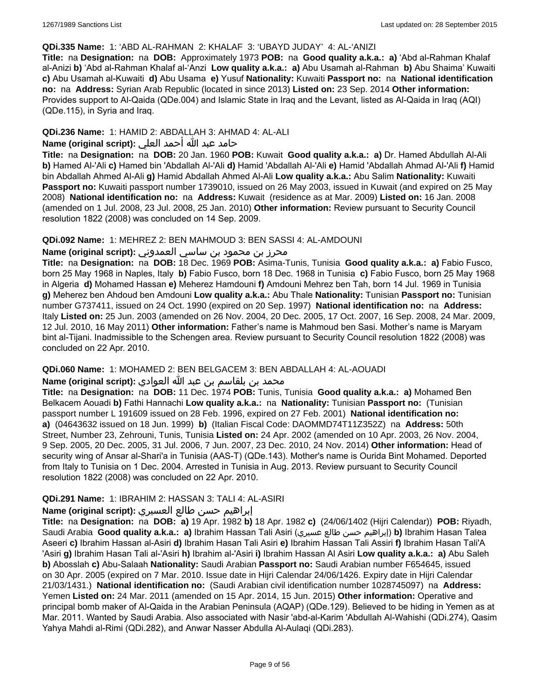#### **QDi.335 Name:** 1: 'ABD AL-RAHMAN 2: KHALAF 3: 'UBAYD JUDAY' 4: AL-'ANIZI

**Title:** na **Designation:** na **DOB:** Approximately 1973 **POB:** na **Good quality a.k.a.: a)** 'Abd al-Rahman Khalaf al-Anizi **b)** 'Abd al-Rahman Khalaf al-'Anzi **Low quality a.k.a.: a)** Abu Usamah al-Rahman **b)** Abu Shaima' Kuwaiti **c)** Abu Usamah al-Kuwaiti **d)** Abu Usama **e)** Yusuf **Nationality:** Kuwaiti **Passport no:** na **National identification no:** na **Address:** Syrian Arab Republic (located in since 2013) **Listed on:** 23 Sep. 2014 **Other information:** Provides support to Al-Qaida (QDe.004) and Islamic State in Iraq and the Levant, listed as Al-Qaida in Iraq (AQI) (QDe.115), in Syria and Iraq.

### **QDi.236 Name:** 1: HAMID 2: ABDALLAH 3: AHMAD 4: AL-ALI

# حامد عبد الله أحمد العلي **:(script original (Name**

**Title:** na **Designation:** na **DOB:** 20 Jan. 1960 **POB:** Kuwait **Good quality a.k.a.: a)** Dr. Hamed Abdullah Al-Ali **b)** Hamed Al-'Ali **c)** Hamed bin 'Abdallah Al-'Ali **d)** Hamid 'Abdallah Al-'Ali **e)** Hamid 'Abdallah Ahmad Al-'Ali **f)** Hamid bin Abdallah Ahmed Al-Ali **g)** Hamid Abdallah Ahmed Al-Ali **Low quality a.k.a.:** Abu Salim **Nationality:** Kuwaiti **Passport no:** Kuwaiti passport number 1739010, issued on 26 May 2003, issued in Kuwait (and expired on 25 May 2008) **National identification no:** na **Address:** Kuwait (residence as at Mar. 2009) **Listed on:** 16 Jan. 2008 (amended on 1 Jul. 2008, 23 Jul. 2008, 25 Jan. 2010) **Other information:** Review pursuant to Security Council resolution 1822 (2008) was concluded on 14 Sep. 2009.

### **QDi.092 Name:** 1: MEHREZ 2: BEN MAHMOUD 3: BEN SASSI 4: AL-AMDOUNI

# محرز بن محمود بن ساسي العمدوني **:Name (original script**)

**Title:** na **Designation:** na **DOB:** 18 Dec. 1969 **POB:** Asima-Tunis, Tunisia **Good quality a.k.a.: a)** Fabio Fusco, born 25 May 1968 in Naples, Italy **b)** Fabio Fusco, born 18 Dec. 1968 in Tunisia **c)** Fabio Fusco, born 25 May 1968 in Algeria **d)** Mohamed Hassan **e)** Meherez Hamdouni **f)** Amdouni Mehrez ben Tah, born 14 Jul. 1969 in Tunisia **g)** Meherez ben Ahdoud ben Amdouni **Low quality a.k.a.:** Abu Thale **Nationality:** Tunisian **Passport no:** Tunisian number G737411, issued on 24 Oct. 1990 (expired on 20 Sep. 1997) **National identification no:** na **Address:** Italy **Listed on:** 25 Jun. 2003 (amended on 26 Nov. 2004, 20 Dec. 2005, 17 Oct. 2007, 16 Sep. 2008, 24 Mar. 2009, 12 Jul. 2010, 16 May 2011) **Other information:** Father's name is Mahmoud ben Sasi. Mother's name is Maryam bint al-Tijani. Inadmissible to the Schengen area. Review pursuant to Security Council resolution 1822 (2008) was concluded on 22 Apr. 2010.

#### **QDi.060 Name:** 1: MOHAMED 2: BEN BELGACEM 3: BEN ABDALLAH 4: AL-AOUADI

# محمد بن بلقاسم بن عبد الله العوادي **:Name (original script**)

**Title:** na **Designation:** na **DOB:** 11 Dec. 1974 **POB:** Tunis, Tunisia **Good quality a.k.a.: a)** Mohamed Ben Belkacem Aouadi **b)** Fathi Hannachi **Low quality a.k.a.:** na **Nationality:** Tunisian **Passport no:** (Tunisian passport number L 191609 issued on 28 Feb. 1996, expired on 27 Feb. 2001) **National identification no: a)** (04643632 issued on 18 Jun. 1999) **b)** (Italian Fiscal Code: DAOMMD74T11Z352Z) na **Address:** 50th Street, Number 23, Zehrouni, Tunis, Tunisia **Listed on:** 24 Apr. 2002 (amended on 10 Apr. 2003, 26 Nov. 2004, 9 Sep. 2005, 20 Dec. 2005, 31 Jul. 2006, 7 Jun. 2007, 23 Dec. 2010, 24 Nov. 2014) **Other information:** Head of security wing of Ansar al-Shari'a in Tunisia (AAS-T) (QDe.143). Mother's name is Ourida Bint Mohamed. Deported from Italy to Tunisia on 1 Dec. 2004. Arrested in Tunisia in Aug. 2013. Review pursuant to Security Council resolution 1822 (2008) was concluded on 22 Apr. 2010.

# **QDi.291 Name:** 1: IBRAHIM 2: HASSAN 3: TALI 4: AL-ASIRI

#### إبراهيم حسن طالع العسيري **:(script original (Name**

**Title:** na **Designation:** na **DOB: a)** 19 Apr. 1982 **b)** 18 Apr. 1982 **c)** (24/06/1402 (Hijri Calendar)) **POB:** Riyadh, Saudi Arabia **Good quality a.k.a.: a)** Ibrahim Hassan Tali Asiri (عسيري طالع حسن إبراهيم(**b)** Ibrahim Hasan Talea Aseeri **c)** Ibrahim Hassan al-Asiri **d)** Ibrahim Hasan Tali Asiri **e)** Ibrahim Hassan Tali Assiri **f)** Ibrahim Hasan Tali'A 'Asiri **g)** Ibrahim Hasan Tali al-'Asiri **h)** Ibrahim al-'Asiri **i)** Ibrahim Hassan Al Asiri **Low quality a.k.a.: a)** Abu Saleh **b)** Abosslah **c)** Abu-Salaah **Nationality:** Saudi Arabian **Passport no:** Saudi Arabian number F654645, issued on 30 Apr. 2005 (expired on 7 Mar. 2010. Issue date in Hijri Calendar 24/06/1426. Expiry date in Hijri Calendar 21/03/1431.) **National identification no:** (Saudi Arabian civil identification number 1028745097) na **Address:** Yemen **Listed on:** 24 Mar. 2011 (amended on 15 Apr. 2014, 15 Jun. 2015) **Other information:** Operative and principal bomb maker of Al-Qaida in the Arabian Peninsula (AQAP) (QDe.129). Believed to be hiding in Yemen as at Mar. 2011. Wanted by Saudi Arabia. Also associated with Nasir 'abd-al-Karim 'Abdullah Al-Wahishi (QDi.274), Qasim Yahya Mahdi al-Rimi (QDi.282), and Anwar Nasser Abdulla Al-Aulaqi (QDi.283).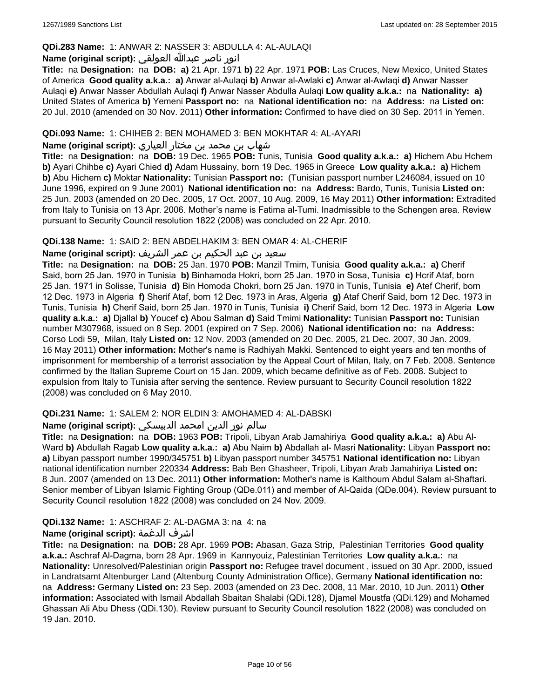# **QDi.283 Name:** 1: ANWAR 2: NASSER 3: ABDULLA 4: AL-AULAQI

# انور ناصر عبدالله العولقي **:(script original (Name**

**Title:** na **Designation:** na **DOB: a)** 21 Apr. 1971 **b)** 22 Apr. 1971 **POB:** Las Cruces, New Mexico, United States of America **Good quality a.k.a.: a)** Anwar al-Aulaqi **b)** Anwar al-Awlaki **c)** Anwar al-Awlaqi **d)** Anwar Nasser Aulaqi **e)** Anwar Nasser Abdullah Aulaqi **f)** Anwar Nasser Abdulla Aulaqi **Low quality a.k.a.:** na **Nationality: a)** United States of America **b)** Yemeni **Passport no:** na **National identification no:** na **Address:** na **Listed on:** 20 Jul. 2010 (amended on 30 Nov. 2011) **Other information:** Confirmed to have died on 30 Sep. 2011 in Yemen.

### **QDi.093 Name:** 1: CHIHEB 2: BEN MOHAMED 3: BEN MOKHTAR 4: AL-AYARI

شهاب بن محمد بن مختار العياري **:(script original (Name**

**Title:** na **Designation:** na **DOB:** 19 Dec. 1965 **POB:** Tunis, Tunisia **Good quality a.k.a.: a)** Hichem Abu Hchem **b)** Ayari Chihbe **c)** Ayari Chied **d)** Adam Hussainy, born 19 Dec. 1965 in Greece **Low quality a.k.a.: a)** Hichem **b)** Abu Hichem **c)** Moktar **Nationality:** Tunisian **Passport no:** (Tunisian passport number L246084, issued on 10 June 1996, expired on 9 June 2001) **National identification no:** na **Address:** Bardo, Tunis, Tunisia **Listed on:** 25 Jun. 2003 (amended on 20 Dec. 2005, 17 Oct. 2007, 10 Aug. 2009, 16 May 2011) **Other information:** Extradited from Italy to Tunisia on 13 Apr. 2006. Mother's name is Fatima al-Tumi. Inadmissible to the Schengen area. Review pursuant to Security Council resolution 1822 (2008) was concluded on 22 Apr. 2010.

#### **QDi.138 Name:** 1: SAID 2: BEN ABDELHAKIM 3: BEN OMAR 4: AL-CHERIF

### سعيد بن عبد الحكيم بن عمر الشريف **:(script original (Name**

**Title:** na **Designation:** na **DOB:** 25 Jan. 1970 **POB:** Manzil Tmim, Tunisia **Good quality a.k.a.: a)** Cherif Said, born 25 Jan. 1970 in Tunisia **b)** Binhamoda Hokri, born 25 Jan. 1970 in Sosa, Tunisia **c)** Hcrif Ataf, born 25 Jan. 1971 in Solisse, Tunisia **d)** Bin Homoda Chokri, born 25 Jan. 1970 in Tunis, Tunisia **e)** Atef Cherif, born 12 Dec. 1973 in Algeria **f)** Sherif Ataf, born 12 Dec. 1973 in Aras, Algeria **g)** Ataf Cherif Said, born 12 Dec. 1973 in Tunis, Tunisia **h)** Cherif Said, born 25 Jan. 1970 in Tunis, Tunisia **i)** Cherif Said, born 12 Dec. 1973 in Algeria **Low quality a.k.a.: a)** Djallal **b)** Youcef **c)** Abou Salman **d)** Said Tmimi **Nationality:** Tunisian **Passport no:** Tunisian number M307968, issued on 8 Sep. 2001 (expired on 7 Sep. 2006) **National identification no:** na **Address:** Corso Lodi 59, Milan, Italy **Listed on:** 12 Nov. 2003 (amended on 20 Dec. 2005, 21 Dec. 2007, 30 Jan. 2009, 16 May 2011) **Other information:** Mother's name is Radhiyah Makki. Sentenced to eight years and ten months of imprisonment for membership of a terrorist association by the Appeal Court of Milan, Italy, on 7 Feb. 2008. Sentence confirmed by the Italian Supreme Court on 15 Jan. 2009, which became definitive as of Feb. 2008. Subject to expulsion from Italy to Tunisia after serving the sentence. Review pursuant to Security Council resolution 1822 (2008) was concluded on 6 May 2010.

# **QDi.231 Name:** 1: SALEM 2: NOR ELDIN 3: AMOHAMED 4: AL-DABSKI

# سالم نور الدين امحمد الدبيسكي **:Name (original script)**

**Title:** na **Designation:** na **DOB:** 1963 **POB:** Tripoli, Libyan Arab Jamahiriya **Good quality a.k.a.: a)** Abu Al-Ward **b)** Abdullah Ragab **Low quality a.k.a.: a)** Abu Naim **b)** Abdallah al- Masri **Nationality:** Libyan **Passport no: a)** Libyan passport number 1990/345751 **b)** Libyan passport number 345751 **National identification no:** Libyan national identification number 220334 **Address:** Bab Ben Ghasheer, Tripoli, Libyan Arab Jamahiriya **Listed on:** 8 Jun. 2007 (amended on 13 Dec. 2011) **Other information:** Mother's name is Kalthoum Abdul Salam al-Shaftari. Senior member of Libyan Islamic Fighting Group (QDe.011) and member of Al-Qaida (QDe.004). Review pursuant to Security Council resolution 1822 (2008) was concluded on 24 Nov. 2009.

# **QDi.132 Name:** 1: ASCHRAF 2: AL-DAGMA 3: na 4: na

# **Name (original script):** الدغمة اشرف

**Title:** na **Designation:** na **DOB:** 28 Apr. 1969 **POB:** Abasan, Gaza Strip, Palestinian Territories **Good quality a.k.a.:** Aschraf Al-Dagma, born 28 Apr. 1969 in Kannyouiz, Palestinian Territories **Low quality a.k.a.:** na **Nationality:** Unresolved/Palestinian origin **Passport no:** Refugee travel document , issued on 30 Apr. 2000, issued in Landratsamt Altenburger Land (Altenburg County Administration Office), Germany **National identification no:**  na **Address:** Germany **Listed on:** 23 Sep. 2003 (amended on 23 Dec. 2008, 11 Mar. 2010, 10 Jun. 2011) **Other information:** Associated with Ismail Abdallah Sbaitan Shalabi (QDi.128), Djamel Moustfa (QDi.129) and Mohamed Ghassan Ali Abu Dhess (QDi.130). Review pursuant to Security Council resolution 1822 (2008) was concluded on 19 Jan. 2010.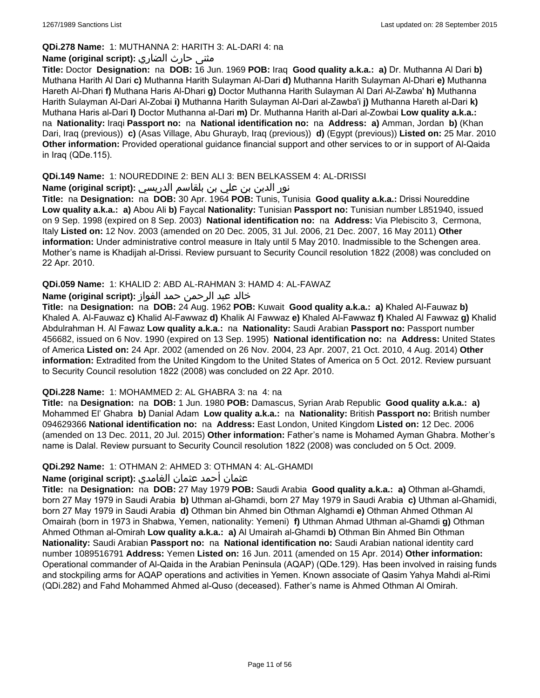# **QDi.278 Name:** 1: MUTHANNA 2: HARITH 3: AL-DARI 4: na

# مثنى حارث الضاري **:(script original (Name**

**Title:** Doctor **Designation:** na **DOB:** 16 Jun. 1969 **POB:** Iraq **Good quality a.k.a.: a)** Dr. Muthanna Al Dari **b)** Muthana Harith Al Dari **c)** Muthanna Harith Sulayman Al-Dari **d)** Muthanna Harith Sulayman Al-Dhari **e)** Muthanna Hareth Al-Dhari **f)** Muthana Haris Al-Dhari **g)** Doctor Muthanna Harith Sulayman Al Dari Al-Zawba' **h)** Muthanna Harith Sulayman Al-Dari Al-Zobai **i)** Muthanna Harith Sulayman Al-Dari al-Zawba'i **j)** Muthanna Hareth al-Dari **k)** Muthana Haris al-Dari **l)** Doctor Muthanna al-Dari **m)** Dr. Muthanna Harith al-Dari al-Zowbai **Low quality a.k.a.:**  na **Nationality:** Iraqi **Passport no:** na **National identification no:** na **Address: a)** Amman, Jordan **b)** (Khan Dari, Iraq (previous)) **c)** (Asas Village, Abu Ghurayb, Iraq (previous)) **d)** (Egypt (previous)) **Listed on:** 25 Mar. 2010 **Other information:** Provided operational guidance financial support and other services to or in support of Al-Qaida in Iraq (QDe.115).

# **QDi.149 Name:** 1: NOUREDDINE 2: BEN ALI 3: BEN BELKASSEM 4: AL-DRISSI

نور الدين بن علي بن بلقاسم الدريسي **:(script original (Name**

**Title:** na **Designation:** na **DOB:** 30 Apr. 1964 **POB:** Tunis, Tunisia **Good quality a.k.a.:** Drissi Noureddine **Low quality a.k.a.: a)** Abou Ali **b)** Faycal **Nationality:** Tunisian **Passport no:** Tunisian number L851940, issued on 9 Sep. 1998 (expired on 8 Sep. 2003) **National identification no:** na **Address:** Via Plebiscito 3, Cermona, Italy **Listed on:** 12 Nov. 2003 (amended on 20 Dec. 2005, 31 Jul. 2006, 21 Dec. 2007, 16 May 2011) **Other information:** Under administrative control measure in Italy until 5 May 2010. Inadmissible to the Schengen area. Mother's name is Khadijah al-Drissi. Review pursuant to Security Council resolution 1822 (2008) was concluded on 22 Apr. 2010.

# **QDi.059 Name:** 1: KHALID 2: ABD AL-RAHMAN 3: HAMD 4: AL-FAWAZ

# خالد عبد الرحمن حمد الفواز **:(script original (Name**

**Title:** na **Designation:** na **DOB:** 24 Aug. 1962 **POB:** Kuwait **Good quality a.k.a.: a)** Khaled Al-Fauwaz **b)** Khaled A. Al-Fauwaz **c)** Khalid Al-Fawwaz **d)** Khalik Al Fawwaz **e)** Khaled Al-Fawwaz **f)** Khaled Al Fawwaz **g)** Khalid Abdulrahman H. Al Fawaz **Low quality a.k.a.:** na **Nationality:** Saudi Arabian **Passport no:** Passport number 456682, issued on 6 Nov. 1990 (expired on 13 Sep. 1995) **National identification no:** na **Address:** United States of America **Listed on:** 24 Apr. 2002 (amended on 26 Nov. 2004, 23 Apr. 2007, 21 Oct. 2010, 4 Aug. 2014) **Other information:** Extradited from the United Kingdom to the United States of America on 5 Oct. 2012. Review pursuant to Security Council resolution 1822 (2008) was concluded on 22 Apr. 2010.

# **QDi.228 Name:** 1: MOHAMMED 2: AL GHABRA 3: na 4: na

**Title:** na **Designation:** na **DOB:** 1 Jun. 1980 **POB:** Damascus, Syrian Arab Republic **Good quality a.k.a.: a)** Mohammed El' Ghabra **b)** Danial Adam **Low quality a.k.a.:** na **Nationality:** British **Passport no:** British number 094629366 **National identification no:** na **Address:** East London, United Kingdom **Listed on:** 12 Dec. 2006 (amended on 13 Dec. 2011, 20 Jul. 2015) **Other information:** Father's name is Mohamed Ayman Ghabra. Mother's name is Dalal. Review pursuant to Security Council resolution 1822 (2008) was concluded on 5 Oct. 2009.

# **QDi.292 Name:** 1: OTHMAN 2: AHMED 3: OTHMAN 4: AL-GHAMDI

# عثمان أحمد عثمان الغامدي **:(script original (Name**

**Title:** na **Designation:** na **DOB:** 27 May 1979 **POB:** Saudi Arabia **Good quality a.k.a.: a)** Othman al-Ghamdi, born 27 May 1979 in Saudi Arabia **b)** Uthman al-Ghamdi, born 27 May 1979 in Saudi Arabia **c)** Uthman al-Ghamidi, born 27 May 1979 in Saudi Arabia **d)** Othman bin Ahmed bin Othman Alghamdi **e)** Othman Ahmed Othman Al Omairah (born in 1973 in Shabwa, Yemen, nationality: Yemeni) **f)** Uthman Ahmad Uthman al-Ghamdi **g)** Othman Ahmed Othman al-Omirah **Low quality a.k.a.: a)** Al Umairah al-Ghamdi **b)** Othman Bin Ahmed Bin Othman **Nationality:** Saudi Arabian **Passport no:** na **National identification no:** Saudi Arabian national identity card number 1089516791 **Address:** Yemen **Listed on:** 16 Jun. 2011 (amended on 15 Apr. 2014) **Other information:** Operational commander of Al-Qaida in the Arabian Peninsula (AQAP) (QDe.129). Has been involved in raising funds and stockpiling arms for AQAP operations and activities in Yemen. Known associate of Qasim Yahya Mahdi al-Rimi (QDi.282) and Fahd Mohammed Ahmed al-Quso (deceased). Father's name is Ahmed Othman Al Omirah.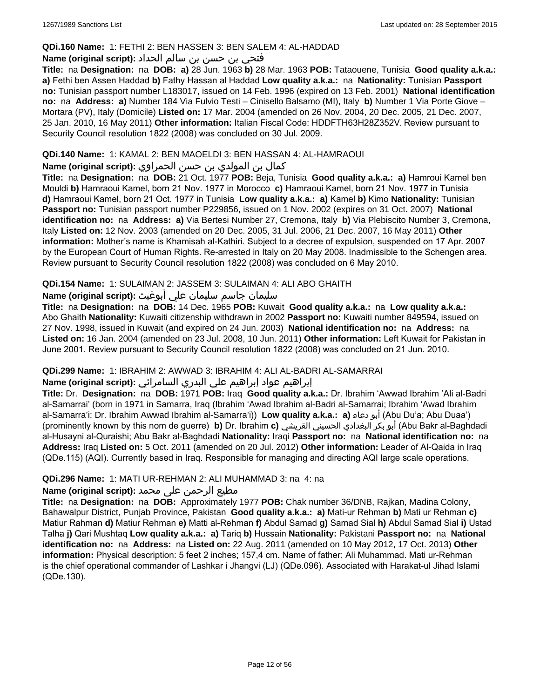### **QDi.160 Name:** 1: FETHI 2: BEN HASSEN 3: BEN SALEM 4: AL-HADDAD

# فتحي بن حسن بن سالم الحداد **:(script original (Name**

**Title:** na **Designation:** na **DOB: a)** 28 Jun. 1963 **b)** 28 Mar. 1963 **POB:** Tataouene, Tunisia **Good quality a.k.a.: a)** Fethi ben Assen Haddad **b)** Fathy Hassan al Haddad **Low quality a.k.a.:** na **Nationality:** Tunisian **Passport no:** Tunisian passport number L183017, issued on 14 Feb. 1996 (expired on 13 Feb. 2001) **National identification no:** na **Address: a)** Number 184 Via Fulvio Testi – Cinisello Balsamo (MI), Italy **b)** Number 1 Via Porte Giove – Mortara (PV), Italy (Domicile) **Listed on:** 17 Mar. 2004 (amended on 26 Nov. 2004, 20 Dec. 2005, 21 Dec. 2007, 25 Jan. 2010, 16 May 2011) **Other information:** Italian Fiscal Code: HDDFTH63H28Z352V. Review pursuant to Security Council resolution 1822 (2008) was concluded on 30 Jul. 2009.

### **QDi.140 Name:** 1: KAMAL 2: BEN MAOELDI 3: BEN HASSAN 4: AL-HAMRAOUI

### كمال بن المولدي بن حسن الحمراوي **:Name (original script**)

**Title:** na **Designation:** na **DOB:** 21 Oct. 1977 **POB:** Beja, Tunisia **Good quality a.k.a.: a)** Hamroui Kamel ben Mouldi **b)** Hamraoui Kamel, born 21 Nov. 1977 in Morocco **c)** Hamraoui Kamel, born 21 Nov. 1977 in Tunisia **d)** Hamraoui Kamel, born 21 Oct. 1977 in Tunisia **Low quality a.k.a.: a)** Kamel **b)** Kimo **Nationality:** Tunisian **Passport no:** Tunisian passport number P229856, issued on 1 Nov. 2002 (expires on 31 Oct. 2007) **National identification no:** na **Address: a)** Via Bertesi Number 27, Cremona, Italy **b)** Via Plebiscito Number 3, Cremona, Italy **Listed on:** 12 Nov. 2003 (amended on 20 Dec. 2005, 31 Jul. 2006, 21 Dec. 2007, 16 May 2011) **Other information:** Mother's name is Khamisah al-Kathiri. Subject to a decree of expulsion, suspended on 17 Apr. 2007 by the European Court of Human Rights. Re-arrested in Italy on 20 May 2008. Inadmissible to the Schengen area. Review pursuant to Security Council resolution 1822 (2008) was concluded on 6 May 2010.

# **QDi.154 Name:** 1: SULAIMAN 2: JASSEM 3: SULAIMAN 4: ALI ABO GHAITH

# سليمان جاسم سليمان علي أبوغيث **:(script original (Name**

**Title:** na **Designation:** na **DOB:** 14 Dec. 1965 **POB:** Kuwait **Good quality a.k.a.:** na **Low quality a.k.a.:** Abo Ghaith **Nationality:** Kuwaiti citizenship withdrawn in 2002 **Passport no:** Kuwaiti number 849594, issued on 27 Nov. 1998, issued in Kuwait (and expired on 24 Jun. 2003) **National identification no:** na **Address:** na **Listed on:** 16 Jan. 2004 (amended on 23 Jul. 2008, 10 Jun. 2011) **Other information:** Left Kuwait for Pakistan in June 2001. Review pursuant to Security Council resolution 1822 (2008) was concluded on 21 Jun. 2010.

#### **QDi.299 Name:** 1: IBRAHIM 2: AWWAD 3: IBRAHIM 4: ALI AL-BADRI AL-SAMARRAI

# إبراهيم عواد إبراهيم علي البدري السامرائي **:(script original (Name**

**Title:** Dr. **Designation:** na **DOB:** 1971 **POB:** Iraq **Good quality a.k.a.:** Dr. Ibrahim 'Awwad Ibrahim 'Ali al-Badri al-Samarrai' (born in 1971 in Samarra, Iraq (Ibrahim 'Awad Ibrahim al-Badri al-Samarrai; Ibrahim 'Awad Ibrahim al-Samarra'i; Dr. Ibrahim Awwad Ibrahim al-Samarra'i)) **Low quality a.k.a.: a)** دعاء أبو) Abu Du'a; Abu Duaa') (prominently known by this nom de guerre) **b)** Dr. Ibrahim **c)** القريشي الحسيني البغدادي بكر أبو) Abu Bakr al-Baghdadi al-Husayni al-Quraishi; Abu Bakr al-Baghdadi **Nationality:** Iraqi **Passport no:** na **National identification no:** na **Address:** Iraq **Listed on:** 5 Oct. 2011 (amended on 20 Jul. 2012) **Other information:** Leader of Al-Qaida in Iraq (QDe.115) (AQI). Currently based in Iraq. Responsible for managing and directing AQI large scale operations.

#### **QDi.296 Name:** 1: MATI UR-REHMAN 2: ALI MUHAMMAD 3: na 4: na

# مطیع الرحمن علی محمد **:Name (original script)**

**Title:** na **Designation:** na **DOB:** Approximately 1977 **POB:** Chak number 36/DNB, Rajkan, Madina Colony, Bahawalpur District, Punjab Province, Pakistan **Good quality a.k.a.: a)** Mati-ur Rehman **b)** Mati ur Rehman **c)** Matiur Rahman **d)** Matiur Rehman **e)** Matti al-Rehman **f)** Abdul Samad **g)** Samad Sial **h)** Abdul Samad Sial **i)** Ustad Talha **j)** Qari Mushtaq **Low quality a.k.a.: a)** Tariq **b)** Hussain **Nationality:** Pakistani **Passport no:** na **National identification no:** na **Address:** na **Listed on:** 22 Aug. 2011 (amended on 10 May 2012, 17 Oct. 2013) **Other information:** Physical description: 5 feet 2 inches; 157,4 cm. Name of father: Ali Muhammad. Mati ur-Rehman is the chief operational commander of Lashkar i Jhangvi (LJ) (QDe.096). Associated with Harakat-ul Jihad Islami (QDe.130).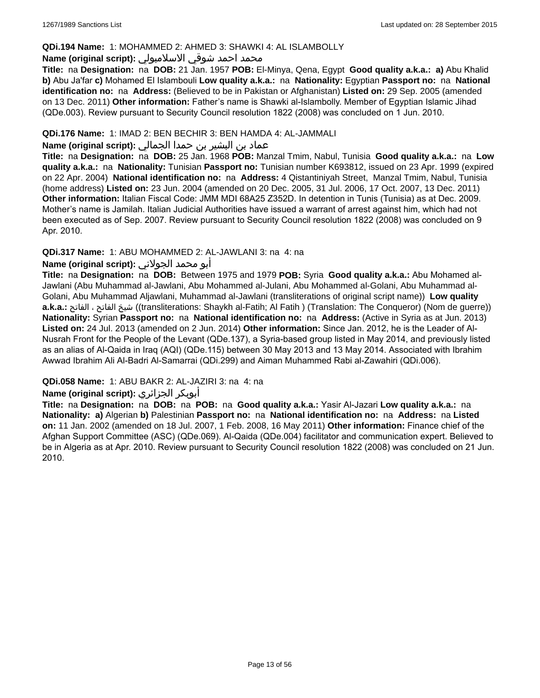### **QDi.194 Name:** 1: MOHAMMED 2: AHMED 3: SHAWKI 4: AL ISLAMBOLLY

### محمد احمد شوقي الاسلامبولي **:Name (original script)**

**Title:** na **Designation:** na **DOB:** 21 Jan. 1957 **POB:** El-Minya, Qena, Egypt **Good quality a.k.a.: a)** Abu Khalid **b)** Abu Ja'far **c)** Mohamed El Islambouli **Low quality a.k.a.:** na **Nationality:** Egyptian **Passport no:** na **National identification no:** na **Address:** (Believed to be in Pakistan or Afghanistan) **Listed on:** 29 Sep. 2005 (amended on 13 Dec. 2011) **Other information:** Father's name is Shawki al-Islambolly. Member of Egyptian Islamic Jihad (QDe.003). Review pursuant to Security Council resolution 1822 (2008) was concluded on 1 Jun. 2010.

# **QDi.176 Name:** 1: IMAD 2: BEN BECHIR 3: BEN HAMDA 4: AL-JAMMALI

# عماد بن البشير بن حمدا الجمالي **:(script original (Name**

**Title:** na **Designation:** na **DOB:** 25 Jan. 1968 **POB:** Manzal Tmim, Nabul, Tunisia **Good quality a.k.a.:** na **Low quality a.k.a.:** na **Nationality:** Tunisian **Passport no:** Tunisian number K693812, issued on 23 Apr. 1999 (expired on 22 Apr. 2004) **National identification no:** na **Address:** 4 Qistantiniyah Street, Manzal Tmim, Nabul, Tunisia (home address) **Listed on:** 23 Jun. 2004 (amended on 20 Dec. 2005, 31 Jul. 2006, 17 Oct. 2007, 13 Dec. 2011) **Other information:** Italian Fiscal Code: JMM MDI 68A25 Z352D. In detention in Tunis (Tunisia) as at Dec. 2009. Mother's name is Jamilah. Italian Judicial Authorities have issued a warrant of arrest against him, which had not been executed as of Sep. 2007. Review pursuant to Security Council resolution 1822 (2008) was concluded on 9 Apr. 2010.

# **QDi.317 Name:** 1: ABU MOHAMMED 2: AL-JAWLANI 3: na 4: na

# أبو محمد الجولاني **:(script original (Name**

**Title:** na **Designation:** na **DOB:** Between 1975 and 1979 **POB:** Syria **Good quality a.k.a.:** Abu Mohamed al-Jawlani (Abu Muhammad al-Jawlani, Abu Mohammed al-Julani, Abu Mohammed al-Golani, Abu Muhammad al-Golani, Abu Muhammad Aljawlani, Muhammad al-Jawlani (transliterations of original script name)) **Low quality a.k.a.:** الفاتح ، الفاتح شيخ)) transliterations: Shaykh al-Fatih; Al Fatih ) (Translation: The Conqueror) (Nom de guerre)) **Nationality:** Syrian **Passport no:** na **National identification no:** na **Address:** (Active in Syria as at Jun. 2013) **Listed on:** 24 Jul. 2013 (amended on 2 Jun. 2014) **Other information:** Since Jan. 2012, he is the Leader of Al-Nusrah Front for the People of the Levant (QDe.137), a Syria-based group listed in May 2014, and previously listed as an alias of Al-Qaida in Iraq (AQI) (QDe.115) between 30 May 2013 and 13 May 2014. Associated with Ibrahim Awwad Ibrahim Ali Al-Badri Al-Samarrai (QDi.299) and Aiman Muhammed Rabi al-Zawahiri (QDi.006).

# **QDi.058 Name:** 1: ABU BAKR 2: AL-JAZIRI 3: na 4: na

# **Name (original script):** الجزائري أبوبكر

**Title:** na **Designation:** na **DOB:** na **POB:** na **Good quality a.k.a.:** Yasir Al-Jazari **Low quality a.k.a.:** na **Nationality: a)** Algerian **b)** Palestinian **Passport no:** na **National identification no:** na **Address:** na **Listed on:** 11 Jan. 2002 (amended on 18 Jul. 2007, 1 Feb. 2008, 16 May 2011) **Other information:** Finance chief of the Afghan Support Committee (ASC) (QDe.069). Al-Qaida (QDe.004) facilitator and communication expert. Believed to be in Algeria as at Apr. 2010. Review pursuant to Security Council resolution 1822 (2008) was concluded on 21 Jun. 2010.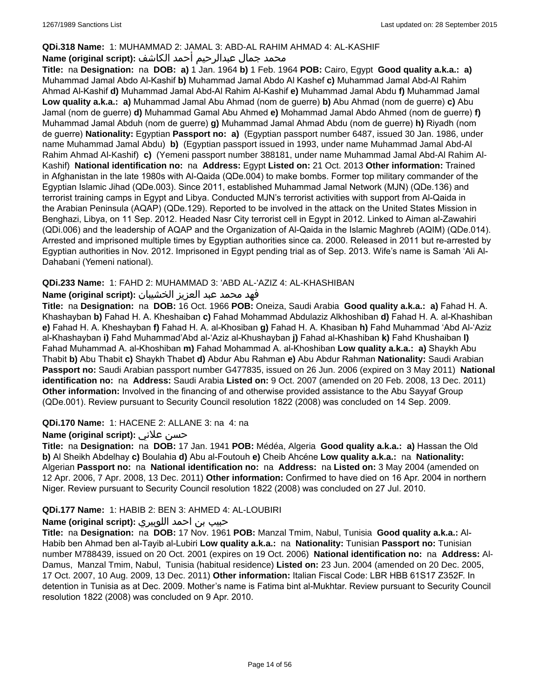# **QDi.318 Name:** 1: MUHAMMAD 2: JAMAL 3: ABD-AL RAHIM AHMAD 4: AL-KASHIF

# محمد جمال عبدالرحيم أحمد الكاشف **:Name (original script**)

**Title:** na **Designation:** na **DOB: a)** 1 Jan. 1964 **b)** 1 Feb. 1964 **POB:** Cairo, Egypt **Good quality a.k.a.: a)** Muhammad Jamal Abdo Al-Kashif **b)** Muhammad Jamal Abdo Al Kashef **c)** Muhammad Jamal Abd-Al Rahim Ahmad Al-Kashif **d)** Muhammad Jamal Abd-Al Rahim Al-Kashif **e)** Muhammad Jamal Abdu **f)** Muhammad Jamal **Low quality a.k.a.: a)** Muhammad Jamal Abu Ahmad (nom de guerre) **b)** Abu Ahmad (nom de guerre) **c)** Abu Jamal (nom de guerre) **d)** Muhammad Gamal Abu Ahmed **e)** Mohammad Jamal Abdo Ahmed (nom de guerre) **f)** Muhammad Jamal Abduh (nom de guerre) **g)** Muhammad Jamal Ahmad Abdu (nom de guerre) **h)** Riyadh (nom de guerre) **Nationality:** Egyptian **Passport no: a)** (Egyptian passport number 6487, issued 30 Jan. 1986, under name Muhammad Jamal Abdu) **b)** (Egyptian passport issued in 1993, under name Muhammad Jamal Abd-Al Rahim Ahmad Al-Kashif) **c)** (Yemeni passport number 388181, under name Muhammad Jamal Abd-Al Rahim Al-Kashif) **National identification no:** na **Address:** Egypt **Listed on:** 21 Oct. 2013 **Other information:** Trained in Afghanistan in the late 1980s with Al-Qaida (QDe.004) to make bombs. Former top military commander of the Egyptian Islamic Jihad (QDe.003). Since 2011, established Muhammad Jamal Network (MJN) (QDe.136) and terrorist training camps in Egypt and Libya. Conducted MJN's terrorist activities with support from Al-Qaida in the Arabian Peninsula (AQAP) (QDe.129). Reported to be involved in the attack on the United States Mission in Benghazi, Libya, on 11 Sep. 2012. Headed Nasr City terrorist cell in Egypt in 2012. Linked to Aiman al-Zawahiri (QDi.006) and the leadership of AQAP and the Organization of Al-Qaida in the Islamic Maghreb (AQIM) (QDe.014). Arrested and imprisoned multiple times by Egyptian authorities since ca. 2000. Released in 2011 but re-arrested by Egyptian authorities in Nov. 2012. Imprisoned in Egypt pending trial as of Sep. 2013. Wife's name is Samah 'Ali Al-Dahabani (Yemeni national).

# **QDi.233 Name:** 1: FAHD 2: MUHAMMAD 3: 'ABD AL-'AZIZ 4: AL-KHASHIBAN

# فهد محمد عبد العزيز الخشيبان **:(script original (Name**

**Title:** na **Designation:** na **DOB:** 16 Oct. 1966 **POB:** Oneiza, Saudi Arabia **Good quality a.k.a.: a)** Fahad H. A. Khashayban **b)** Fahad H. A. Kheshaiban **c)** Fahad Mohammad Abdulaziz Alkhoshiban **d)** Fahad H. A. al-Khashiban **e)** Fahad H. A. Kheshayban **f)** Fahad H. A. al-Khosiban **g)** Fahad H. A. Khasiban **h)** Fahd Muhammad 'Abd Al-'Aziz al-Khashayban **i)** Fahd Muhammad'Abd al-'Aziz al-Khushayban **j)** Fahad al-Khashiban **k)** Fahd Khushaiban **l)** Fahad Muhammad A. al-Khoshiban **m)** Fahad Mohammad A. al-Khoshiban **Low quality a.k.a.: a)** Shaykh Abu Thabit **b)** Abu Thabit **c)** Shaykh Thabet **d)** Abdur Abu Rahman **e)** Abu Abdur Rahman **Nationality:** Saudi Arabian **Passport no:** Saudi Arabian passport number G477835, issued on 26 Jun. 2006 (expired on 3 May 2011) **National identification no:** na **Address:** Saudi Arabia **Listed on:** 9 Oct. 2007 (amended on 20 Feb. 2008, 13 Dec. 2011) **Other information:** Involved in the financing of and otherwise provided assistance to the Abu Sayyaf Group (QDe.001). Review pursuant to Security Council resolution 1822 (2008) was concluded on 14 Sep. 2009.

# **QDi.170 Name:** 1: HACENE 2: ALLANE 3: na 4: na

# **Name (original script):** علاني حسن

**Title:** na **Designation:** na **DOB:** 17 Jan. 1941 **POB:** Médéa, Algeria **Good quality a.k.a.: a)** Hassan the Old **b)** Al Sheikh Abdelhay **c)** Boulahia **d)** Abu al-Foutouh **e)** Cheib Ahcéne **Low quality a.k.a.:** na **Nationality:** Algerian **Passport no:** na **National identification no:** na **Address:** na **Listed on:** 3 May 2004 (amended on 12 Apr. 2006, 7 Apr. 2008, 13 Dec. 2011) **Other information:** Confirmed to have died on 16 Apr. 2004 in northern Niger. Review pursuant to Security Council resolution 1822 (2008) was concluded on 27 Jul. 2010.

# **QDi.177 Name:** 1: HABIB 2: BEN 3: AHMED 4: AL-LOUBIRI

# حبيب بن احمد اللوبيري **:(script original (Name**

**Title:** na **Designation:** na **DOB:** 17 Nov. 1961 **POB:** Manzal Tmim, Nabul, Tunisia **Good quality a.k.a.:** Al-Habib ben Ahmad ben al-Tayib al-Lubiri **Low quality a.k.a.:** na **Nationality:** Tunisian **Passport no:** Tunisian number M788439, issued on 20 Oct. 2001 (expires on 19 Oct. 2006) **National identification no:** na **Address:** Al-Damus, Manzal Tmim, Nabul, Tunisia (habitual residence) **Listed on:** 23 Jun. 2004 (amended on 20 Dec. 2005, 17 Oct. 2007, 10 Aug. 2009, 13 Dec. 2011) **Other information:** Italian Fiscal Code: LBR HBB 61S17 Z352F. In detention in Tunisia as at Dec. 2009. Mother's name is Fatima bint al-Mukhtar. Review pursuant to Security Council resolution 1822 (2008) was concluded on 9 Apr. 2010.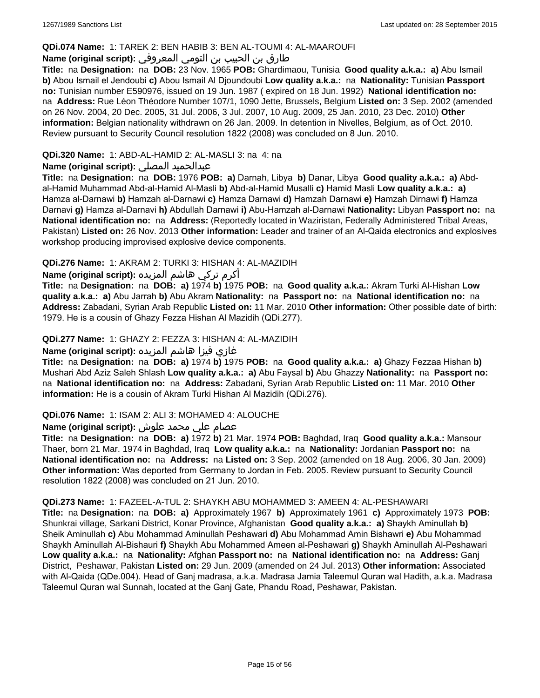### **QDi.074 Name:** 1: TAREK 2: BEN HABIB 3: BEN AL-TOUMI 4: AL-MAAROUFI

# طارق بن الحبيب بن التومي المعروفي **:(script original (Name**

**Title:** na **Designation:** na **DOB:** 23 Nov. 1965 **POB:** Ghardimaou, Tunisia **Good quality a.k.a.: a)** Abu Ismail **b)** Abou Ismail el Jendoubi **c)** Abou Ismail Al Djoundoubi **Low quality a.k.a.:** na **Nationality:** Tunisian **Passport no:** Tunisian number E590976, issued on 19 Jun. 1987 ( expired on 18 Jun. 1992) **National identification no:**  na **Address:** Rue Léon Théodore Number 107/1, 1090 Jette, Brussels, Belgium **Listed on:** 3 Sep. 2002 (amended on 26 Nov. 2004, 20 Dec. 2005, 31 Jul. 2006, 3 Jul. 2007, 10 Aug. 2009, 25 Jan. 2010, 23 Dec. 2010) **Other information:** Belgian nationality withdrawn on 26 Jan. 2009. In detention in Nivelles, Belgium, as of Oct. 2010. Review pursuant to Security Council resolution 1822 (2008) was concluded on 8 Jun. 2010.

### **QDi.320 Name:** 1: ABD-AL-HAMID 2: AL-MASLI 3: na 4: na

# **Name (original script):** المصلي عبدالحميد

**Title:** na **Designation:** na **DOB:** 1976 **POB: a)** Darnah, Libya **b)** Danar, Libya **Good quality a.k.a.: a)** Abdal-Hamid Muhammad Abd-al-Hamid Al-Masli **b)** Abd-al-Hamid Musalli **c)** Hamid Masli **Low quality a.k.a.: a)** Hamza al-Darnawi **b)** Hamzah al-Darnawi **c)** Hamza Darnawi **d)** Hamzah Darnawi **e)** Hamzah Dirnawi **f)** Hamza Darnavi **g)** Hamza al-Darnavi **h)** Abdullah Darnawi **i)** Abu-Hamzah al-Darnawi **Nationality:** Libyan **Passport no:** na **National identification no:** na **Address:** (Reportedly located in Waziristan, Federally Administered Tribal Areas, Pakistan) **Listed on:** 26 Nov. 2013 **Other information:** Leader and trainer of an Al-Qaida electronics and explosives workshop producing improvised explosive device components.

# **QDi.276 Name:** 1: AKRAM 2: TURKI 3: HISHAN 4: AL-MAZIDIH

أكرم تركي هاشم المزيده **:(script original (Name**

**Title:** na **Designation:** na **DOB: a)** 1974 **b)** 1975 **POB:** na **Good quality a.k.a.:** Akram Turki Al-Hishan **Low quality a.k.a.: a)** Abu Jarrah **b)** Abu Akram **Nationality:** na **Passport no:** na **National identification no:** na **Address:** Zabadani, Syrian Arab Republic **Listed on:** 11 Mar. 2010 **Other information:** Other possible date of birth: 1979. He is a cousin of Ghazy Fezza Hishan Al Mazidih (QDi.277).

### **QDi.277 Name:** 1: GHAZY 2: FEZZA 3: HISHAN 4: AL-MAZIDIH

# غازي فيزا هاشم المزيده **:(script original (Name**

**Title:** na **Designation:** na **DOB: a)** 1974 **b)** 1975 **POB:** na **Good quality a.k.a.: a)** Ghazy Fezzaa Hishan **b)** Mushari Abd Aziz Saleh Shlash **Low quality a.k.a.: a)** Abu Faysal **b)** Abu Ghazzy **Nationality:** na **Passport no:**  na **National identification no:** na **Address:** Zabadani, Syrian Arab Republic **Listed on:** 11 Mar. 2010 **Other information:** He is a cousin of Akram Turki Hishan Al Mazidih (QDi.276).

#### **QDi.076 Name:** 1: ISAM 2: ALI 3: MOHAMED 4: ALOUCHE

# عصام علي محمد علوش **:(script original (Name**

**Title:** na **Designation:** na **DOB: a)** 1972 **b)** 21 Mar. 1974 **POB:** Baghdad, Iraq **Good quality a.k.a.:** Mansour Thaer, born 21 Mar. 1974 in Baghdad, Iraq **Low quality a.k.a.:** na **Nationality:** Jordanian **Passport no:** na **National identification no:** na **Address:** na **Listed on:** 3 Sep. 2002 (amended on 18 Aug. 2006, 30 Jan. 2009) **Other information:** Was deported from Germany to Jordan in Feb. 2005. Review pursuant to Security Council resolution 1822 (2008) was concluded on 21 Jun. 2010.

#### **QDi.273 Name:** 1: FAZEEL-A-TUL 2: SHAYKH ABU MOHAMMED 3: AMEEN 4: AL-PESHAWARI

**Title:** na **Designation:** na **DOB: a)** Approximately 1967 **b)** Approximately 1961 **c)** Approximately 1973 **POB:** Shunkrai village, Sarkani District, Konar Province, Afghanistan **Good quality a.k.a.: a)** Shaykh Aminullah **b)** Sheik Aminullah **c)** Abu Mohammad Aminullah Peshawari **d)** Abu Mohammad Amin Bishawri **e)** Abu Mohammad Shaykh Aminullah Al-Bishauri **f)** Shaykh Abu Mohammed Ameen al-Peshawari **g)** Shaykh Aminullah Al-Peshawari **Low quality a.k.a.:** na **Nationality:** Afghan **Passport no:** na **National identification no:** na **Address:** Ganj District, Peshawar, Pakistan **Listed on:** 29 Jun. 2009 (amended on 24 Jul. 2013) **Other information:** Associated with Al-Qaida (QDe.004). Head of Ganj madrasa, a.k.a. Madrasa Jamia Taleemul Quran wal Hadith, a.k.a. Madrasa Taleemul Quran wal Sunnah, located at the Ganj Gate, Phandu Road, Peshawar, Pakistan.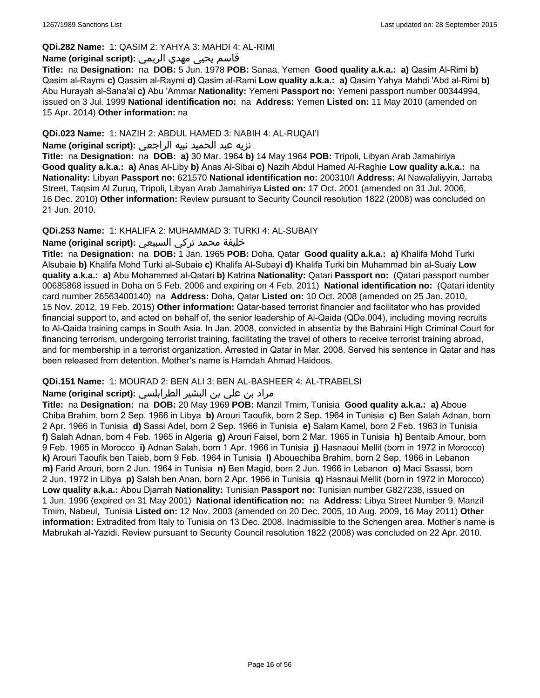### **QDi.282 Name:** 1: QASIM 2: YAHYA 3: MAHDI 4: AL-RIMI

# قاسم يحيى مهدي الريمي **:(script original (Name**

**Title:** na **Designation:** na **DOB:** 5 Jun. 1978 **POB:** Sanaa, Yemen **Good quality a.k.a.: a)** Qasim Al-Rimi **b)** Qasim al-Raymi **c)** Qassim al-Raymi **d)** Qasim al-Rami **Low quality a.k.a.: a)** Qasim Yahya Mahdi 'Abd al-Rimi **b)** Abu Hurayah al-Sana'ai **c)** Abu 'Ammar **Nationality:** Yemeni **Passport no:** Yemeni passport number 00344994, issued on 3 Jul. 1999 **National identification no:** na **Address:** Yemen **Listed on:** 11 May 2010 (amended on 15 Apr. 2014) **Other information:** na

# **QDi.023 Name:** 1: NAZIH 2: ABDUL HAMED 3: NABIH 4: AL-RUQAI'I

# نزيه عبد الحميد نبيه الراجعي **:(script original (Name**

**Title:** na **Designation:** na **DOB: a)** 30 Mar. 1964 **b)** 14 May 1964 **POB:** Tripoli, Libyan Arab Jamahiriya **Good quality a.k.a.: a)** Anas Al-Liby **b)** Anas Al-Sibai **c)** Nazih Abdul Hamed Al-Raghie **Low quality a.k.a.:** na **Nationality:** Libyan **Passport no:** 621570 **National identification no:** 200310/I **Address:** Al Nawafaliyyin, Jarraba Street, Taqsim Al Zuruq, Tripoli, Libyan Arab Jamahiriya **Listed on:** 17 Oct. 2001 (amended on 31 Jul. 2006, 16 Dec. 2010) **Other information:** Review pursuant to Security Council resolution 1822 (2008) was concluded on 21 Jun. 2010.

#### **QDi.253 Name:** 1: KHALIFA 2: MUHAMMAD 3: TURKI 4: AL-SUBAIY

# خليفة محمد تركي السبيعي **:(script original (Name**

**Title:** na **Designation:** na **DOB:** 1 Jan. 1965 **POB:** Doha, Qatar **Good quality a.k.a.: a)** Khalifa Mohd Turki Alsubaie **b)** Khalifa Mohd Turki al-Subaie **c)** Khalifa Al-Subayi **d)** Khalifa Turki bin Muhammad bin al-Suaiy **Low quality a.k.a.: a)** Abu Mohammed al-Qatari **b)** Katrina **Nationality:** Qatari **Passport no:** (Qatari passport number 00685868 issued in Doha on 5 Feb. 2006 and expiring on 4 Feb. 2011) **National identification no:** (Qatari identity card number 26563400140) na **Address:** Doha, Qatar **Listed on:** 10 Oct. 2008 (amended on 25 Jan. 2010, 15 Nov. 2012, 19 Feb. 2015) **Other information:** Qatar-based terrorist financier and facilitator who has provided financial support to, and acted on behalf of, the senior leadership of Al-Qaida (QDe.004), including moving recruits to Al-Qaida training camps in South Asia. In Jan. 2008, convicted in absentia by the Bahraini High Criminal Court for financing terrorism, undergoing terrorist training, facilitating the travel of others to receive terrorist training abroad, and for membership in a terrorist organization. Arrested in Qatar in Mar. 2008. Served his sentence in Qatar and has been released from detention. Mother's name is Hamdah Ahmad Haidoos.

#### **QDi.151 Name:** 1: MOURAD 2: BEN ALI 3: BEN AL-BASHEER 4: AL-TRABELSI

# مراد بن علي بن البشير الطرابلسي **:Name (original script)**

**Title:** na **Designation:** na **DOB:** 20 May 1969 **POB:** Manzil Tmim, Tunisia **Good quality a.k.a.: a)** Aboue Chiba Brahim, born 2 Sep. 1966 in Libya **b)** Arouri Taoufik, born 2 Sep. 1964 in Tunisia **c)** Ben Salah Adnan, born 2 Apr. 1966 in Tunisia **d)** Sassi Adel, born 2 Sep. 1966 in Tunisia **e)** Salam Kamel, born 2 Feb. 1963 in Tunisia **f)** Salah Adnan, born 4 Feb. 1965 in Algeria **g)** Arouri Faisel, born 2 Mar. 1965 in Tunisia **h)** Bentaib Amour, born 9 Feb. 1965 in Morocco **i)** Adnan Salah, born 1 Apr. 1966 in Tunisia **j)** Hasnaoui Mellit (born in 1972 in Morocco) **k)** Arouri Taoufik ben Taieb, born 9 Feb. 1964 in Tunisia **l)** Abouechiba Brahim, born 2 Sep. 1966 in Lebanon **m)** Farid Arouri, born 2 Jun. 1964 in Tunisia **n)** Ben Magid, born 2 Jun. 1966 in Lebanon **o)** Maci Ssassi, born 2 Jun. 1972 in Libya **p)** Salah ben Anan, born 2 Apr. 1966 in Tunisia **q)** Hasnaui Mellit (born in 1972 in Morocco) **Low quality a.k.a.:** Abou Djarrah **Nationality:** Tunisian **Passport no:** Tunisian number G827238, issued on 1 Jun. 1996 (expired on 31 May 2001) **National identification no:** na **Address:** Libya Street Number 9, Manzil Tmim, Nabeul, Tunisia **Listed on:** 12 Nov. 2003 (amended on 20 Dec. 2005, 10 Aug. 2009, 16 May 2011) **Other information:** Extradited from Italy to Tunisia on 13 Dec. 2008. Inadmissible to the Schengen area. Mother's name is Mabrukah al-Yazidi. Review pursuant to Security Council resolution 1822 (2008) was concluded on 22 Apr. 2010.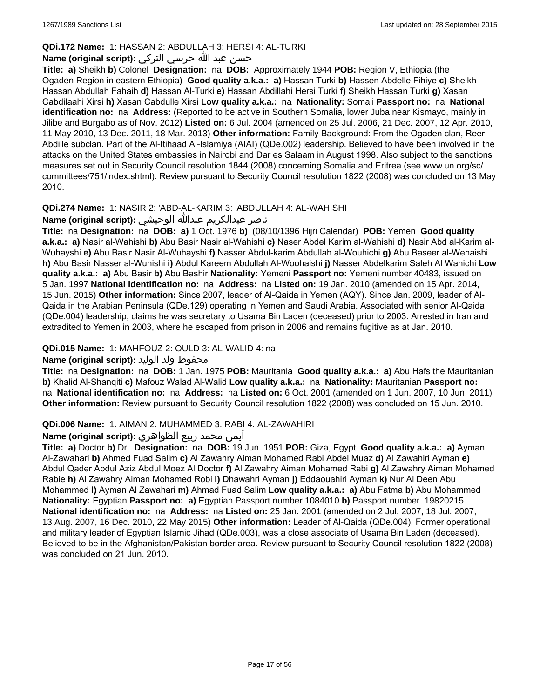# **QDi.172 Name:** 1: HASSAN 2: ABDULLAH 3: HERSI 4: AL-TURKI

# حسن عبد الله حرسي التركي **:(script original (Name**

**Title: a)** Sheikh **b)** Colonel **Designation:** na **DOB:** Approximately 1944 **POB:** Region V, Ethiopia (the Ogaden Region in eastern Ethiopia) **Good quality a.k.a.: a)** Hassan Turki **b)** Hassen Abdelle Fihiye **c)** Sheikh Hassan Abdullah Fahaih **d)** Hassan Al-Turki **e)** Hassan Abdillahi Hersi Turki **f)** Sheikh Hassan Turki **g)** Xasan Cabdilaahi Xirsi **h)** Xasan Cabdulle Xirsi **Low quality a.k.a.:** na **Nationality:** Somali **Passport no:** na **National identification no:** na **Address:** (Reported to be active in Southern Somalia, lower Juba near Kismayo, mainly in Jilibe and Burgabo as of Nov. 2012) **Listed on:** 6 Jul. 2004 (amended on 25 Jul. 2006, 21 Dec. 2007, 12 Apr. 2010, 11 May 2010, 13 Dec. 2011, 18 Mar. 2013) **Other information:** Family Background: From the Ogaden clan, Reer - Abdille subclan. Part of the Al-Itihaad Al-Islamiya (AIAI) (QDe.002) leadership. Believed to have been involved in the attacks on the United States embassies in Nairobi and Dar es Salaam in August 1998. Also subject to the sanctions measures set out in Security Council resolution 1844 (2008) concerning Somalia and Eritrea (see www.un.org/sc/ committees/751/index.shtml). Review pursuant to Security Council resolution 1822 (2008) was concluded on 13 May 2010.

# **QDi.274 Name:** 1: NASIR 2: 'ABD-AL-KARIM 3: 'ABDULLAH 4: AL-WAHISHI

# ناصر عبدالكريم عبدالله الوحيشي **:(script original (Name**

**Title:** na **Designation:** na **DOB: a)** 1 Oct. 1976 **b)** (08/10/1396 Hijri Calendar) **POB:** Yemen **Good quality a.k.a.: a)** Nasir al-Wahishi **b)** Abu Basir Nasir al-Wahishi **c)** Naser Abdel Karim al-Wahishi **d)** Nasir Abd al-Karim al-Wuhayshi **e)** Abu Basir Nasir Al-Wuhayshi **f)** Nasser Abdul-karim Abdullah al-Wouhichi **g)** Abu Baseer al-Wehaishi **h)** Abu Basir Nasser al-Wuhishi **i)** Abdul Kareem Abdullah Al-Woohaishi **j)** Nasser Abdelkarim Saleh Al Wahichi **Low quality a.k.a.: a)** Abu Basir **b)** Abu Bashir **Nationality:** Yemeni **Passport no:** Yemeni number 40483, issued on 5 Jan. 1997 **National identification no:** na **Address:** na **Listed on:** 19 Jan. 2010 (amended on 15 Apr. 2014, 15 Jun. 2015) **Other information:** Since 2007, leader of Al-Qaida in Yemen (AQY). Since Jan. 2009, leader of Al-Qaida in the Arabian Peninsula (QDe.129) operating in Yemen and Saudi Arabia. Associated with senior Al-Qaida (QDe.004) leadership, claims he was secretary to Usama Bin Laden (deceased) prior to 2003. Arrested in Iran and extradited to Yemen in 2003, where he escaped from prison in 2006 and remains fugitive as at Jan. 2010.

# **QDi.015 Name:** 1: MAHFOUZ 2: OULD 3: AL-WALID 4: na

# محفوظ ولد الوليد **:**Name (original script)

**Title:** na **Designation:** na **DOB:** 1 Jan. 1975 **POB:** Mauritania **Good quality a.k.a.: a)** Abu Hafs the Mauritanian **b)** Khalid Al-Shanqiti **c)** Mafouz Walad Al-Walid **Low quality a.k.a.:** na **Nationality:** Mauritanian **Passport no:**  na **National identification no:** na **Address:** na **Listed on:** 6 Oct. 2001 (amended on 1 Jun. 2007, 10 Jun. 2011) **Other information:** Review pursuant to Security Council resolution 1822 (2008) was concluded on 15 Jun. 2010.

# **QDi.006 Name:** 1: AIMAN 2: MUHAMMED 3: RABI 4: AL-ZAWAHIRI

# أيمن محمد ربيع الظواهري **:(script original (Name**

**Title: a)** Doctor **b)** Dr. **Designation:** na **DOB:** 19 Jun. 1951 **POB:** Giza, Egypt **Good quality a.k.a.: a)** Ayman Al-Zawahari **b)** Ahmed Fuad Salim **c)** Al Zawahry Aiman Mohamed Rabi Abdel Muaz **d)** Al Zawahiri Ayman **e)** Abdul Qader Abdul Aziz Abdul Moez Al Doctor **f)** Al Zawahry Aiman Mohamed Rabi **g)** Al Zawahry Aiman Mohamed Rabie **h)** Al Zawahry Aiman Mohamed Robi **i)** Dhawahri Ayman **j)** Eddaouahiri Ayman **k)** Nur Al Deen Abu Mohammed **l)** Ayman Al Zawahari **m)** Ahmad Fuad Salim **Low quality a.k.a.: a)** Abu Fatma **b)** Abu Mohammed **Nationality:** Egyptian **Passport no: a)** Egyptian Passport number 1084010 **b)** Passport number 19820215 **National identification no:** na **Address:** na **Listed on:** 25 Jan. 2001 (amended on 2 Jul. 2007, 18 Jul. 2007, 13 Aug. 2007, 16 Dec. 2010, 22 May 2015) **Other information:** Leader of Al-Qaida (QDe.004). Former operational and military leader of Egyptian Islamic Jihad (QDe.003), was a close associate of Usama Bin Laden (deceased). Believed to be in the Afghanistan/Pakistan border area. Review pursuant to Security Council resolution 1822 (2008) was concluded on 21 Jun. 2010.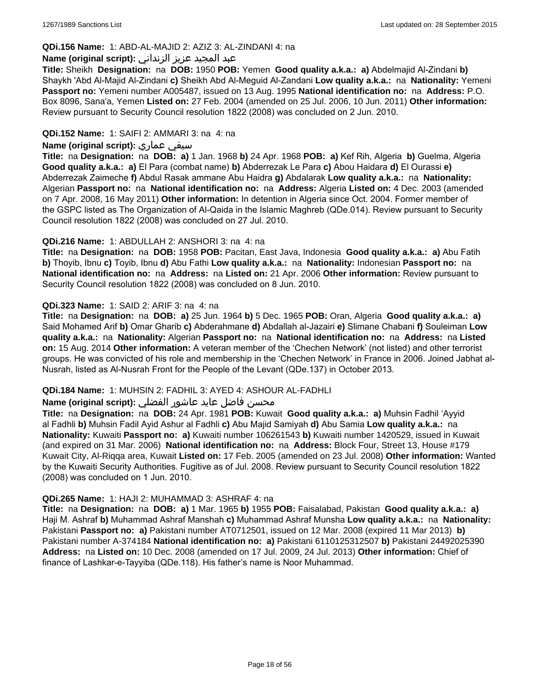# **QDi.156 Name:** 1: ABD-AL-MAJID 2: AZIZ 3: AL-ZINDANI 4: na

### عبد المجيد عزيز الزنداني **:(script original (Name**

**Title:** Sheikh **Designation:** na **DOB:** 1950 **POB:** Yemen **Good quality a.k.a.: a)** Abdelmajid Al-Zindani **b)** Shaykh 'Abd Al-Majid Al-Zindani **c)** Sheikh Abd Al-Meguid Al-Zandani **Low quality a.k.a.:** na **Nationality:** Yemeni **Passport no:** Yemeni number A005487, issued on 13 Aug. 1995 **National identification no:** na **Address:** P.O. Box 8096, Sana'a, Yemen **Listed on:** 27 Feb. 2004 (amended on 25 Jul. 2006, 10 Jun. 2011) **Other information:** Review pursuant to Security Council resolution 1822 (2008) was concluded on 2 Jun. 2010.

### **QDi.152 Name:** 1: SAIFI 2: AMMARI 3: na 4: na

### **Name (original script):** عماري سيفي

**Title:** na **Designation:** na **DOB: a)** 1 Jan. 1968 **b)** 24 Apr. 1968 **POB: a)** Kef Rih, Algeria **b)** Guelma, Algeria **Good quality a.k.a.: a)** El Para (combat name) **b)** Abderrezak Le Para **c)** Abou Haidara **d)** El Ourassi **e)** Abderrezak Zaimeche **f)** Abdul Rasak ammane Abu Haidra **g)** Abdalarak **Low quality a.k.a.:** na **Nationality:** Algerian **Passport no:** na **National identification no:** na **Address:** Algeria **Listed on:** 4 Dec. 2003 (amended on 7 Apr. 2008, 16 May 2011) **Other information:** In detention in Algeria since Oct. 2004. Former member of the GSPC listed as The Organization of Al-Qaida in the Islamic Maghreb (QDe.014). Review pursuant to Security Council resolution 1822 (2008) was concluded on 27 Jul. 2010.

### **QDi.216 Name:** 1: ABDULLAH 2: ANSHORI 3: na 4: na

**Title:** na **Designation:** na **DOB:** 1958 **POB:** Pacitan, East Java, Indonesia **Good quality a.k.a.: a)** Abu Fatih **b)** Thoyib, Ibnu **c)** Toyib, Ibnu **d)** Abu Fathi **Low quality a.k.a.:** na **Nationality:** Indonesian **Passport no:** na **National identification no:** na **Address:** na **Listed on:** 21 Apr. 2006 **Other information:** Review pursuant to Security Council resolution 1822 (2008) was concluded on 8 Jun. 2010.

### **QDi.323 Name:** 1: SAID 2: ARIF 3: na 4: na

**Title:** na **Designation:** na **DOB: a)** 25 Jun. 1964 **b)** 5 Dec. 1965 **POB:** Oran, Algeria **Good quality a.k.a.: a)** Said Mohamed Arif **b)** Omar Gharib **c)** Abderahmane **d)** Abdallah al-Jazairi **e)** Slimane Chabani **f)** Souleiman **Low quality a.k.a.:** na **Nationality:** Algerian **Passport no:** na **National identification no:** na **Address:** na **Listed on:** 15 Aug. 2014 **Other information:** A veteran member of the 'Chechen Network' (not listed) and other terrorist groups. He was convicted of his role and membership in the 'Chechen Network' in France in 2006. Joined Jabhat al-Nusrah, listed as Al-Nusrah Front for the People of the Levant (QDe.137) in October 2013.

# **QDi.184 Name:** 1: MUHSIN 2: FADHIL 3: AYED 4: ASHOUR AL-FADHLI

# محسن فاضل عايد عاشور الفضلي **:Name (original script**)

**Title:** na **Designation:** na **DOB:** 24 Apr. 1981 **POB:** Kuwait **Good quality a.k.a.: a)** Muhsin Fadhil 'Ayyid al Fadhli **b)** Muhsin Fadil Ayid Ashur al Fadhli **c)** Abu Majid Samiyah **d)** Abu Samia **Low quality a.k.a.:** na **Nationality:** Kuwaiti **Passport no: a)** Kuwaiti number 106261543 **b)** Kuwaiti number 1420529, issued in Kuwait (and expired on 31 Mar. 2006) **National identification no:** na **Address:** Block Four, Street 13, House #179 Kuwait City, Al-Riqqa area, Kuwait **Listed on:** 17 Feb. 2005 (amended on 23 Jul. 2008) **Other information:** Wanted by the Kuwaiti Security Authorities. Fugitive as of Jul. 2008. Review pursuant to Security Council resolution 1822 (2008) was concluded on 1 Jun. 2010.

#### **QDi.265 Name:** 1: HAJI 2: MUHAMMAD 3: ASHRAF 4: na

**Title:** na **Designation:** na **DOB: a)** 1 Mar. 1965 **b)** 1955 **POB:** Faisalabad, Pakistan **Good quality a.k.a.: a)** Haji M. Ashraf **b)** Muhammad Ashraf Manshah **c)** Muhammad Ashraf Munsha **Low quality a.k.a.:** na **Nationality:** Pakistani **Passport no: a)** Pakistani number AT0712501, issued on 12 Mar. 2008 (expired 11 Mar 2013) **b)** Pakistani number A-374184 **National identification no: a)** Pakistani 6110125312507 **b)** Pakistani 24492025390 **Address:** na **Listed on:** 10 Dec. 2008 (amended on 17 Jul. 2009, 24 Jul. 2013) **Other information:** Chief of finance of Lashkar-e-Tayyiba (QDe.118). His father's name is Noor Muhammad.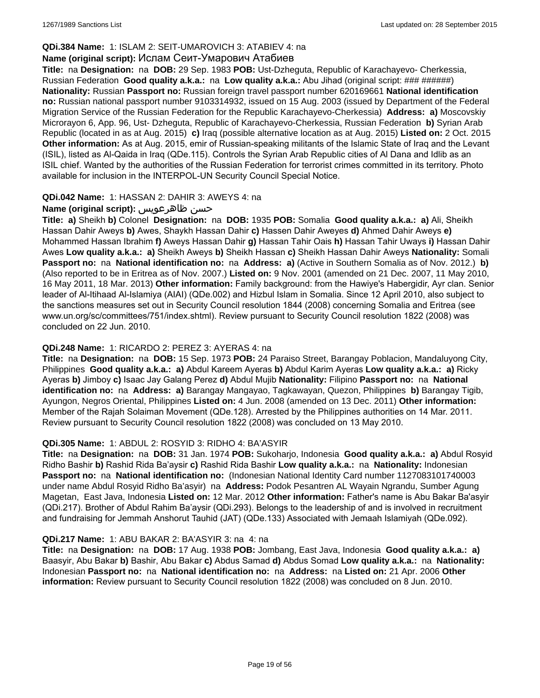# **QDi.384 Name:** 1: ISLAM 2: SEIT-UMAROVICH 3: ATABIEV 4: na

# **Name (original script):** Ислам Сеит-Умарович Атабиев

**Title:** na **Designation:** na **DOB:** 29 Sep. 1983 **POB:** Ust-Dzheguta, Republic of Karachayevo- Cherkessia, Russian Federation **Good quality a.k.a.:** na **Low quality a.k.a.:** Abu Jihad (original script: ### ######) **Nationality:** Russian **Passport no:** Russian foreign travel passport number 620169661 **National identification no:** Russian national passport number 9103314932, issued on 15 Aug. 2003 (issued by Department of the Federal Migration Service of the Russian Federation for the Republic Karachayevo-Cherkessia) **Address: a)** Moscovskiy Microrayon 6, App. 96, Ust- Dzheguta, Republic of Karachayevo-Cherkessia, Russian Federation **b)** Syrian Arab Republic (located in as at Aug. 2015) **c)** Iraq (possible alternative location as at Aug. 2015) **Listed on:** 2 Oct. 2015 **Other information:** As at Aug. 2015, emir of Russian-speaking militants of the Islamic State of Iraq and the Levant (ISIL), listed as Al-Qaida in Iraq (QDe.115). Controls the Syrian Arab Republic cities of Al Dana and Idlib as an ISIL chief. Wanted by the authorities of the Russian Federation for terrorist crimes committed in its territory. Photo available for inclusion in the INTERPOL-UN Security Council Special Notice.

# **QDi.042 Name:** 1: HASSAN 2: DAHIR 3: AWEYS 4: na

# **Name (original script):** ظاهرعويس حسن

**Title: a)** Sheikh **b)** Colonel **Designation:** na **DOB:** 1935 **POB:** Somalia **Good quality a.k.a.: a)** Ali, Sheikh Hassan Dahir Aweys **b)** Awes, Shaykh Hassan Dahir **c)** Hassen Dahir Aweyes **d)** Ahmed Dahir Aweys **e)** Mohammed Hassan Ibrahim **f)** Aweys Hassan Dahir **g)** Hassan Tahir Oais **h)** Hassan Tahir Uways **i)** Hassan Dahir Awes **Low quality a.k.a.: a)** Sheikh Aweys **b)** Sheikh Hassan **c)** Sheikh Hassan Dahir Aweys **Nationality:** Somali **Passport no:** na **National identification no:** na **Address: a)** (Active in Southern Somalia as of Nov. 2012.) **b)** (Also reported to be in Eritrea as of Nov. 2007.) **Listed on:** 9 Nov. 2001 (amended on 21 Dec. 2007, 11 May 2010, 16 May 2011, 18 Mar. 2013) **Other information:** Family background: from the Hawiye's Habergidir, Ayr clan. Senior leader of Al-Itihaad Al-Islamiya (AIAI) (QDe.002) and Hizbul Islam in Somalia. Since 12 April 2010, also subject to the sanctions measures set out in Security Council resolution 1844 (2008) concerning Somalia and Eritrea (see www.un.org/sc/committees/751/index.shtml). Review pursuant to Security Council resolution 1822 (2008) was concluded on 22 Jun. 2010.

### **QDi.248 Name:** 1: RICARDO 2: PEREZ 3: AYERAS 4: na

**Title:** na **Designation:** na **DOB:** 15 Sep. 1973 **POB:** 24 Paraiso Street, Barangay Poblacion, Mandaluyong City, Philippines **Good quality a.k.a.: a)** Abdul Kareem Ayeras **b)** Abdul Karim Ayeras **Low quality a.k.a.: a)** Ricky Ayeras **b)** Jimboy **c)** Isaac Jay Galang Perez **d)** Abdul Mujib **Nationality:** Filipino **Passport no:** na **National identification no:** na **Address: a)** Barangay Mangayao, Tagkawayan, Quezon, Philippines **b)** Barangay Tigib, Ayungon, Negros Oriental, Philippines **Listed on:** 4 Jun. 2008 (amended on 13 Dec. 2011) **Other information:** Member of the Rajah Solaiman Movement (QDe.128). Arrested by the Philippines authorities on 14 Mar. 2011. Review pursuant to Security Council resolution 1822 (2008) was concluded on 13 May 2010.

# **QDi.305 Name:** 1: ABDUL 2: ROSYID 3: RIDHO 4: BA'ASYIR

**Title:** na **Designation:** na **DOB:** 31 Jan. 1974 **POB:** Sukoharjo, Indonesia **Good quality a.k.a.: a)** Abdul Rosyid Ridho Bashir **b)** Rashid Rida Ba'aysir **c)** Rashid Rida Bashir **Low quality a.k.a.:** na **Nationality:** Indonesian **Passport no:** na **National identification no:** (Indonesian National Identity Card number 1127083101740003 under name Abdul Rosyid Ridho Ba'asyir) na **Address:** Podok Pesantren AL Wayain Ngrandu, Sumber Agung Magetan, East Java, Indonesia **Listed on:** 12 Mar. 2012 **Other information:** Father's name is Abu Bakar Ba'asyir (QDi.217). Brother of Abdul Rahim Ba'aysir (QDi.293). Belongs to the leadership of and is involved in recruitment and fundraising for Jemmah Anshorut Tauhid (JAT) (QDe.133) Associated with Jemaah Islamiyah (QDe.092).

# **QDi.217 Name:** 1: ABU BAKAR 2: BA'ASYIR 3: na 4: na

**Title:** na **Designation:** na **DOB:** 17 Aug. 1938 **POB:** Jombang, East Java, Indonesia **Good quality a.k.a.: a)** Baasyir, Abu Bakar **b)** Bashir, Abu Bakar **c)** Abdus Samad **d)** Abdus Somad **Low quality a.k.a.:** na **Nationality:** Indonesian **Passport no:** na **National identification no:** na **Address:** na **Listed on:** 21 Apr. 2006 **Other information:** Review pursuant to Security Council resolution 1822 (2008) was concluded on 8 Jun. 2010.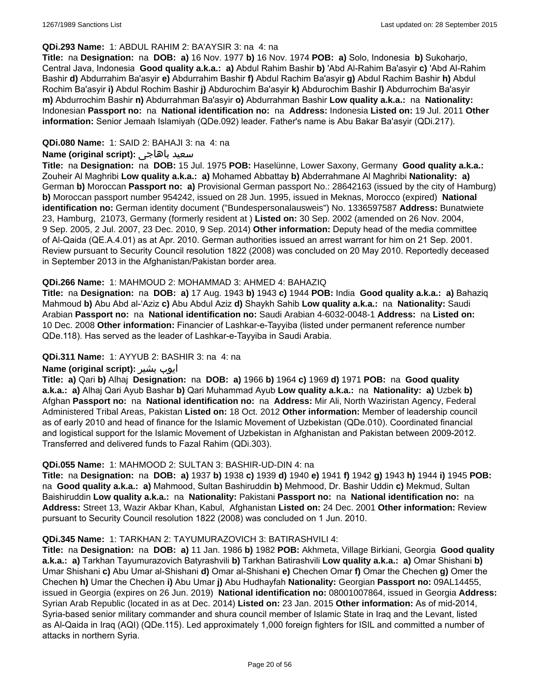#### **QDi.293 Name:** 1: ABDUL RAHIM 2: BA'AYSIR 3: na 4: na

**Title:** na **Designation:** na **DOB: a)** 16 Nov. 1977 **b)** 16 Nov. 1974 **POB: a)** Solo, Indonesia **b)** Sukoharjo, Central Java, Indonesia **Good quality a.k.a.: a)** Abdul Rahim Bashir **b)** 'Abd Al-Rahim Ba'asyir **c)** 'Abd Al-Rahim Bashir **d)** Abdurrahim Ba'asyir **e)** Abdurrahim Bashir **f)** Abdul Rachim Ba'asyir **g)** Abdul Rachim Bashir **h)** Abdul Rochim Ba'asyir **i)** Abdul Rochim Bashir **j)** Abdurochim Ba'asyir **k)** Abdurochim Bashir **l)** Abdurrochim Ba'asyir **m)** Abdurrochim Bashir **n)** Abdurrahman Ba'asyir **o)** Abdurrahman Bashir **Low quality a.k.a.:** na **Nationality:** Indonesian **Passport no:** na **National identification no:** na **Address:** Indonesia **Listed on:** 19 Jul. 2011 **Other information:** Senior Jemaah Islamiyah (QDe.092) leader. Father's name is Abu Bakar Ba'asyir (QDi.217).

### **QDi.080 Name:** 1: SAID 2: BAHAJI 3: na 4: na

### **Name (original script):** باهاجى سعيد

**Title:** na **Designation:** na **DOB:** 15 Jul. 1975 **POB:** Haselünne, Lower Saxony, Germany **Good quality a.k.a.:** Zouheir Al Maghribi **Low quality a.k.a.: a)** Mohamed Abbattay **b)** Abderrahmane Al Maghribi **Nationality: a)** German **b)** Moroccan **Passport no: a)** Provisional German passport No.: 28642163 (issued by the city of Hamburg) **b)** Moroccan passport number 954242, issued on 28 Jun. 1995, issued in Meknas, Morocco (expired) **National identification no:** German identity document ("Bundespersonalausweis") No. 1336597587 **Address:** Bunatwiete 23, Hamburg, 21073, Germany (formerly resident at ) **Listed on:** 30 Sep. 2002 (amended on 26 Nov. 2004, 9 Sep. 2005, 2 Jul. 2007, 23 Dec. 2010, 9 Sep. 2014) **Other information:** Deputy head of the media committee of Al-Qaida (QE.A.4.01) as at Apr. 2010. German authorities issued an arrest warrant for him on 21 Sep. 2001. Review pursuant to Security Council resolution 1822 (2008) was concluded on 20 May 2010. Reportedly deceased in September 2013 in the Afghanistan/Pakistan border area.

#### **QDi.266 Name:** 1: MAHMOUD 2: MOHAMMAD 3: AHMED 4: BAHAZIQ

**Title:** na **Designation:** na **DOB: a)** 17 Aug. 1943 **b)** 1943 **c)** 1944 **POB:** India **Good quality a.k.a.: a)** Bahaziq Mahmoud **b)** Abu Abd al-'Aziz **c)** Abu Abdul Aziz **d)** Shaykh Sahib **Low quality a.k.a.:** na **Nationality:** Saudi Arabian **Passport no:** na **National identification no:** Saudi Arabian 4-6032-0048-1 **Address:** na **Listed on:** 10 Dec. 2008 **Other information:** Financier of Lashkar-e-Tayyiba (listed under permanent reference number QDe.118). Has served as the leader of Lashkar-e-Tayyiba in Saudi Arabia.

#### **QDi.311 Name:** 1: AYYUB 2: BASHIR 3: na 4: na

#### **Name (original script):** بشیر ایوب

**Title: a)** Qari **b)** Alhaj **Designation:** na **DOB: a)** 1966 **b)** 1964 **c)** 1969 **d)** 1971 **POB:** na **Good quality a.k.a.: a)** Alhaj Qari Ayub Bashar **b)** Qari Muhammad Ayub **Low quality a.k.a.:** na **Nationality: a)** Uzbek **b)** Afghan **Passport no:** na **National identification no:** na **Address:** Mir Ali, North Waziristan Agency, Federal Administered Tribal Areas, Pakistan **Listed on:** 18 Oct. 2012 **Other information:** Member of leadership council as of early 2010 and head of finance for the Islamic Movement of Uzbekistan (QDe.010). Coordinated financial and logistical support for the Islamic Movement of Uzbekistan in Afghanistan and Pakistan between 2009-2012. Transferred and delivered funds to Fazal Rahim (QDi.303).

#### **QDi.055 Name:** 1: MAHMOOD 2: SULTAN 3: BASHIR-UD-DIN 4: na

**Title:** na **Designation:** na **DOB: a)** 1937 **b)** 1938 **c)** 1939 **d)** 1940 **e)** 1941 **f)** 1942 **g)** 1943 **h)** 1944 **i)** 1945 **POB:**  na **Good quality a.k.a.: a)** Mahmood, Sultan Bashiruddin **b)** Mehmood, Dr. Bashir Uddin **c)** Mekmud, Sultan Baishiruddin **Low quality a.k.a.:** na **Nationality:** Pakistani **Passport no:** na **National identification no:** na **Address:** Street 13, Wazir Akbar Khan, Kabul, Afghanistan **Listed on:** 24 Dec. 2001 **Other information:** Review pursuant to Security Council resolution 1822 (2008) was concluded on 1 Jun. 2010.

#### **QDi.345 Name:** 1: TARKHAN 2: TAYUMURAZOVICH 3: BATIRASHVILI 4:

**Title:** na **Designation:** na **DOB: a)** 11 Jan. 1986 **b)** 1982 **POB:** Akhmeta, Village Birkiani, Georgia **Good quality a.k.a.: a)** Tarkhan Tayumurazovich Batyrashvili **b)** Tarkhan Batirashvili **Low quality a.k.a.: a)** Omar Shishani **b)** Umar Shishani **c)** Abu Umar al-Shishani **d)** Omar al-Shishani **e)** Chechen Omar **f)** Omar the Chechen **g)** Omer the Chechen **h)** Umar the Chechen **i)** Abu Umar **j)** Abu Hudhayfah **Nationality:** Georgian **Passport no:** 09AL14455, issued in Georgia (expires on 26 Jun. 2019) **National identification no:** 08001007864, issued in Georgia **Address:** Syrian Arab Republic (located in as at Dec. 2014) **Listed on:** 23 Jan. 2015 **Other information:** As of mid-2014, Syria-based senior military commander and shura council member of Islamic State in Iraq and the Levant, listed as Al-Qaida in Iraq (AQI) (QDe.115). Led approximately 1,000 foreign fighters for ISIL and committed a number of attacks in northern Syria.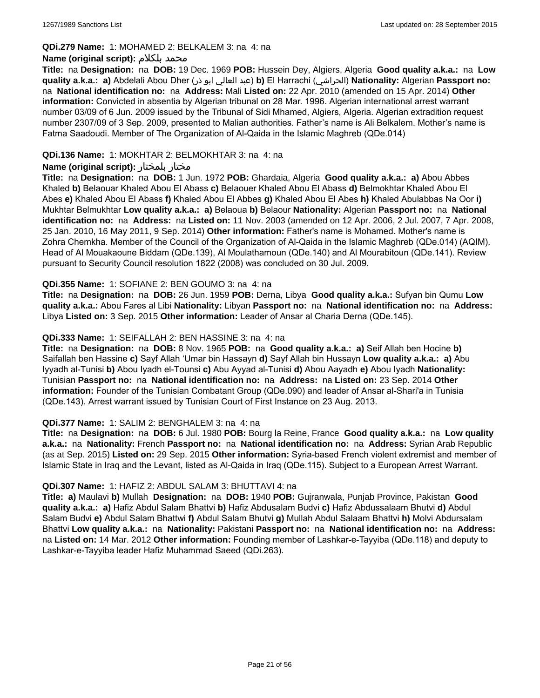#### **QDi.279 Name:** 1: MOHAMED 2: BELKALEM 3: na 4: na

### **Name (original script):** بلكلام محمد

**Title:** na **Designation:** na **DOB:** 19 Dec. 1969 **POB:** Hussein Dey, Algiers, Algeria **Good quality a.k.a.:** na **Low quality a.k.a.: a)** Abdelali Abou Dher (ذر ابو العالي عبد(**b)** El Harrachi (الحراشي(**Nationality:** Algerian **Passport no:**  na **National identification no:** na **Address:** Mali **Listed on:** 22 Apr. 2010 (amended on 15 Apr. 2014) **Other information:** Convicted in absentia by Algerian tribunal on 28 Mar. 1996. Algerian international arrest warrant number 03/09 of 6 Jun. 2009 issued by the Tribunal of Sidi Mhamed, Algiers, Algeria. Algerian extradition request number 2307/09 of 3 Sep. 2009, presented to Malian authorities. Father's name is Ali Belkalem. Mother's name is Fatma Saadoudi. Member of The Organization of Al-Qaida in the Islamic Maghreb (QDe.014)

### **QDi.136 Name:** 1: MOKHTAR 2: BELMOKHTAR 3: na 4: na

### **Name (original script):** بلمختار مختار

**Title:** na **Designation:** na **DOB:** 1 Jun. 1972 **POB:** Ghardaia, Algeria **Good quality a.k.a.: a)** Abou Abbes Khaled **b)** Belaouar Khaled Abou El Abass **c)** Belaouer Khaled Abou El Abass **d)** Belmokhtar Khaled Abou El Abes **e)** Khaled Abou El Abass **f)** Khaled Abou El Abbes **g)** Khaled Abou El Abes **h)** Khaled Abulabbas Na Oor **i)** Mukhtar Belmukhtar **Low quality a.k.a.: a)** Belaoua **b)** Belaour **Nationality:** Algerian **Passport no:** na **National identification no:** na **Address:** na **Listed on:** 11 Nov. 2003 (amended on 12 Apr. 2006, 2 Jul. 2007, 7 Apr. 2008, 25 Jan. 2010, 16 May 2011, 9 Sep. 2014) **Other information:** Father's name is Mohamed. Mother's name is Zohra Chemkha. Member of the Council of the Organization of Al-Qaida in the Islamic Maghreb (QDe.014) (AQIM). Head of Al Mouakaoune Biddam (QDe.139), Al Moulathamoun (QDe.140) and Al Mourabitoun (QDe.141). Review pursuant to Security Council resolution 1822 (2008) was concluded on 30 Jul. 2009.

### **QDi.355 Name:** 1: SOFIANE 2: BEN GOUMO 3: na 4: na

**Title:** na **Designation:** na **DOB:** 26 Jun. 1959 **POB:** Derna, Libya **Good quality a.k.a.:** Sufyan bin Qumu **Low quality a.k.a.:** Abou Fares al Libi **Nationality:** Libyan **Passport no:** na **National identification no:** na **Address:** Libya **Listed on:** 3 Sep. 2015 **Other information:** Leader of Ansar al Charia Derna (QDe.145).

### **QDi.333 Name:** 1: SEIFALLAH 2: BEN HASSINE 3: na 4: na

**Title:** na **Designation:** na **DOB:** 8 Nov. 1965 **POB:** na **Good quality a.k.a.: a)** Seif Allah ben Hocine **b)** Saifallah ben Hassine **c)** Sayf Allah 'Umar bin Hassayn **d)** Sayf Allah bin Hussayn **Low quality a.k.a.: a)** Abu Iyyadh al-Tunisi **b)** Abou Iyadh el-Tounsi **c)** Abu Ayyad al-Tunisi **d)** Abou Aayadh **e)** Abou Iyadh **Nationality:** Tunisian **Passport no:** na **National identification no:** na **Address:** na **Listed on:** 23 Sep. 2014 **Other information:** Founder of the Tunisian Combatant Group (QDe.090) and leader of Ansar al-Shari'a in Tunisia (QDe.143). Arrest warrant issued by Tunisian Court of First Instance on 23 Aug. 2013.

#### **QDi.377 Name:** 1: SALIM 2: BENGHALEM 3: na 4: na

**Title:** na **Designation:** na **DOB:** 6 Jul. 1980 **POB:** Bourg la Reine, France **Good quality a.k.a.:** na **Low quality a.k.a.:** na **Nationality:** French **Passport no:** na **National identification no:** na **Address:** Syrian Arab Republic (as at Sep. 2015) **Listed on:** 29 Sep. 2015 **Other information:** Syria-based French violent extremist and member of Islamic State in Iraq and the Levant, listed as Al-Qaida in Iraq (QDe.115). Subject to a European Arrest Warrant.

#### **QDi.307 Name:** 1: HAFIZ 2: ABDUL SALAM 3: BHUTTAVI 4: na

**Title: a)** Maulavi **b)** Mullah **Designation:** na **DOB:** 1940 **POB:** Gujranwala, Punjab Province, Pakistan **Good quality a.k.a.: a)** Hafiz Abdul Salam Bhattvi **b)** Hafiz Abdusalam Budvi **c)** Hafiz Abdussalaam Bhutvi **d)** Abdul Salam Budvi **e)** Abdul Salam Bhattwi **f)** Abdul Salam Bhutvi **g)** Mullah Abdul Salaam Bhattvi **h)** Molvi Abdursalam Bhattvi **Low quality a.k.a.:** na **Nationality:** Pakistani **Passport no:** na **National identification no:** na **Address:** na **Listed on:** 14 Mar. 2012 **Other information:** Founding member of Lashkar-e-Tayyiba (QDe.118) and deputy to Lashkar-e-Tayyiba leader Hafiz Muhammad Saeed (QDi.263).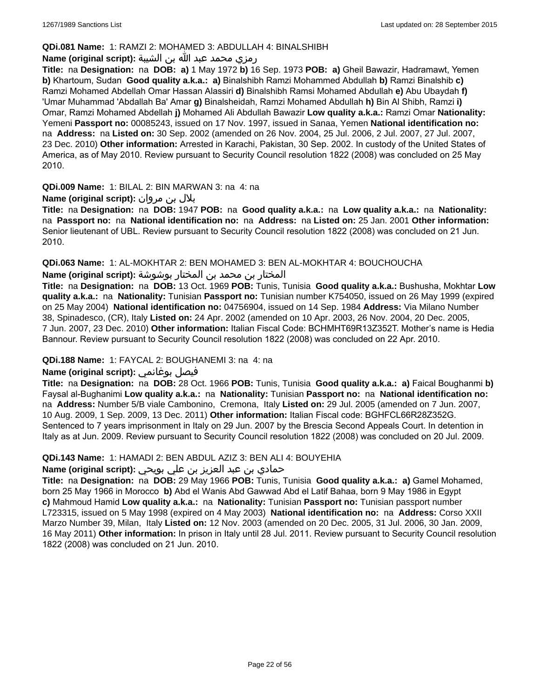### **QDi.081 Name:** 1: RAMZI 2: MOHAMED 3: ABDULLAH 4: BINALSHIBH

### رمزي محمد عبد الله بن الشيبة **:(script original (Name**

**Title:** na **Designation:** na **DOB: a)** 1 May 1972 **b)** 16 Sep. 1973 **POB: a)** Gheil Bawazir, Hadramawt, Yemen **b)** Khartoum, Sudan **Good quality a.k.a.: a)** Binalshibh Ramzi Mohammed Abdullah **b)** Ramzi Binalshib **c)** Ramzi Mohamed Abdellah Omar Hassan Alassiri **d)** Binalshibh Ramsi Mohamed Abdullah **e)** Abu Ubaydah **f)** 'Umar Muhammad 'Abdallah Ba' Amar **g)** Binalsheidah, Ramzi Mohamed Abdullah **h)** Bin Al Shibh, Ramzi **i)** Omar, Ramzi Mohamed Abdellah **j)** Mohamed Ali Abdullah Bawazir **Low quality a.k.a.:** Ramzi Omar **Nationality:** Yemeni **Passport no:** 00085243, issued on 17 Nov. 1997, issued in Sanaa, Yemen **National identification no:**  na **Address:** na **Listed on:** 30 Sep. 2002 (amended on 26 Nov. 2004, 25 Jul. 2006, 2 Jul. 2007, 27 Jul. 2007, 23 Dec. 2010) **Other information:** Arrested in Karachi, Pakistan, 30 Sep. 2002. In custody of the United States of America, as of May 2010. Review pursuant to Security Council resolution 1822 (2008) was concluded on 25 May 2010.

**QDi.009 Name:** 1: BILAL 2: BIN MARWAN 3: na 4: na

# بلال بن مروان **:(script original (Name**

**Title:** na **Designation:** na **DOB:** 1947 **POB:** na **Good quality a.k.a.:** na **Low quality a.k.a.:** na **Nationality:**  na **Passport no:** na **National identification no:** na **Address:** na **Listed on:** 25 Jan. 2001 **Other information:** Senior lieutenant of UBL. Review pursuant to Security Council resolution 1822 (2008) was concluded on 21 Jun. 2010.

**QDi.063 Name:** 1: AL-MOKHTAR 2: BEN MOHAMED 3: BEN AL-MOKHTAR 4: BOUCHOUCHA

المختار بن محمد بن المختار بوشوشة **:(script original (Name**

**Title:** na **Designation:** na **DOB:** 13 Oct. 1969 **POB:** Tunis, Tunisia **Good quality a.k.a.:** Bushusha, Mokhtar **Low quality a.k.a.:** na **Nationality:** Tunisian **Passport no:** Tunisian number K754050, issued on 26 May 1999 (expired on 25 May 2004) **National identification no:** 04756904, issued on 14 Sep. 1984 **Address:** Via Milano Number 38, Spinadesco, (CR), Italy **Listed on:** 24 Apr. 2002 (amended on 10 Apr. 2003, 26 Nov. 2004, 20 Dec. 2005, 7 Jun. 2007, 23 Dec. 2010) **Other information:** Italian Fiscal Code: BCHMHT69R13Z352T. Mother's name is Hedia Bannour. Review pursuant to Security Council resolution 1822 (2008) was concluded on 22 Apr. 2010.

# **QDi.188 Name:** 1: FAYCAL 2: BOUGHANEMI 3: na 4: na

# **Name (original script):** بوغانمي فيصل

**Title:** na **Designation:** na **DOB:** 28 Oct. 1966 **POB:** Tunis, Tunisia **Good quality a.k.a.: a)** Faical Boughanmi **b)** Faysal al-Bughanimi **Low quality a.k.a.:** na **Nationality:** Tunisian **Passport no:** na **National identification no:**  na **Address:** Number 5/B viale Cambonino, Cremona, Italy **Listed on:** 29 Jul. 2005 (amended on 7 Jun. 2007, 10 Aug. 2009, 1 Sep. 2009, 13 Dec. 2011) **Other information:** Italian Fiscal code: BGHFCL66R28Z352G. Sentenced to 7 years imprisonment in Italy on 29 Jun. 2007 by the Brescia Second Appeals Court. In detention in Italy as at Jun. 2009. Review pursuant to Security Council resolution 1822 (2008) was concluded on 20 Jul. 2009.

#### **QDi.143 Name:** 1: HAMADI 2: BEN ABDUL AZIZ 3: BEN ALI 4: BOUYEHIA

# حمادي بن عبد العزيز بن علي بويحي **:(script original (Name**

**Title:** na **Designation:** na **DOB:** 29 May 1966 **POB:** Tunis, Tunisia **Good quality a.k.a.: a)** Gamel Mohamed, born 25 May 1966 in Morocco **b)** Abd el Wanis Abd Gawwad Abd el Latif Bahaa, born 9 May 1986 in Egypt **c)** Mahmoud Hamid **Low quality a.k.a.:** na **Nationality:** Tunisian **Passport no:** Tunisian passport number L723315, issued on 5 May 1998 (expired on 4 May 2003) **National identification no:** na **Address:** Corso XXII Marzo Number 39, Milan, Italy **Listed on:** 12 Nov. 2003 (amended on 20 Dec. 2005, 31 Jul. 2006, 30 Jan. 2009, 16 May 2011) **Other information:** In prison in Italy until 28 Jul. 2011. Review pursuant to Security Council resolution 1822 (2008) was concluded on 21 Jun. 2010.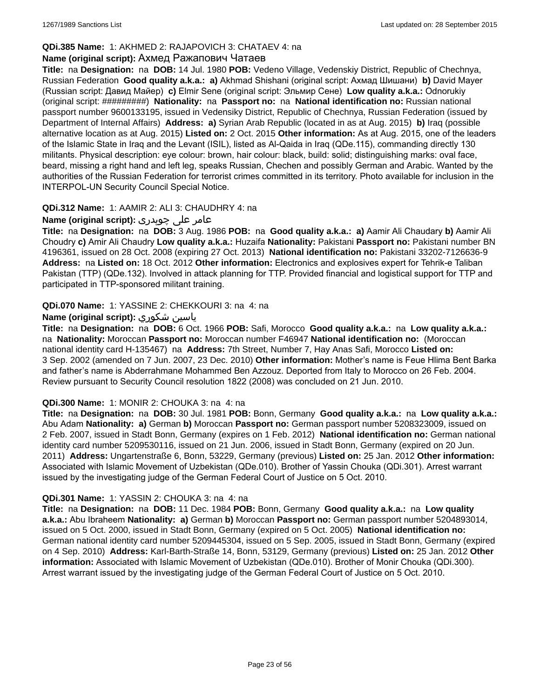# **QDi.385 Name:** 1: AKHMED 2: RAJAPOVICH 3: CHATAEV 4: na

#### **Name (original script):** Ахмед Ражапович Чатаев

**Title:** na **Designation:** na **DOB:** 14 Jul. 1980 **POB:** Vedeno Village, Vedenskiy District, Republic of Chechnya, Russian Federation **Good quality a.k.a.: a)** Akhmad Shishani (original script: Ахмад Шишани) **b)** David Mayer (Russian script: Давид Майер) **c)** Elmir Sene (original script: Эльмир Сене) **Low quality a.k.a.:** Odnorukiy (original script: #########) **Nationality:** na **Passport no:** na **National identification no:** Russian national passport number 9600133195, issued in Vedensiky District, Republic of Chechnya, Russian Federation (issued by Department of Internal Affairs) **Address: a)** Syrian Arab Republic (located in as at Aug. 2015) **b)** Iraq (possible alternative location as at Aug. 2015) **Listed on:** 2 Oct. 2015 **Other information:** As at Aug. 2015, one of the leaders of the Islamic State in Iraq and the Levant (ISIL), listed as Al-Qaida in Iraq (QDe.115), commanding directly 130 militants. Physical description: eye colour: brown, hair colour: black, build: solid; distinguishing marks: oval face, beard, missing a right hand and left leg, speaks Russian, Chechen and possibly German and Arabic. Wanted by the authorities of the Russian Federation for terrorist crimes committed in its territory. Photo available for inclusion in the INTERPOL-UN Security Council Special Notice.

### **QDi.312 Name:** 1: AAMIR 2: ALI 3: CHAUDHRY 4: na

# عامر علی چوہدری **:(script original (Name**

**Title:** na **Designation:** na **DOB:** 3 Aug. 1986 **POB:** na **Good quality a.k.a.: a)** Aamir Ali Chaudary **b)** Aamir Ali Choudry **c)** Amir Ali Chaudry **Low quality a.k.a.:** Huzaifa **Nationality:** Pakistani **Passport no:** Pakistani number BN 4196361, issued on 28 Oct. 2008 (expiring 27 Oct. 2013) **National identification no:** Pakistani 33202-7126636-9 **Address:** na **Listed on:** 18 Oct. 2012 **Other information:** Electronics and explosives expert for Tehrik-e Taliban Pakistan (TTP) (QDe.132). Involved in attack planning for TTP. Provided financial and logistical support for TTP and participated in TTP-sponsored militant training.

### **QDi.070 Name:** 1: YASSINE 2: CHEKKOURI 3: na 4: na

### **Name (original script):** شكوري ياسين

**Title:** na **Designation:** na **DOB:** 6 Oct. 1966 **POB:** Safi, Morocco **Good quality a.k.a.:** na **Low quality a.k.a.:**  na **Nationality:** Moroccan **Passport no:** Moroccan number F46947 **National identification no:** (Moroccan national identity card H-135467) na **Address:** 7th Street, Number 7, Hay Anas Safi, Morocco **Listed on:** 3 Sep. 2002 (amended on 7 Jun. 2007, 23 Dec. 2010) **Other information:** Mother's name is Feue Hlima Bent Barka and father's name is Abderrahmane Mohammed Ben Azzouz. Deported from Italy to Morocco on 26 Feb. 2004. Review pursuant to Security Council resolution 1822 (2008) was concluded on 21 Jun. 2010.

#### **QDi.300 Name:** 1: MONIR 2: CHOUKA 3: na 4: na

**Title:** na **Designation:** na **DOB:** 30 Jul. 1981 **POB:** Bonn, Germany **Good quality a.k.a.:** na **Low quality a.k.a.:** Abu Adam **Nationality: a)** German **b)** Moroccan **Passport no:** German passport number 5208323009, issued on 2 Feb. 2007, issued in Stadt Bonn, Germany (expires on 1 Feb. 2012) **National identification no:** German national identity card number 5209530116, issued on 21 Jun. 2006, issued in Stadt Bonn, Germany (expired on 20 Jun. 2011) **Address:** Ungartenstraße 6, Bonn, 53229, Germany (previous) **Listed on:** 25 Jan. 2012 **Other information:** Associated with Islamic Movement of Uzbekistan (QDe.010). Brother of Yassin Chouka (QDi.301). Arrest warrant issued by the investigating judge of the German Federal Court of Justice on 5 Oct. 2010.

#### **QDi.301 Name:** 1: YASSIN 2: CHOUKA 3: na 4: na

**Title:** na **Designation:** na **DOB:** 11 Dec. 1984 **POB:** Bonn, Germany **Good quality a.k.a.:** na **Low quality a.k.a.:** Abu Ibraheem **Nationality: a)** German **b)** Moroccan **Passport no:** German passport number 5204893014, issued on 5 Oct. 2000, issued in Stadt Bonn, Germany (expired on 5 Oct. 2005) **National identification no:** German national identity card number 5209445304, issued on 5 Sep. 2005, issued in Stadt Bonn, Germany (expired on 4 Sep. 2010) **Address:** Karl-Barth-Straße 14, Bonn, 53129, Germany (previous) **Listed on:** 25 Jan. 2012 **Other information:** Associated with Islamic Movement of Uzbekistan (QDe.010). Brother of Monir Chouka (QDi.300). Arrest warrant issued by the investigating judge of the German Federal Court of Justice on 5 Oct. 2010.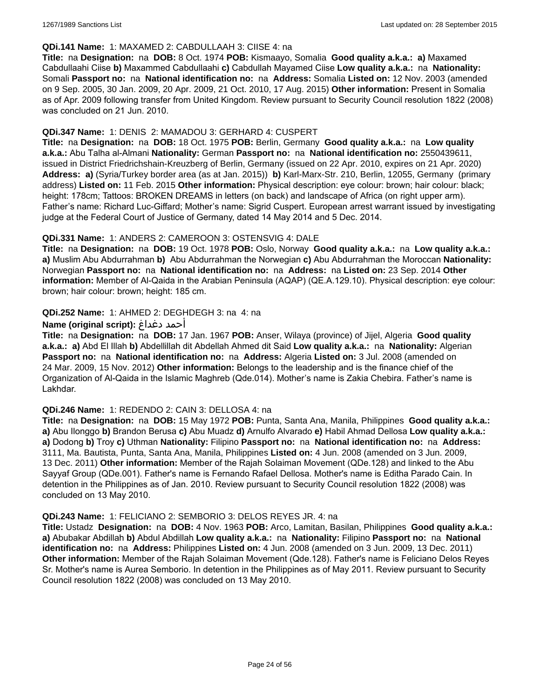### **QDi.141 Name:** 1: MAXAMED 2: CABDULLAAH 3: CIISE 4: na

**Title:** na **Designation:** na **DOB:** 8 Oct. 1974 **POB:** Kismaayo, Somalia **Good quality a.k.a.: a)** Maxamed Cabdullaahi Ciise **b)** Maxammed Cabdullaahi **c)** Cabdullah Mayamed Ciise **Low quality a.k.a.:** na **Nationality:** Somali **Passport no:** na **National identification no:** na **Address:** Somalia **Listed on:** 12 Nov. 2003 (amended on 9 Sep. 2005, 30 Jan. 2009, 20 Apr. 2009, 21 Oct. 2010, 17 Aug. 2015) **Other information:** Present in Somalia as of Apr. 2009 following transfer from United Kingdom. Review pursuant to Security Council resolution 1822 (2008) was concluded on 21 Jun. 2010.

### **QDi.347 Name:** 1: DENIS 2: MAMADOU 3: GERHARD 4: CUSPERT

**Title:** na **Designation:** na **DOB:** 18 Oct. 1975 **POB:** Berlin, Germany **Good quality a.k.a.:** na **Low quality a.k.a.:** Abu Talha al-Almani **Nationality:** German **Passport no:** na **National identification no:** 2550439611, issued in District Friedrichshain-Kreuzberg of Berlin, Germany (issued on 22 Apr. 2010, expires on 21 Apr. 2020) **Address: a)** (Syria/Turkey border area (as at Jan. 2015)) **b)** Karl-Marx-Str. 210, Berlin, 12055, Germany (primary address) **Listed on:** 11 Feb. 2015 **Other information:** Physical description: eye colour: brown; hair colour: black; height: 178cm; Tattoos: BROKEN DREAMS in letters (on back) and landscape of Africa (on right upper arm). Father's name: Richard Luc-Giffard; Mother's name: Sigrid Cuspert. European arrest warrant issued by investigating judge at the Federal Court of Justice of Germany, dated 14 May 2014 and 5 Dec. 2014.

### **QDi.331 Name:** 1: ANDERS 2: CAMEROON 3: OSTENSVIG 4: DALE

**Title:** na **Designation:** na **DOB:** 19 Oct. 1978 **POB:** Oslo, Norway **Good quality a.k.a.:** na **Low quality a.k.a.: a)** Muslim Abu Abdurrahman **b)** Abu Abdurrahman the Norwegian **c)** Abu Abdurrahman the Moroccan **Nationality:** Norwegian **Passport no:** na **National identification no:** na **Address:** na **Listed on:** 23 Sep. 2014 **Other information:** Member of Al-Qaida in the Arabian Peninsula (AQAP) (QE.A.129.10). Physical description: eye colour: brown; hair colour: brown; height: 185 cm.

### **QDi.252 Name:** 1: AHMED 2: DEGHDEGH 3: na 4: na

### **Name (original script):** دغداغ أحمد

**Title:** na **Designation:** na **DOB:** 17 Jan. 1967 **POB:** Anser, Wilaya (province) of Jijel, Algeria **Good quality a.k.a.: a)** Abd El Illah **b)** Abdellillah dit Abdellah Ahmed dit Said **Low quality a.k.a.:** na **Nationality:** Algerian **Passport no:** na **National identification no:** na **Address:** Algeria **Listed on:** 3 Jul. 2008 (amended on 24 Mar. 2009, 15 Nov. 2012) **Other information:** Belongs to the leadership and is the finance chief of the Organization of Al-Qaida in the Islamic Maghreb (Qde.014). Mother's name is Zakia Chebira. Father's name is Lakhdar.

#### **QDi.246 Name:** 1: REDENDO 2: CAIN 3: DELLOSA 4: na

**Title:** na **Designation:** na **DOB:** 15 May 1972 **POB:** Punta, Santa Ana, Manila, Philippines **Good quality a.k.a.: a)** Abu Ilonggo **b)** Brandon Berusa **c)** Abu Muadz **d)** Arnulfo Alvarado **e)** Habil Ahmad Dellosa **Low quality a.k.a.: a)** Dodong **b)** Troy **c)** Uthman **Nationality:** Filipino **Passport no:** na **National identification no:** na **Address:** 3111, Ma. Bautista, Punta, Santa Ana, Manila, Philippines **Listed on:** 4 Jun. 2008 (amended on 3 Jun. 2009, 13 Dec. 2011) **Other information:** Member of the Rajah Solaiman Movement (QDe.128) and linked to the Abu Sayyaf Group (QDe.001). Father's name is Fernando Rafael Dellosa. Mother's name is Editha Parado Cain. In detention in the Philippines as of Jan. 2010. Review pursuant to Security Council resolution 1822 (2008) was concluded on 13 May 2010.

#### **QDi.243 Name:** 1: FELICIANO 2: SEMBORIO 3: DELOS REYES JR. 4: na

**Title:** Ustadz **Designation:** na **DOB:** 4 Nov. 1963 **POB:** Arco, Lamitan, Basilan, Philippines **Good quality a.k.a.: a)** Abubakar Abdillah **b)** Abdul Abdillah **Low quality a.k.a.:** na **Nationality:** Filipino **Passport no:** na **National identification no:** na **Address:** Philippines **Listed on:** 4 Jun. 2008 (amended on 3 Jun. 2009, 13 Dec. 2011) **Other information:** Member of the Rajah Solaiman Movement (Qde.128). Father's name is Feliciano Delos Reyes Sr. Mother's name is Aurea Semborio. In detention in the Philippines as of May 2011. Review pursuant to Security Council resolution 1822 (2008) was concluded on 13 May 2010.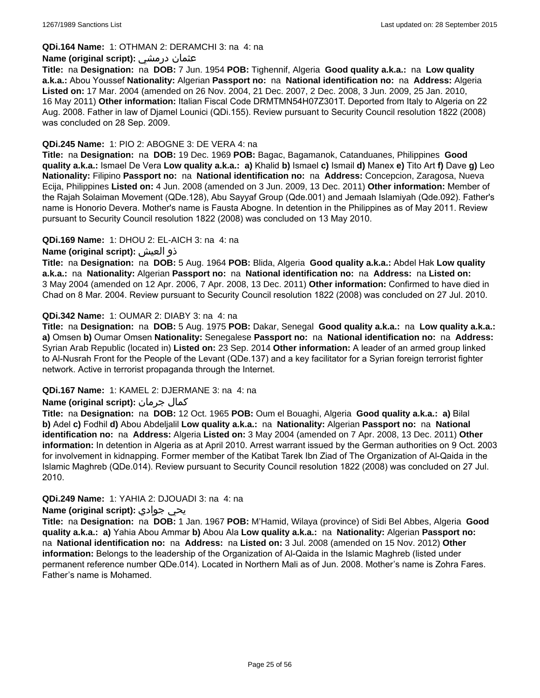### **QDi.164 Name:** 1: OTHMAN 2: DERAMCHI 3: na 4: na

#### **Name (original script):** درمشي عثمان

**Title:** na **Designation:** na **DOB:** 7 Jun. 1954 **POB:** Tighennif, Algeria **Good quality a.k.a.:** na **Low quality a.k.a.:** Abou Youssef **Nationality:** Algerian **Passport no:** na **National identification no:** na **Address:** Algeria **Listed on:** 17 Mar. 2004 (amended on 26 Nov. 2004, 21 Dec. 2007, 2 Dec. 2008, 3 Jun. 2009, 25 Jan. 2010, 16 May 2011) **Other information:** Italian Fiscal Code DRMTMN54H07Z301T. Deported from Italy to Algeria on 22 Aug. 2008. Father in law of Djamel Lounici (QDi.155). Review pursuant to Security Council resolution 1822 (2008) was concluded on 28 Sep. 2009.

### **QDi.245 Name:** 1: PIO 2: ABOGNE 3: DE VERA 4: na

**Title:** na **Designation:** na **DOB:** 19 Dec. 1969 **POB:** Bagac, Bagamanok, Catanduanes, Philippines **Good quality a.k.a.:** Ismael De Vera **Low quality a.k.a.: a)** Khalid **b)** Ismael **c)** Ismail **d)** Manex **e)** Tito Art **f)** Dave **g)** Leo **Nationality:** Filipino **Passport no:** na **National identification no:** na **Address:** Concepcion, Zaragosa, Nueva Ecija, Philippines **Listed on:** 4 Jun. 2008 (amended on 3 Jun. 2009, 13 Dec. 2011) **Other information:** Member of the Rajah Solaiman Movement (QDe.128), Abu Sayyaf Group (Qde.001) and Jemaah Islamiyah (Qde.092). Father's name is Honorio Devera. Mother's name is Fausta Abogne. In detention in the Philippines as of May 2011. Review pursuant to Security Council resolution 1822 (2008) was concluded on 13 May 2010.

### **QDi.169 Name:** 1: DHOU 2: EL-AICH 3: na 4: na

### **Name (original script):** العيش ذو

**Title:** na **Designation:** na **DOB:** 5 Aug. 1964 **POB:** Blida, Algeria **Good quality a.k.a.:** Abdel Hak **Low quality a.k.a.:** na **Nationality:** Algerian **Passport no:** na **National identification no:** na **Address:** na **Listed on:** 3 May 2004 (amended on 12 Apr. 2006, 7 Apr. 2008, 13 Dec. 2011) **Other information:** Confirmed to have died in Chad on 8 Mar. 2004. Review pursuant to Security Council resolution 1822 (2008) was concluded on 27 Jul. 2010.

### **QDi.342 Name:** 1: OUMAR 2: DIABY 3: na 4: na

**Title:** na **Designation:** na **DOB:** 5 Aug. 1975 **POB:** Dakar, Senegal **Good quality a.k.a.:** na **Low quality a.k.a.: a)** Omsen **b)** Oumar Omsen **Nationality:** Senegalese **Passport no:** na **National identification no:** na **Address:** Syrian Arab Republic (located in) **Listed on:** 23 Sep. 2014 **Other information:** A leader of an armed group linked to Al-Nusrah Front for the People of the Levant (QDe.137) and a key facilitator for a Syrian foreign terrorist fighter network. Active in terrorist propaganda through the Internet.

#### **QDi.167 Name:** 1: KAMEL 2: DJERMANE 3: na 4: na

# **Name (original script):** جرمان كمال

**Title:** na **Designation:** na **DOB:** 12 Oct. 1965 **POB:** Oum el Bouaghi, Algeria **Good quality a.k.a.: a)** Bilal **b)** Adel **c)** Fodhil **d)** Abou Abdeljalil **Low quality a.k.a.:** na **Nationality:** Algerian **Passport no:** na **National identification no:** na **Address:** Algeria **Listed on:** 3 May 2004 (amended on 7 Apr. 2008, 13 Dec. 2011) **Other information:** In detention in Algeria as at April 2010. Arrest warrant issued by the German authorities on 9 Oct. 2003 for involvement in kidnapping. Former member of the Katibat Tarek Ibn Ziad of The Organization of Al-Qaida in the Islamic Maghreb (QDe.014). Review pursuant to Security Council resolution 1822 (2008) was concluded on 27 Jul. 2010.

#### **QDi.249 Name:** 1: YAHIA 2: DJOUADI 3: na 4: na

#### **Name (original script):** جوادي يحي

**Title:** na **Designation:** na **DOB:** 1 Jan. 1967 **POB:** M'Hamid, Wilaya (province) of Sidi Bel Abbes, Algeria **Good quality a.k.a.: a)** Yahia Abou Ammar **b)** Abou Ala **Low quality a.k.a.:** na **Nationality:** Algerian **Passport no:**  na **National identification no:** na **Address:** na **Listed on:** 3 Jul. 2008 (amended on 15 Nov. 2012) **Other information:** Belongs to the leadership of the Organization of Al-Qaida in the Islamic Maghreb (listed under permanent reference number QDe.014). Located in Northern Mali as of Jun. 2008. Mother's name is Zohra Fares. Father's name is Mohamed.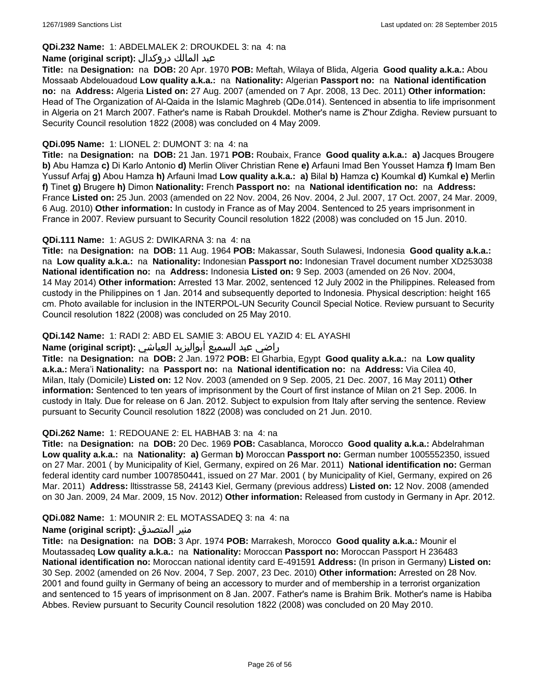# **QDi.232 Name:** 1: ABDELMALEK 2: DROUKDEL 3: na 4: na

### عبد المالك دروكدال **:(script original (Name**

**Title:** na **Designation:** na **DOB:** 20 Apr. 1970 **POB:** Meftah, Wilaya of Blida, Algeria **Good quality a.k.a.:** Abou Mossaab Abdelouadoud **Low quality a.k.a.:** na **Nationality:** Algerian **Passport no:** na **National identification no:** na **Address:** Algeria **Listed on:** 27 Aug. 2007 (amended on 7 Apr. 2008, 13 Dec. 2011) **Other information:** Head of The Organization of Al-Qaida in the Islamic Maghreb (QDe.014). Sentenced in absentia to life imprisonment in Algeria on 21 March 2007. Father's name is Rabah Droukdel. Mother's name is Z'hour Zdigha. Review pursuant to Security Council resolution 1822 (2008) was concluded on 4 May 2009.

### **QDi.095 Name:** 1: LIONEL 2: DUMONT 3: na 4: na

**Title:** na **Designation:** na **DOB:** 21 Jan. 1971 **POB:** Roubaix, France **Good quality a.k.a.: a)** Jacques Brougere **b)** Abu Hamza **c)** Di Karlo Antonio **d)** Merlin Oliver Christian Rene **e)** Arfauni Imad Ben Yousset Hamza **f)** Imam Ben Yussuf Arfaj **g)** Abou Hamza **h)** Arfauni Imad **Low quality a.k.a.: a)** Bilal **b)** Hamza **c)** Koumkal **d)** Kumkal **e)** Merlin **f)** Tinet **g)** Brugere **h)** Dimon **Nationality:** French **Passport no:** na **National identification no:** na **Address:** France **Listed on:** 25 Jun. 2003 (amended on 22 Nov. 2004, 26 Nov. 2004, 2 Jul. 2007, 17 Oct. 2007, 24 Mar. 2009, 6 Aug. 2010) **Other information:** In custody in France as of May 2004. Sentenced to 25 years imprisonment in France in 2007. Review pursuant to Security Council resolution 1822 (2008) was concluded on 15 Jun. 2010.

### **QDi.111 Name:** 1: AGUS 2: DWIKARNA 3: na 4: na

**Title:** na **Designation:** na **DOB:** 11 Aug. 1964 **POB:** Makassar, South Sulawesi, Indonesia **Good quality a.k.a.:**  na **Low quality a.k.a.:** na **Nationality:** Indonesian **Passport no:** Indonesian Travel document number XD253038 **National identification no:** na **Address:** Indonesia **Listed on:** 9 Sep. 2003 (amended on 26 Nov. 2004, 14 May 2014) **Other information:** Arrested 13 Mar. 2002, sentenced 12 July 2002 in the Philippines. Released from custody in the Philippines on 1 Jan. 2014 and subsequently deported to Indonesia. Physical description: height 165 cm. Photo available for inclusion in the INTERPOL-UN Security Council Special Notice. Review pursuant to Security Council resolution 1822 (2008) was concluded on 25 May 2010.

# **QDi.142 Name:** 1: RADI 2: ABD EL SAMIE 3: ABOU EL YAZID 4: EL AYASHI

#### راضي عبد السميع أبواليزيد العياشي **:(script original (Name**

**Title:** na **Designation:** na **DOB:** 2 Jan. 1972 **POB:** El Gharbia, Egypt **Good quality a.k.a.:** na **Low quality a.k.a.:** Mera'i **Nationality:** na **Passport no:** na **National identification no:** na **Address:** Via Cilea 40, Milan, Italy (Domicile) **Listed on:** 12 Nov. 2003 (amended on 9 Sep. 2005, 21 Dec. 2007, 16 May 2011) **Other information:** Sentenced to ten years of imprisonment by the Court of first instance of Milan on 21 Sep. 2006. In custody in Italy. Due for release on 6 Jan. 2012. Subject to expulsion from Italy after serving the sentence. Review pursuant to Security Council resolution 1822 (2008) was concluded on 21 Jun. 2010.

#### **QDi.262 Name:** 1: REDOUANE 2: EL HABHAB 3: na 4: na

**Title:** na **Designation:** na **DOB:** 20 Dec. 1969 **POB:** Casablanca, Morocco **Good quality a.k.a.:** Abdelrahman **Low quality a.k.a.:** na **Nationality: a)** German **b)** Moroccan **Passport no:** German number 1005552350, issued on 27 Mar. 2001 ( by Municipality of Kiel, Germany, expired on 26 Mar. 2011) **National identification no:** German federal identity card number 1007850441, issued on 27 Mar. 2001 ( by Municipality of Kiel, Germany, expired on 26 Mar. 2011) **Address:** lltisstrasse 58, 24143 Kiel, Germany (previous address) **Listed on:** 12 Nov. 2008 (amended on 30 Jan. 2009, 24 Mar. 2009, 15 Nov. 2012) **Other information:** Released from custody in Germany in Apr. 2012.

#### **QDi.082 Name:** 1: MOUNIR 2: EL MOTASSADEQ 3: na 4: na

# **Name (original script):** المتصدق منير

**Title:** na **Designation:** na **DOB:** 3 Apr. 1974 **POB:** Marrakesh, Morocco **Good quality a.k.a.:** Mounir el Moutassadeq **Low quality a.k.a.:** na **Nationality:** Moroccan **Passport no:** Moroccan Passport H 236483 **National identification no:** Moroccan national identity card E-491591 **Address:** (In prison in Germany) **Listed on:** 30 Sep. 2002 (amended on 26 Nov. 2004, 7 Sep. 2007, 23 Dec. 2010) **Other information:** Arrested on 28 Nov. 2001 and found guilty in Germany of being an accessory to murder and of membership in a terrorist organization and sentenced to 15 years of imprisonment on 8 Jan. 2007. Father's name is Brahim Brik. Mother's name is Habiba Abbes. Review pursuant to Security Council resolution 1822 (2008) was concluded on 20 May 2010.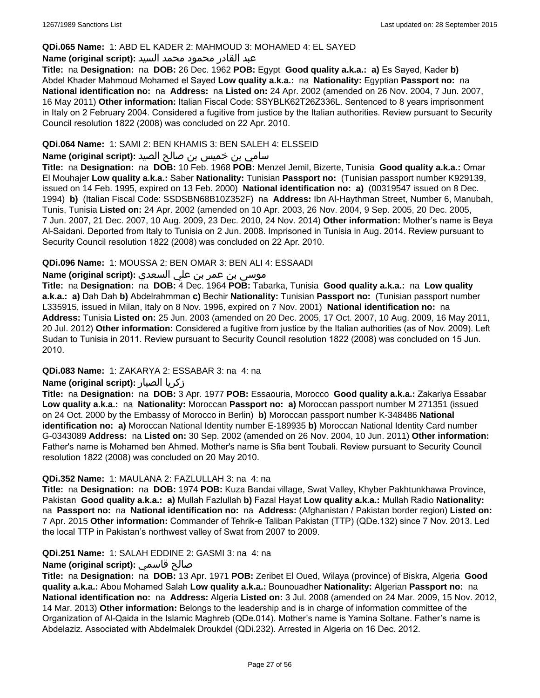#### **QDi.065 Name:** 1: ABD EL KADER 2: MAHMOUD 3: MOHAMED 4: EL SAYED

#### عبد القادر محمود محمد السيد **:(script original (Name**

**Title:** na **Designation:** na **DOB:** 26 Dec. 1962 **POB:** Egypt **Good quality a.k.a.: a)** Es Sayed, Kader **b)** Abdel Khader Mahmoud Mohamed el Sayed **Low quality a.k.a.:** na **Nationality:** Egyptian **Passport no:** na **National identification no:** na **Address:** na **Listed on:** 24 Apr. 2002 (amended on 26 Nov. 2004, 7 Jun. 2007, 16 May 2011) **Other information:** Italian Fiscal Code: SSYBLK62T26Z336L. Sentenced to 8 years imprisonment in Italy on 2 February 2004. Considered a fugitive from justice by the Italian authorities. Review pursuant to Security Council resolution 1822 (2008) was concluded on 22 Apr. 2010.

### **QDi.064 Name:** 1: SAMI 2: BEN KHAMIS 3: BEN SALEH 4: ELSSEID

# سامي بن خميس بن صالح الصيد **:Name (original script**)

**Title:** na **Designation:** na **DOB:** 10 Feb. 1968 **POB:** Menzel Jemil, Bizerte, Tunisia **Good quality a.k.a.:** Omar El Mouhajer **Low quality a.k.a.:** Saber **Nationality:** Tunisian **Passport no:** (Tunisian passport number K929139, issued on 14 Feb. 1995, expired on 13 Feb. 2000) **National identification no: a)** (00319547 issued on 8 Dec. 1994) **b)** (Italian Fiscal Code: SSDSBN68B10Z352F) na **Address:** Ibn Al-Haythman Street, Number 6, Manubah, Tunis, Tunisia **Listed on:** 24 Apr. 2002 (amended on 10 Apr. 2003, 26 Nov. 2004, 9 Sep. 2005, 20 Dec. 2005, 7 Jun. 2007, 21 Dec. 2007, 10 Aug. 2009, 23 Dec. 2010, 24 Nov. 2014) **Other information:** Mother's name is Beya Al-Saidani. Deported from Italy to Tunisia on 2 Jun. 2008. Imprisoned in Tunisia in Aug. 2014. Review pursuant to Security Council resolution 1822 (2008) was concluded on 22 Apr. 2010.

### **QDi.096 Name:** 1: MOUSSA 2: BEN OMAR 3: BEN ALI 4: ESSAADI

# موسى بن عمر بن علي السعدي **:Name (original script**)

**Title:** na **Designation:** na **DOB:** 4 Dec. 1964 **POB:** Tabarka, Tunisia **Good quality a.k.a.:** na **Low quality a.k.a.: a)** Dah Dah **b)** Abdelrahmman **c)** Bechir **Nationality:** Tunisian **Passport no:** (Tunisian passport number L335915, issued in Milan, Italy on 8 Nov. 1996, expired on 7 Nov. 2001) **National identification no:** na **Address:** Tunisia **Listed on:** 25 Jun. 2003 (amended on 20 Dec. 2005, 17 Oct. 2007, 10 Aug. 2009, 16 May 2011, 20 Jul. 2012) **Other information:** Considered a fugitive from justice by the Italian authorities (as of Nov. 2009). Left Sudan to Tunisia in 2011. Review pursuant to Security Council resolution 1822 (2008) was concluded on 15 Jun. 2010.

# **QDi.083 Name:** 1: ZAKARYA 2: ESSABAR 3: na 4: na

# **Name (original script):** الصبار زكريا

**Title:** na **Designation:** na **DOB:** 3 Apr. 1977 **POB:** Essaouria, Morocco **Good quality a.k.a.:** Zakariya Essabar **Low quality a.k.a.:** na **Nationality:** Moroccan **Passport no: a)** Moroccan passport number M 271351 (issued on 24 Oct. 2000 by the Embassy of Morocco in Berlin) **b)** Moroccan passport number K-348486 **National identification no: a)** Moroccan National Identity number E-189935 **b)** Moroccan National Identity Card number G-0343089 **Address:** na **Listed on:** 30 Sep. 2002 (amended on 26 Nov. 2004, 10 Jun. 2011) **Other information:** Father's name is Mohamed ben Ahmed. Mother's name is Sfia bent Toubali. Review pursuant to Security Council resolution 1822 (2008) was concluded on 20 May 2010.

# **QDi.352 Name:** 1: MAULANA 2: FAZLULLAH 3: na 4: na

**Title:** na **Designation:** na **DOB:** 1974 **POB:** Kuza Bandai village, Swat Valley, Khyber Pakhtunkhawa Province, Pakistan **Good quality a.k.a.: a)** Mullah Fazlullah **b)** Fazal Hayat **Low quality a.k.a.:** Mullah Radio **Nationality:**  na **Passport no:** na **National identification no:** na **Address:** (Afghanistan / Pakistan border region) **Listed on:** 7 Apr. 2015 **Other information:** Commander of Tehrik-e Taliban Pakistan (TTP) (QDe.132) since 7 Nov. 2013. Led the local TTP in Pakistan's northwest valley of Swat from 2007 to 2009.

# **QDi.251 Name:** 1: SALAH EDDINE 2: GASMI 3: na 4: na

# **Name (original script):** قاسمي صالح

**Title:** na **Designation:** na **DOB:** 13 Apr. 1971 **POB:** Zeribet El Oued, Wilaya (province) of Biskra, Algeria **Good quality a.k.a.:** Abou Mohamed Salah **Low quality a.k.a.:** Bounouadher **Nationality:** Algerian **Passport no:** na **National identification no:** na **Address:** Algeria **Listed on:** 3 Jul. 2008 (amended on 24 Mar. 2009, 15 Nov. 2012, 14 Mar. 2013) **Other information:** Belongs to the leadership and is in charge of information committee of the Organization of Al-Qaida in the Islamic Maghreb (QDe.014). Mother's name is Yamina Soltane. Father's name is Abdelaziz. Associated with Abdelmalek Droukdel (QDi.232). Arrested in Algeria on 16 Dec. 2012.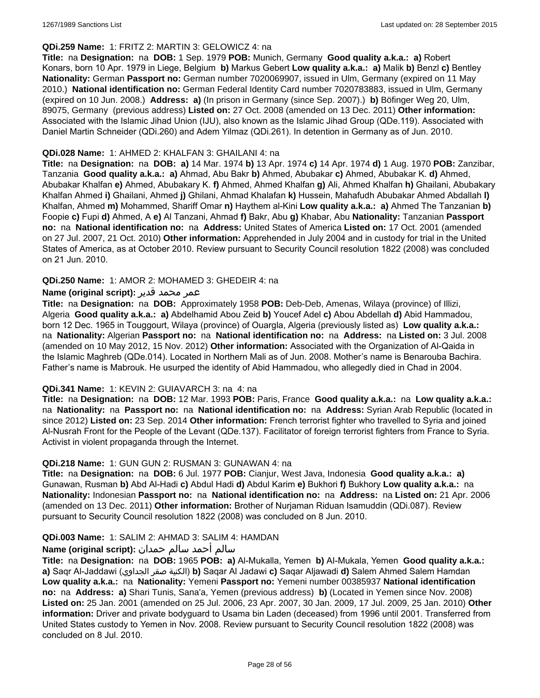### **QDi.259 Name:** 1: FRITZ 2: MARTIN 3: GELOWICZ 4: na

**Title:** na **Designation:** na **DOB:** 1 Sep. 1979 **POB:** Munich, Germany **Good quality a.k.a.: a)** Robert Konars, born 10 Apr. 1979 in Liege, Belgium **b)** Markus Gebert **Low quality a.k.a.: a)** Malik **b)** Benzl **c)** Bentley **Nationality:** German **Passport no:** German number 7020069907, issued in Ulm, Germany (expired on 11 May 2010.) **National identification no:** German Federal Identity Card number 7020783883, issued in Ulm, Germany (expired on 10 Jun. 2008.) **Address: a)** (In prison in Germany (since Sep. 2007).) **b)** Böfinger Weg 20, Ulm, 89075, Germany (previous address) **Listed on:** 27 Oct. 2008 (amended on 13 Dec. 2011) **Other information:** Associated with the Islamic Jihad Union (IJU), also known as the Islamic Jihad Group (QDe.119). Associated with Daniel Martin Schneider (QDi.260) and Adem Yilmaz (QDi.261). In detention in Germany as of Jun. 2010.

#### **QDi.028 Name:** 1: AHMED 2: KHALFAN 3: GHAILANI 4: na

**Title:** na **Designation:** na **DOB: a)** 14 Mar. 1974 **b)** 13 Apr. 1974 **c)** 14 Apr. 1974 **d)** 1 Aug. 1970 **POB:** Zanzibar, Tanzania **Good quality a.k.a.: a)** Ahmad, Abu Bakr **b)** Ahmed, Abubakar **c)** Ahmed, Abubakar K. **d)** Ahmed, Abubakar Khalfan **e)** Ahmed, Abubakary K. **f)** Ahmed, Ahmed Khalfan **g)** Ali, Ahmed Khalfan **h)** Ghailani, Abubakary Khalfan Ahmed **i)** Ghailani, Ahmed **j)** Ghilani, Ahmad Khalafan **k)** Hussein, Mahafudh Abubakar Ahmed Abdallah **l)** Khalfan, Ahmed **m)** Mohammed, Shariff Omar **n)** Haythem al-Kini **Low quality a.k.a.: a)** Ahmed The Tanzanian **b)** Foopie **c)** Fupi **d)** Ahmed, A **e)** Al Tanzani, Ahmad **f)** Bakr, Abu **g)** Khabar, Abu **Nationality:** Tanzanian **Passport no:** na **National identification no:** na **Address:** United States of America **Listed on:** 17 Oct. 2001 (amended on 27 Jul. 2007, 21 Oct. 2010) **Other information:** Apprehended in July 2004 and in custody for trial in the United States of America, as at October 2010. Review pursuant to Security Council resolution 1822 (2008) was concluded on 21 Jun. 2010.

### **QDi.250 Name:** 1: AMOR 2: MOHAMED 3: GHEDEIR 4: na

### عمر محمد قدير **:(Name (original script**

**Title:** na **Designation:** na **DOB:** Approximately 1958 **POB:** Deb-Deb, Amenas, Wilaya (province) of Illizi, Algeria **Good quality a.k.a.: a)** Abdelhamid Abou Zeid **b)** Youcef Adel **c)** Abou Abdellah **d)** Abid Hammadou, born 12 Dec. 1965 in Touggourt, Wilaya (province) of Ouargla, Algeria (previously listed as) **Low quality a.k.a.:**  na **Nationality:** Algerian **Passport no:** na **National identification no:** na **Address:** na **Listed on:** 3 Jul. 2008 (amended on 10 May 2012, 15 Nov. 2012) **Other information:** Associated with the Organization of Al-Qaida in the Islamic Maghreb (QDe.014). Located in Northern Mali as of Jun. 2008. Mother's name is Benarouba Bachira. Father's name is Mabrouk. He usurped the identity of Abid Hammadou, who allegedly died in Chad in 2004.

#### **QDi.341 Name:** 1: KEVIN 2: GUIAVARCH 3: na 4: na

**Title:** na **Designation:** na **DOB:** 12 Mar. 1993 **POB:** Paris, France **Good quality a.k.a.:** na **Low quality a.k.a.:**  na **Nationality:** na **Passport no:** na **National identification no:** na **Address:** Syrian Arab Republic (located in since 2012) **Listed on:** 23 Sep. 2014 **Other information:** French terrorist fighter who travelled to Syria and joined Al-Nusrah Front for the People of the Levant (QDe.137). Facilitator of foreign terrorist fighters from France to Syria. Activist in violent propaganda through the Internet.

#### **QDi.218 Name:** 1: GUN GUN 2: RUSMAN 3: GUNAWAN 4: na

**Title:** na **Designation:** na **DOB:** 6 Jul. 1977 **POB:** Cianjur, West Java, Indonesia **Good quality a.k.a.: a)** Gunawan, Rusman **b)** Abd Al-Hadi **c)** Abdul Hadi **d)** Abdul Karim **e)** Bukhori **f)** Bukhory **Low quality a.k.a.:** na **Nationality:** Indonesian **Passport no:** na **National identification no:** na **Address:** na **Listed on:** 21 Apr. 2006 (amended on 13 Dec. 2011) **Other information:** Brother of Nurjaman Riduan Isamuddin (QDi.087). Review pursuant to Security Council resolution 1822 (2008) was concluded on 8 Jun. 2010.

#### **QDi.003 Name:** 1: SALIM 2: AHMAD 3: SALIM 4: HAMDAN

# سالم أحمد سالم حمدان **:(script original (Name**

**Title:** na **Designation:** na **DOB:** 1965 **POB: a)** Al-Mukalla, Yemen **b)** AI-Mukala, Yemen **Good quality a.k.a.: a)** Saqr Al-Jaddawi (الجداوي صقر الكنية(**b)** Saqar Al Jadawi **c)** Saqar Aljawadi **d)** Salem Ahmed Salem Hamdan **Low quality a.k.a.:** na **Nationality:** Yemeni **Passport no:** Yemeni number 00385937 **National identification no:** na **Address: a)** Shari Tunis, Sana'a, Yemen (previous address) **b)** (Located in Yemen since Nov. 2008) **Listed on:** 25 Jan. 2001 (amended on 25 Jul. 2006, 23 Apr. 2007, 30 Jan. 2009, 17 Jul. 2009, 25 Jan. 2010) **Other information:** Driver and private bodyguard to Usama bin Laden (deceased) from 1996 until 2001. Transferred from United States custody to Yemen in Nov. 2008. Review pursuant to Security Council resolution 1822 (2008) was concluded on 8 Jul. 2010.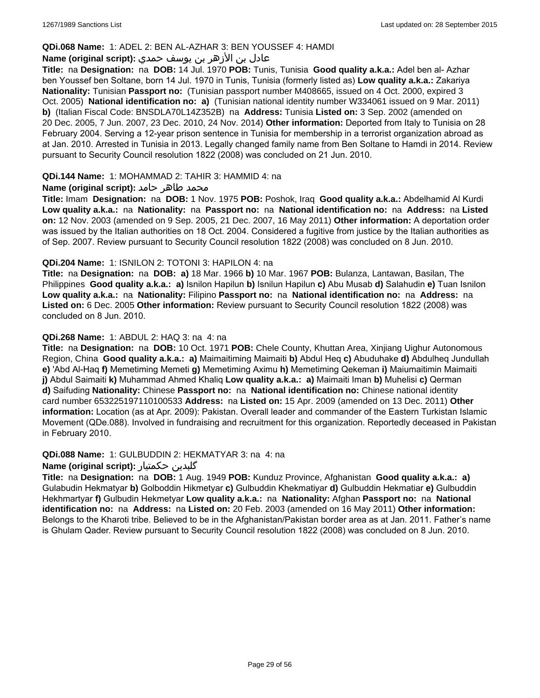#### **QDi.068 Name:** 1: ADEL 2: BEN AL-AZHAR 3: BEN YOUSSEF 4: HAMDI

# عادل بن الأزهر بن يوسف حمدي **:(script original (Name**

**Title:** na **Designation:** na **DOB:** 14 Jul. 1970 **POB:** Tunis, Tunisia **Good quality a.k.a.:** Adel ben al- Azhar ben Youssef ben Soltane, born 14 Jul. 1970 in Tunis, Tunisia (formerly listed as) **Low quality a.k.a.:** Zakariya **Nationality:** Tunisian **Passport no:** (Tunisian passport number M408665, issued on 4 Oct. 2000, expired 3 Oct. 2005) **National identification no: a)** (Tunisian national identity number W334061 issued on 9 Mar. 2011) **b)** (Italian Fiscal Code: BNSDLA70L14Z352B) na **Address:** Tunisia **Listed on:** 3 Sep. 2002 (amended on 20 Dec. 2005, 7 Jun. 2007, 23 Dec. 2010, 24 Nov. 2014) **Other information:** Deported from Italy to Tunisia on 28 February 2004. Serving a 12-year prison sentence in Tunisia for membership in a terrorist organization abroad as at Jan. 2010. Arrested in Tunisia in 2013. Legally changed family name from Ben Soltane to Hamdi in 2014. Review pursuant to Security Council resolution 1822 (2008) was concluded on 21 Jun. 2010.

#### **QDi.144 Name:** 1: MOHAMMAD 2: TAHIR 3: HAMMID 4: na

### **محمد طاهر حامد :(Name (original script**

**Title:** Imam **Designation:** na **DOB:** 1 Nov. 1975 **POB:** Poshok, Iraq **Good quality a.k.a.:** Abdelhamid Al Kurdi **Low quality a.k.a.:** na **Nationality:** na **Passport no:** na **National identification no:** na **Address:** na **Listed on:** 12 Nov. 2003 (amended on 9 Sep. 2005, 21 Dec. 2007, 16 May 2011) **Other information:** A deportation order was issued by the Italian authorities on 18 Oct. 2004. Considered a fugitive from justice by the Italian authorities as of Sep. 2007. Review pursuant to Security Council resolution 1822 (2008) was concluded on 8 Jun. 2010.

### **QDi.204 Name:** 1: ISNILON 2: TOTONI 3: HAPILON 4: na

**Title:** na **Designation:** na **DOB: a)** 18 Mar. 1966 **b)** 10 Mar. 1967 **POB:** Bulanza, Lantawan, Basilan, The Philippines **Good quality a.k.a.: a)** Isnilon Hapilun **b)** Isnilun Hapilun **c)** Abu Musab **d)** Salahudin **e)** Tuan Isnilon **Low quality a.k.a.:** na **Nationality:** Filipino **Passport no:** na **National identification no:** na **Address:** na **Listed on:** 6 Dec. 2005 **Other information:** Review pursuant to Security Council resolution 1822 (2008) was concluded on 8 Jun. 2010.

### **QDi.268 Name:** 1: ABDUL 2: HAQ 3: na 4: na

**Title:** na **Designation:** na **DOB:** 10 Oct. 1971 **POB:** Chele County, Khuttan Area, Xinjiang Uighur Autonomous Region, China **Good quality a.k.a.: a)** Maimaitiming Maimaiti **b)** Abdul Heq **c)** Abuduhake **d)** Abdulheq Jundullah **e)** 'Abd Al-Haq **f)** Memetiming Memeti **g)** Memetiming Aximu **h)** Memetiming Qekeman **i)** Maiumaitimin Maimaiti **j)** Abdul Saimaiti **k)** Muhammad Ahmed Khaliq **Low quality a.k.a.: a)** Maimaiti Iman **b)** Muhelisi **c)** Qerman **d)** Saifuding **Nationality:** Chinese **Passport no:** na **National identification no:** Chinese national identity card number 653225197110100533 **Address:** na **Listed on:** 15 Apr. 2009 (amended on 13 Dec. 2011) **Other information:** Location (as at Apr. 2009): Pakistan. Overall leader and commander of the Eastern Turkistan Islamic Movement (QDe.088). Involved in fundraising and recruitment for this organization. Reportedly deceased in Pakistan in February 2010.

#### **QDi.088 Name:** 1: GULBUDDIN 2: HEKMATYAR 3: na 4: na

#### **Name (original script):** حکمتیار گلبدین

**Title:** na **Designation:** na **DOB:** 1 Aug. 1949 **POB:** Kunduz Province, Afghanistan **Good quality a.k.a.: a)** Gulabudin Hekmatyar **b)** Golboddin Hikmetyar **c)** Gulbuddin Khekmatiyar **d)** Gulbuddin Hekmatiar **e)** Gulbuddin Hekhmartyar **f)** Gulbudin Hekmetyar **Low quality a.k.a.:** na **Nationality:** Afghan **Passport no:** na **National identification no:** na **Address:** na **Listed on:** 20 Feb. 2003 (amended on 16 May 2011) **Other information:** Belongs to the Kharoti tribe. Believed to be in the Afghanistan/Pakistan border area as at Jan. 2011. Father's name is Ghulam Qader. Review pursuant to Security Council resolution 1822 (2008) was concluded on 8 Jun. 2010.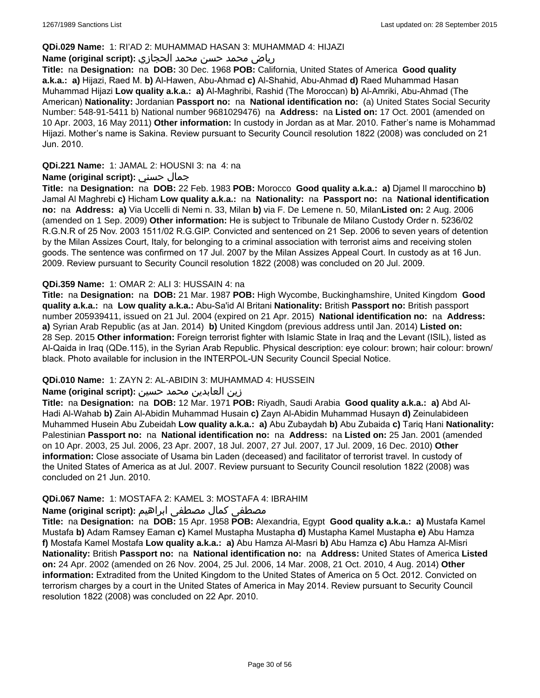### **QDi.029 Name:** 1: RI'AD 2: MUHAMMAD HASAN 3: MUHAMMAD 4: HIJAZI

# رياض محمد حسن محمد الحجازي **:(script original (Name**

**Title:** na **Designation:** na **DOB:** 30 Dec. 1968 **POB:** California, United States of America **Good quality a.k.a.: a)** Hijazi, Raed M. **b)** Al-Hawen, Abu-Ahmad **c)** Al-Shahid, Abu-Ahmad **d)** Raed Muhammad Hasan Muhammad Hijazi **Low quality a.k.a.: a)** Al-Maghribi, Rashid (The Moroccan) **b)** Al-Amriki, Abu-Ahmad (The American) **Nationality:** Jordanian **Passport no:** na **National identification no:** (a) United States Social Security Number: 548-91-5411 b) National number 9681029476) na **Address:** na **Listed on:** 17 Oct. 2001 (amended on 10 Apr. 2003, 16 May 2011) **Other information:** In custody in Jordan as at Mar. 2010. Father's name is Mohammad Hijazi. Mother's name is Sakina. Review pursuant to Security Council resolution 1822 (2008) was concluded on 21 Jun. 2010.

# **QDi.221 Name:** 1: JAMAL 2: HOUSNI 3: na 4: na

# **Name (original script):** حسني جمال

**Title:** na **Designation:** na **DOB:** 22 Feb. 1983 **POB:** Morocco **Good quality a.k.a.: a)** Djamel Il marocchino **b)** Jamal Al Maghrebi **c)** Hicham **Low quality a.k.a.:** na **Nationality:** na **Passport no:** na **National identification no:** na **Address: a)** Via Uccelli di Nemi n. 33, Milan **b)** via F. De Lemene n. 50, Milan**Listed on:** 2 Aug. 2006 (amended on 1 Sep. 2009) **Other information:** He is subject to Tribunale de Milano Custody Order n. 5236/02 R.G.N.R of 25 Nov. 2003 1511/02 R.G.GIP. Convicted and sentenced on 21 Sep. 2006 to seven years of detention by the Milan Assizes Court, Italy, for belonging to a criminal association with terrorist aims and receiving stolen goods. The sentence was confirmed on 17 Jul. 2007 by the Milan Assizes Appeal Court. In custody as at 16 Jun. 2009. Review pursuant to Security Council resolution 1822 (2008) was concluded on 20 Jul. 2009.

### **QDi.359 Name:** 1: OMAR 2: ALI 3: HUSSAIN 4: na

**Title:** na **Designation:** na **DOB:** 21 Mar. 1987 **POB:** High Wycombe, Buckinghamshire, United Kingdom **Good quality a.k.a.:** na **Low quality a.k.a.:** Abu-Sa'id Al Britani **Nationality:** British **Passport no:** British passport number 205939411, issued on 21 Jul. 2004 (expired on 21 Apr. 2015) **National identification no:** na **Address: a)** Syrian Arab Republic (as at Jan. 2014) **b)** United Kingdom (previous address until Jan. 2014) **Listed on:** 28 Sep. 2015 **Other information:** Foreign terrorist fighter with Islamic State in Iraq and the Levant (ISIL), listed as Al-Qaida in Iraq (QDe.115), in the Syrian Arab Republic. Physical description: eye colour: brown; hair colour: brown/ black. Photo available for inclusion in the INTERPOL-UN Security Council Special Notice.

# **QDi.010 Name:** 1: ZAYN 2: AL-ABIDIN 3: MUHAMMAD 4: HUSSEIN

#### زين العابدين محمد حسين **:(script original (Name**

**Title:** na **Designation:** na **DOB:** 12 Mar. 1971 **POB:** Riyadh, Saudi Arabia **Good quality a.k.a.: a)** Abd Al-Hadi Al-Wahab **b)** Zain Al-Abidin Muhammad Husain **c)** Zayn Al-Abidin Muhammad Husayn **d)** Zeinulabideen Muhammed Husein Abu Zubeidah **Low quality a.k.a.: a)** Abu Zubaydah **b)** Abu Zubaida **c)** Tariq Hani **Nationality:** Palestinian **Passport no:** na **National identification no:** na **Address:** na **Listed on:** 25 Jan. 2001 (amended on 10 Apr. 2003, 25 Jul. 2006, 23 Apr. 2007, 18 Jul. 2007, 27 Jul. 2007, 17 Jul. 2009, 16 Dec. 2010) **Other information:** Close associate of Usama bin Laden (deceased) and facilitator of terrorist travel. In custody of the United States of America as at Jul. 2007. Review pursuant to Security Council resolution 1822 (2008) was concluded on 21 Jun. 2010.

# **QDi.067 Name:** 1: MOSTAFA 2: KAMEL 3: MOSTAFA 4: IBRAHIM

# مصطفى كمال مصطفى ابراهيم **:Name (original script**)

**Title:** na **Designation:** na **DOB:** 15 Apr. 1958 **POB:** Alexandria, Egypt **Good quality a.k.a.: a)** Mustafa Kamel Mustafa **b)** Adam Ramsey Eaman **c)** Kamel Mustapha Mustapha **d)** Mustapha Kamel Mustapha **e)** Abu Hamza **f)** Mostafa Kamel Mostafa **Low quality a.k.a.: a)** Abu Hamza Al-Masri **b)** Abu Hamza **c)** Abu Hamza Al-Misri **Nationality:** British **Passport no:** na **National identification no:** na **Address:** United States of America **Listed on:** 24 Apr. 2002 (amended on 26 Nov. 2004, 25 Jul. 2006, 14 Mar. 2008, 21 Oct. 2010, 4 Aug. 2014) **Other information:** Extradited from the United Kingdom to the United States of America on 5 Oct. 2012. Convicted on terrorism charges by a court in the United States of America in May 2014. Review pursuant to Security Council resolution 1822 (2008) was concluded on 22 Apr. 2010.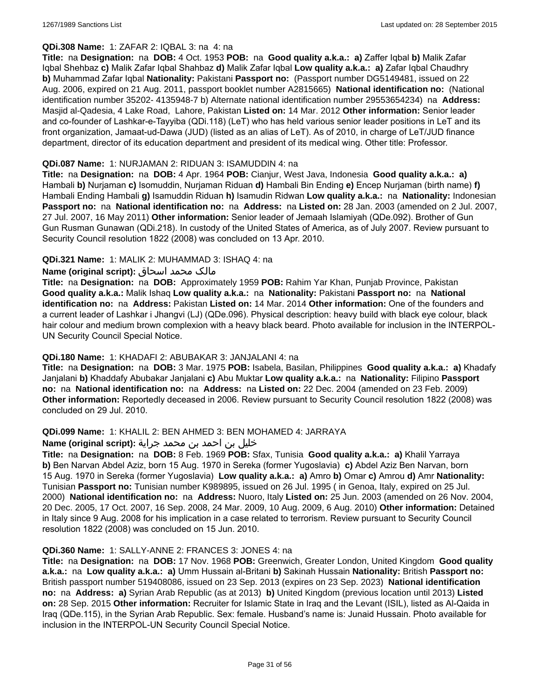# **QDi.308 Name:** 1: ZAFAR 2: IQBAL 3: na 4: na

**Title:** na **Designation:** na **DOB:** 4 Oct. 1953 **POB:** na **Good quality a.k.a.: a)** Zaffer Iqbal **b)** Malik Zafar Iqbal Shehbaz **c)** Malik Zafar Iqbal Shahbaz **d)** Malik Zafar Iqbal **Low quality a.k.a.: a)** Zafar Iqbal Chaudhry **b)** Muhammad Zafar Iqbal **Nationality:** Pakistani **Passport no:** (Passport number DG5149481, issued on 22 Aug. 2006, expired on 21 Aug. 2011, passport booklet number A2815665) **National identification no:** (National identification number 35202- 4135948-7 b) Alternate national identification number 29553654234) na **Address:** Masjid al-Qadesia, 4 Lake Road, Lahore, Pakistan **Listed on:** 14 Mar. 2012 **Other information:** Senior leader and co-founder of Lashkar-e-Tayyiba (QDi.118) (LeT) who has held various senior leader positions in LeT and its front organization, Jamaat-ud-Dawa (JUD) (listed as an alias of LeT). As of 2010, in charge of LeT/JUD finance department, director of its education department and president of its medical wing. Other title: Professor.

### **QDi.087 Name:** 1: NURJAMAN 2: RIDUAN 3: ISAMUDDIN 4: na

**Title:** na **Designation:** na **DOB:** 4 Apr. 1964 **POB:** Cianjur, West Java, Indonesia **Good quality a.k.a.: a)** Hambali **b)** Nurjaman **c)** Isomuddin, Nurjaman Riduan **d)** Hambali Bin Ending **e)** Encep Nurjaman (birth name) **f)** Hambali Ending Hambali **g)** Isamuddin Riduan **h)** Isamudin Ridwan **Low quality a.k.a.:** na **Nationality:** Indonesian **Passport no:** na **National identification no:** na **Address:** na **Listed on:** 28 Jan. 2003 (amended on 2 Jul. 2007, 27 Jul. 2007, 16 May 2011) **Other information:** Senior leader of Jemaah Islamiyah (QDe.092). Brother of Gun Gun Rusman Gunawan (QDi.218). In custody of the United States of America, as of July 2007. Review pursuant to Security Council resolution 1822 (2008) was concluded on 13 Apr. 2010.

# **QDi.321 Name:** 1: MALIK 2: MUHAMMAD 3: ISHAQ 4: na

# مالک محمد اسحاق **:(script original (Name**

**Title:** na **Designation:** na **DOB:** Approximately 1959 **POB:** Rahim Yar Khan, Punjab Province, Pakistan **Good quality a.k.a.:** Malik Ishaq **Low quality a.k.a.:** na **Nationality:** Pakistani **Passport no:** na **National identification no:** na **Address:** Pakistan **Listed on:** 14 Mar. 2014 **Other information:** One of the founders and a current leader of Lashkar i Jhangvi (LJ) (QDe.096). Physical description: heavy build with black eye colour, black hair colour and medium brown complexion with a heavy black beard. Photo available for inclusion in the INTERPOL-UN Security Council Special Notice.

# **QDi.180 Name:** 1: KHADAFI 2: ABUBAKAR 3: JANJALANI 4: na

**Title:** na **Designation:** na **DOB:** 3 Mar. 1975 **POB:** Isabela, Basilan, Philippines **Good quality a.k.a.: a)** Khadafy Janjalani **b)** Khaddafy Abubakar Janjalani **c)** Abu Muktar **Low quality a.k.a.:** na **Nationality:** Filipino **Passport no:** na **National identification no:** na **Address:** na **Listed on:** 22 Dec. 2004 (amended on 23 Feb. 2009) **Other information:** Reportedly deceased in 2006. Review pursuant to Security Council resolution 1822 (2008) was concluded on 29 Jul. 2010.

#### **QDi.099 Name:** 1: KHALIL 2: BEN AHMED 3: BEN MOHAMED 4: JARRAYA

# خليل بن احمد بن محمد جراية **:(script original (Name**

**Title:** na **Designation:** na **DOB:** 8 Feb. 1969 **POB:** Sfax, Tunisia **Good quality a.k.a.: a)** Khalil Yarraya **b)** Ben Narvan Abdel Aziz, born 15 Aug. 1970 in Sereka (former Yugoslavia) **c)** Abdel Aziz Ben Narvan, born 15 Aug. 1970 in Sereka (former Yugoslavia) **Low quality a.k.a.: a)** Amro **b)** Omar **c)** Amrou **d)** Amr **Nationality:** Tunisian **Passport no:** Tunisian number K989895, issued on 26 Jul. 1995 ( in Genoa, Italy, expired on 25 Jul. 2000) **National identification no:** na **Address:** Nuoro, Italy **Listed on:** 25 Jun. 2003 (amended on 26 Nov. 2004, 20 Dec. 2005, 17 Oct. 2007, 16 Sep. 2008, 24 Mar. 2009, 10 Aug. 2009, 6 Aug. 2010) **Other information:** Detained in Italy since 9 Aug. 2008 for his implication in a case related to terrorism. Review pursuant to Security Council resolution 1822 (2008) was concluded on 15 Jun. 2010.

#### **QDi.360 Name:** 1: SALLY-ANNE 2: FRANCES 3: JONES 4: na

**Title:** na **Designation:** na **DOB:** 17 Nov. 1968 **POB:** Greenwich, Greater London, United Kingdom **Good quality a.k.a.:** na **Low quality a.k.a.: a)** Umm Hussain al-Britani **b)** Sakinah Hussain **Nationality:** British **Passport no:** British passport number 519408086, issued on 23 Sep. 2013 (expires on 23 Sep. 2023) **National identification no:** na **Address: a)** Syrian Arab Republic (as at 2013) **b)** United Kingdom (previous location until 2013) **Listed on:** 28 Sep. 2015 **Other information:** Recruiter for Islamic State in Iraq and the Levant (ISIL), listed as Al-Qaida in Iraq (QDe.115), in the Syrian Arab Republic. Sex: female. Husband's name is: Junaid Hussain. Photo available for inclusion in the INTERPOL-UN Security Council Special Notice.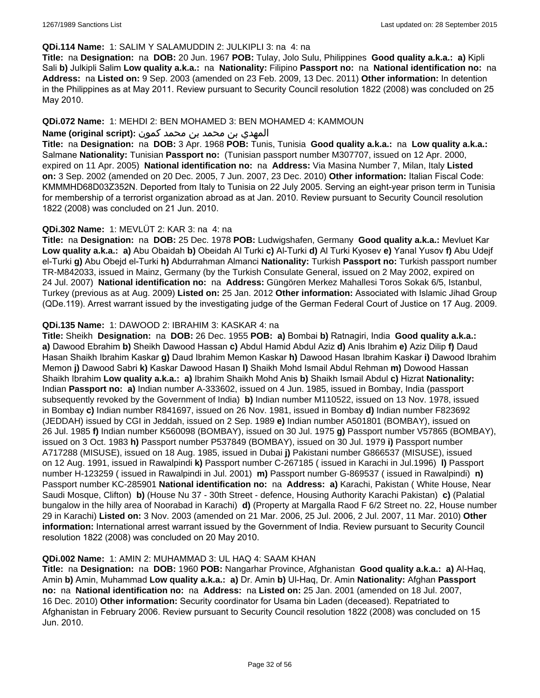#### **QDi.114 Name:** 1: SALIM Y SALAMUDDIN 2: JULKIPLI 3: na 4: na

**Title:** na **Designation:** na **DOB:** 20 Jun. 1967 **POB:** Tulay, Jolo Sulu, Philippines **Good quality a.k.a.: a)** Kipli Sali **b)** Julkipli Salim **Low quality a.k.a.:** na **Nationality:** Filipino **Passport no:** na **National identification no:** na **Address:** na **Listed on:** 9 Sep. 2003 (amended on 23 Feb. 2009, 13 Dec. 2011) **Other information:** In detention in the Philippines as at May 2011. Review pursuant to Security Council resolution 1822 (2008) was concluded on 25 May 2010.

### **QDi.072 Name:** 1: MEHDI 2: BEN MOHAMED 3: BEN MOHAMED 4: KAMMOUN

### المهدي بن محمد بن محمد كمون **:(script original (Name**

**Title:** na **Designation:** na **DOB:** 3 Apr. 1968 **POB:** Tunis, Tunisia **Good quality a.k.a.:** na **Low quality a.k.a.:** Salmane **Nationality:** Tunisian **Passport no:** (Tunisian passport number M307707, issued on 12 Apr. 2000, expired on 11 Apr. 2005) **National identification no:** na **Address:** Via Masina Number 7, Milan, Italy **Listed on:** 3 Sep. 2002 (amended on 20 Dec. 2005, 7 Jun. 2007, 23 Dec. 2010) **Other information:** Italian Fiscal Code: KMMMHD68D03Z352N. Deported from Italy to Tunisia on 22 July 2005. Serving an eight-year prison term in Tunisia for membership of a terrorist organization abroad as at Jan. 2010. Review pursuant to Security Council resolution 1822 (2008) was concluded on 21 Jun. 2010.

### **QDi.302 Name:** 1: MEVLÜT 2: KAR 3: na 4: na

**Title:** na **Designation:** na **DOB:** 25 Dec. 1978 **POB:** Ludwigshafen, Germany **Good quality a.k.a.:** Mevluet Kar **Low quality a.k.a.: a)** Abu Obaidah **b)** Obeidah Al Turki **c)** Al-Turki **d)** Al Turki Kyosev **e)** Yanal Yusov **f)** Abu Udejf el-Turki **g)** Abu Obejd el-Turki **h)** Abdurrahman Almanci **Nationality:** Turkish **Passport no:** Turkish passport number TR-M842033, issued in Mainz, Germany (by the Turkish Consulate General, issued on 2 May 2002, expired on 24 Jul. 2007) **National identification no:** na **Address:** Güngören Merkez Mahallesi Toros Sokak 6/5, Istanbul, Turkey (previous as at Aug. 2009) **Listed on:** 25 Jan. 2012 **Other information:** Associated with Islamic Jihad Group (QDe.119). Arrest warrant issued by the investigating judge of the German Federal Court of Justice on 17 Aug. 2009.

### **QDi.135 Name:** 1: DAWOOD 2: IBRAHIM 3: KASKAR 4: na

**Title:** Sheikh **Designation:** na **DOB:** 26 Dec. 1955 **POB: a)** Bombai **b)** Ratnagiri, India **Good quality a.k.a.: a)** Dawood Ebrahim **b)** Sheikh Dawood Hassan **c)** Abdul Hamid Abdul Aziz **d)** Anis Ibrahim **e)** Aziz Dilip **f)** Daud Hasan Shaikh Ibrahim Kaskar **g)** Daud Ibrahim Memon Kaskar **h)** Dawood Hasan Ibrahim Kaskar **i)** Dawood Ibrahim Memon **j)** Dawood Sabri **k)** Kaskar Dawood Hasan **l)** Shaikh Mohd Ismail Abdul Rehman **m)** Dowood Hassan Shaikh Ibrahim **Low quality a.k.a.: a)** Ibrahim Shaikh Mohd Anis **b)** Shaikh Ismail Abdul **c)** Hizrat **Nationality:** Indian **Passport no: a)** Indian number A-333602, issued on 4 Jun. 1985, issued in Bombay, India (passport subsequently revoked by the Government of India) **b)** Indian number M110522, issued on 13 Nov. 1978, issued in Bombay **c)** Indian number R841697, issued on 26 Nov. 1981, issued in Bombay **d)** Indian number F823692 (JEDDAH) issued by CGI in Jeddah, issued on 2 Sep. 1989 **e)** Indian number A501801 (BOMBAY), issued on 26 Jul. 1985 **f)** Indian number K560098 (BOMBAY), issued on 30 Jul. 1975 **g)** Passport number V57865 (BOMBAY), issued on 3 Oct. 1983 **h)** Passport number P537849 (BOMBAY), issued on 30 Jul. 1979 **i)** Passport number A717288 (MISUSE), issued on 18 Aug. 1985, issued in Dubai **j)** Pakistani number G866537 (MISUSE), issued on 12 Aug. 1991, issued in Rawalpindi **k)** Passport number C-267185 ( issued in Karachi in Jul.1996) **l)** Passport number H-123259 ( issued in Rawalpindi in Jul. 2001) **m)** Passport number G-869537 ( issued in Rawalpindi) **n)** Passport number KC-285901 **National identification no:** na **Address: a)** Karachi, Pakistan ( White House, Near Saudi Mosque, Clifton) **b)** (House Nu 37 - 30th Street - defence, Housing Authority Karachi Pakistan) **c)** (Palatial bungalow in the hilly area of Noorabad in Karachi) **d)** (Property at Margalla Raod F 6/2 Street no. 22, House number 29 in Karachi) **Listed on:** 3 Nov. 2003 (amended on 21 Mar. 2006, 25 Jul. 2006, 2 Jul. 2007, 11 Mar. 2010) **Other information:** International arrest warrant issued by the Government of India. Review pursuant to Security Council resolution 1822 (2008) was concluded on 20 May 2010.

#### **QDi.002 Name:** 1: AMIN 2: MUHAMMAD 3: UL HAQ 4: SAAM KHAN

**Title:** na **Designation:** na **DOB:** 1960 **POB:** Nangarhar Province, Afghanistan **Good quality a.k.a.: a)** Al-Haq, Amin **b)** Amin, Muhammad **Low quality a.k.a.: a)** Dr. Amin **b)** Ul-Haq, Dr. Amin **Nationality:** Afghan **Passport no:** na **National identification no:** na **Address:** na **Listed on:** 25 Jan. 2001 (amended on 18 Jul. 2007, 16 Dec. 2010) **Other information:** Security coordinator for Usama bin Laden (deceased). Repatriated to Afghanistan in February 2006. Review pursuant to Security Council resolution 1822 (2008) was concluded on 15 Jun. 2010.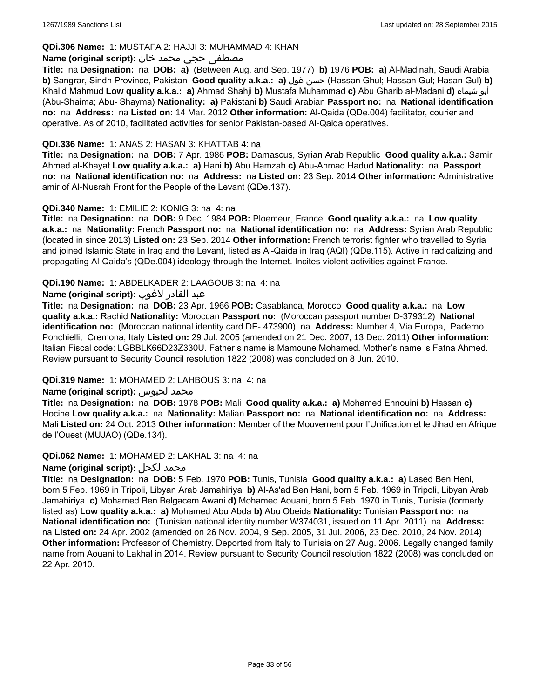### **QDi.306 Name:** 1: MUSTAFA 2: HAJJI 3: MUHAMMAD 4: KHAN

#### مصطفى حجي محمد خان **:(script original (Name**

**Title:** na **Designation:** na **DOB: a)** (Between Aug. and Sep. 1977) **b)** 1976 **POB: a)** Al-Madinah, Saudi Arabia **b)** Sangrar, Sindh Province, Pakistan **Good quality a.k.a.: a)** غول حسن) Hassan Ghul; Hassan Gul; Hasan Gul) **b)** Khalid Mahmud **Low quality a.k.a.: a)** Ahmad Shahji **b)** Mustafa Muhammad **c)** Abu Gharib al-Madani **d)** شيماء أبو (Abu-Shaima; Abu- Shayma) **Nationality: a)** Pakistani **b)** Saudi Arabian **Passport no:** na **National identification no:** na **Address:** na **Listed on:** 14 Mar. 2012 **Other information:** Al-Qaida (QDe.004) facilitator, courier and operative. As of 2010, facilitated activities for senior Pakistan-based Al-Qaida operatives.

#### **QDi.336 Name:** 1: ANAS 2: HASAN 3: KHATTAB 4: na

**Title:** na **Designation:** na **DOB:** 7 Apr. 1986 **POB:** Damascus, Syrian Arab Republic **Good quality a.k.a.:** Samir Ahmed al-Khayat **Low quality a.k.a.: a)** Hani **b)** Abu Hamzah **c)** Abu-Ahmad Hadud **Nationality:** na **Passport no:** na **National identification no:** na **Address:** na **Listed on:** 23 Sep. 2014 **Other information:** Administrative amir of Al-Nusrah Front for the People of the Levant (QDe.137).

### **QDi.340 Name:** 1: EMILIE 2: KONIG 3: na 4: na

**Title:** na **Designation:** na **DOB:** 9 Dec. 1984 **POB:** Ploemeur, France **Good quality a.k.a.:** na **Low quality a.k.a.:** na **Nationality:** French **Passport no:** na **National identification no:** na **Address:** Syrian Arab Republic (located in since 2013) **Listed on:** 23 Sep. 2014 **Other information:** French terrorist fighter who travelled to Syria and joined Islamic State in Iraq and the Levant, listed as Al-Qaida in Iraq (AQI) (QDe.115). Active in radicalizing and propagating Al-Qaida's (QDe.004) ideology through the Internet. Incites violent activities against France.

### **QDi.190 Name:** 1: ABDELKADER 2: LAAGOUB 3: na 4: na

# عبد القادر لاغوب **:(script original (Name**

**Title:** na **Designation:** na **DOB:** 23 Apr. 1966 **POB:** Casablanca, Morocco **Good quality a.k.a.:** na **Low quality a.k.a.:** Rachid **Nationality:** Moroccan **Passport no:** (Moroccan passport number D-379312) **National identification no:** (Moroccan national identity card DE- 473900) na **Address:** Number 4, Via Europa, Paderno Ponchielli, Cremona, Italy **Listed on:** 29 Jul. 2005 (amended on 21 Dec. 2007, 13 Dec. 2011) **Other information:** Italian Fiscal code: LGBBLK66D23Z330U. Father's name is Mamoune Mohamed. Mother's name is Fatna Ahmed. Review pursuant to Security Council resolution 1822 (2008) was concluded on 8 Jun. 2010.

#### **QDi.319 Name:** 1: MOHAMED 2: LAHBOUS 3: na 4: na

#### **Name (original script):** لحبوس محمد

**Title:** na **Designation:** na **DOB:** 1978 **POB:** Mali **Good quality a.k.a.: a)** Mohamed Ennouini **b)** Hassan **c)** Hocine **Low quality a.k.a.:** na **Nationality:** Malian **Passport no:** na **National identification no:** na **Address:** Mali **Listed on:** 24 Oct. 2013 **Other information:** Member of the Mouvement pour l'Unification et le Jihad en Afrique de l'Ouest (MUJAO) (QDe.134).

#### **QDi.062 Name:** 1: MOHAMED 2: LAKHAL 3: na 4: na

#### **Name (original script):** لكحل محمد

**Title:** na **Designation:** na **DOB:** 5 Feb. 1970 **POB:** Tunis, Tunisia **Good quality a.k.a.: a)** Lased Ben Heni, born 5 Feb. 1969 in Tripoli, Libyan Arab Jamahiriya **b)** Al-As'ad Ben Hani, born 5 Feb. 1969 in Tripoli, Libyan Arab Jamahiriya **c)** Mohamed Ben Belgacem Awani **d)** Mohamed Aouani, born 5 Feb. 1970 in Tunis, Tunisia (formerly listed as) **Low quality a.k.a.: a)** Mohamed Abu Abda **b)** Abu Obeida **Nationality:** Tunisian **Passport no:** na **National identification no:** (Tunisian national identity number W374031, issued on 11 Apr. 2011) na **Address:**  na **Listed on:** 24 Apr. 2002 (amended on 26 Nov. 2004, 9 Sep. 2005, 31 Jul. 2006, 23 Dec. 2010, 24 Nov. 2014) **Other information:** Professor of Chemistry. Deported from Italy to Tunisia on 27 Aug. 2006. Legally changed family name from Aouani to Lakhal in 2014. Review pursuant to Security Council resolution 1822 (2008) was concluded on 22 Apr. 2010.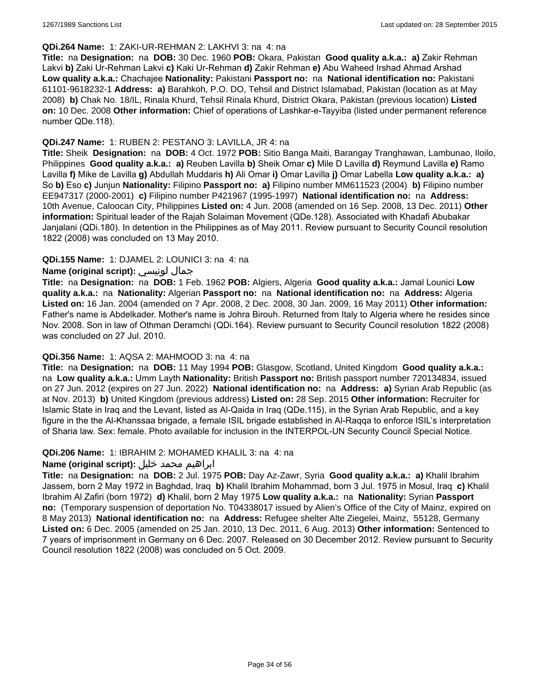#### **QDi.264 Name:** 1: ZAKI-UR-REHMAN 2: LAKHVI 3: na 4: na

**Title:** na **Designation:** na **DOB:** 30 Dec. 1960 **POB:** Okara, Pakistan **Good quality a.k.a.: a)** Zakir Rehman Lakvi **b)** Zaki Ur-Rehman Lakvi **c)** Kaki Ur-Rehman **d)** Zakir Rehman **e)** Abu Waheed Irshad Ahmad Arshad **Low quality a.k.a.:** Chachajee **Nationality:** Pakistani **Passport no:** na **National identification no:** Pakistani 61101-9618232-1 **Address: a)** Barahkoh, P.O. DO, Tehsil and District Islamabad, Pakistan (location as at May 2008) **b)** Chak No. 18/IL, Rinala Khurd, Tehsil Rinala Khurd, District Okara, Pakistan (previous location) **Listed on:** 10 Dec. 2008 **Other information:** Chief of operations of Lashkar-e-Tayyiba (listed under permanent reference number QDe.118).

#### **QDi.247 Name:** 1: RUBEN 2: PESTANO 3: LAVILLA, JR 4: na

**Title:** Sheik **Designation:** na **DOB:** 4 Oct. 1972 **POB:** Sitio Banga Maiti, Barangay Tranghawan, Lambunao, Iloilo, Philippines **Good quality a.k.a.: a)** Reuben Lavilla **b)** Sheik Omar **c)** Mile D Lavilla **d)** Reymund Lavilla **e)** Ramo Lavilla **f)** Mike de Lavilla **g)** Abdullah Muddaris **h)** Ali Omar **i)** Omar Lavilla **j)** Omar Labella **Low quality a.k.a.: a)** So **b)** Eso **c)** Junjun **Nationality:** Filipino **Passport no: a)** Filipino number MM611523 (2004) **b)** Filipino number EE947317 (2000-2001) **c)** Filipino number P421967 (1995-1997) **National identification no:** na **Address:** 10th Avenue, Caloocan City, Philippines **Listed on:** 4 Jun. 2008 (amended on 16 Sep. 2008, 13 Dec. 2011) **Other information:** Spiritual leader of the Rajah Solaiman Movement (QDe.128). Associated with Khadafi Abubakar Janjalani (QDi.180). In detention in the Philippines as of May 2011. Review pursuant to Security Council resolution 1822 (2008) was concluded on 13 May 2010.

# **QDi.155 Name:** 1: DJAMEL 2: LOUNICI 3: na 4: na

### **Name (original script):** لونيسي جمال

**Title:** na **Designation:** na **DOB:** 1 Feb. 1962 **POB:** Algiers, Algeria **Good quality a.k.a.:** Jamal Lounici **Low quality a.k.a.:** na **Nationality:** Algerian **Passport no:** na **National identification no:** na **Address:** Algeria **Listed on:** 16 Jan. 2004 (amended on 7 Apr. 2008, 2 Dec. 2008, 30 Jan. 2009, 16 May 2011) **Other information:** Father's name is Abdelkader. Mother's name is Johra Birouh. Returned from Italy to Algeria where he resides since Nov. 2008. Son in law of Othman Deramchi (QDi.164). Review pursuant to Security Council resolution 1822 (2008) was concluded on 27 Jul. 2010.

#### **QDi.356 Name:** 1: AQSA 2: MAHMOOD 3: na 4: na

**Title:** na **Designation:** na **DOB:** 11 May 1994 **POB:** Glasgow, Scotland, United Kingdom **Good quality a.k.a.:**  na **Low quality a.k.a.:** Umm Layth **Nationality:** British **Passport no:** British passport number 720134834, issued on 27 Jun. 2012 (expires on 27 Jun. 2022) **National identification no:** na **Address: a)** Syrian Arab Republic (as at Nov. 2013) **b)** United Kingdom (previous address) **Listed on:** 28 Sep. 2015 **Other information:** Recruiter for Islamic State in Iraq and the Levant, listed as Al-Qaida in Iraq (QDe.115), in the Syrian Arab Republic, and a key figure in the the Al-Khanssaa brigade, a female ISIL brigade established in Al-Raqqa to enforce ISIL's interpretation of Sharia law. Sex: female. Photo available for inclusion in the INTERPOL-UN Security Council Special Notice.

#### **QDi.206 Name:** 1: IBRAHIM 2: MOHAMED KHALIL 3: na 4: na

# ابراهيم محمد خليل **:(script original (Name**

**Title:** na **Designation:** na **DOB:** 2 Jul. 1975 **POB:** Day Az-Zawr, Syria **Good quality a.k.a.: a)** Khalil Ibrahim Jassem, born 2 May 1972 in Baghdad, Iraq **b)** Khalil Ibrahim Mohammad, born 3 Jul. 1975 in Mosul, Iraq **c)** Khalil Ibrahim Al Zafiri (born 1972) **d)** Khalil, born 2 May 1975 **Low quality a.k.a.:** na **Nationality:** Syrian **Passport no:** (Temporary suspension of deportation No. T04338017 issued by Alien's Office of the City of Mainz, expired on 8 May 2013) **National identification no:** na **Address:** Refugee shelter Alte Ziegelei, Mainz, 55128, Germany **Listed on:** 6 Dec. 2005 (amended on 25 Jan. 2010, 13 Dec. 2011, 6 Aug. 2013) **Other information:** Sentenced to 7 years of imprisonment in Germany on 6 Dec. 2007. Released on 30 December 2012. Review pursuant to Security Council resolution 1822 (2008) was concluded on 5 Oct. 2009.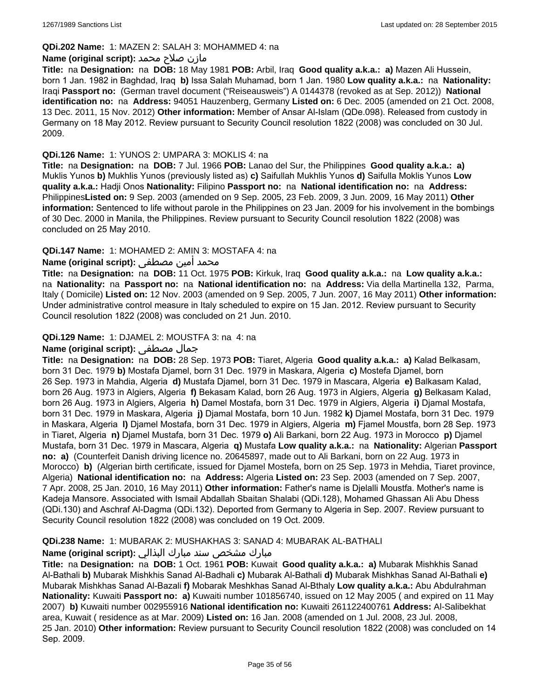#### **QDi.202 Name:** 1: MAZEN 2: SALAH 3: MOHAMMED 4: na

#### مازن صلاح محمد **:Name (original script)**

**Title:** na **Designation:** na **DOB:** 18 May 1981 **POB:** Arbil, Iraq **Good quality a.k.a.: a)** Mazen Ali Hussein, born 1 Jan. 1982 in Baghdad, Iraq **b)** Issa Salah Muhamad, born 1 Jan. 1980 **Low quality a.k.a.:** na **Nationality:** Iraqi **Passport no:** (German travel document ("Reiseausweis") A 0144378 (revoked as at Sep. 2012)) **National identification no:** na **Address:** 94051 Hauzenberg, Germany **Listed on:** 6 Dec. 2005 (amended on 21 Oct. 2008, 13 Dec. 2011, 15 Nov. 2012) **Other information:** Member of Ansar Al-Islam (QDe.098). Released from custody in Germany on 18 May 2012. Review pursuant to Security Council resolution 1822 (2008) was concluded on 30 Jul. 2009.

# **QDi.126 Name:** 1: YUNOS 2: UMPARA 3: MOKLIS 4: na

**Title:** na **Designation:** na **DOB:** 7 Jul. 1966 **POB:** Lanao del Sur, the Philippines **Good quality a.k.a.: a)** Muklis Yunos **b)** Mukhlis Yunos (previously listed as) **c)** Saifullah Mukhlis Yunos **d)** Saifulla Moklis Yunos **Low quality a.k.a.:** Hadji Onos **Nationality:** Filipino **Passport no:** na **National identification no:** na **Address:** Philippines**Listed on:** 9 Sep. 2003 (amended on 9 Sep. 2005, 23 Feb. 2009, 3 Jun. 2009, 16 May 2011) **Other information:** Sentenced to life without parole in the Philippines on 23 Jan. 2009 for his involvement in the bombings of 30 Dec. 2000 in Manila, the Philippines. Review pursuant to Security Council resolution 1822 (2008) was concluded on 25 May 2010.

# **QDi.147 Name:** 1: MOHAMED 2: AMIN 3: MOSTAFA 4: na

### محمد امين مصطفى **:Name (original script)**

**Title:** na **Designation:** na **DOB:** 11 Oct. 1975 **POB:** Kirkuk, Iraq **Good quality a.k.a.:** na **Low quality a.k.a.:**  na **Nationality:** na **Passport no:** na **National identification no:** na **Address:** Via della Martinella 132, Parma, Italy ( Domicile) **Listed on:** 12 Nov. 2003 (amended on 9 Sep. 2005, 7 Jun. 2007, 16 May 2011) **Other information:** Under administrative control measure in Italy scheduled to expire on 15 Jan. 2012. Review pursuant to Security Council resolution 1822 (2008) was concluded on 21 Jun. 2010.

### **QDi.129 Name:** 1: DJAMEL 2: MOUSTFA 3: na 4: na

#### **Name (original script):** مصطفى جمال

**Title:** na **Designation:** na **DOB:** 28 Sep. 1973 **POB:** Tiaret, Algeria **Good quality a.k.a.: a)** Kalad Belkasam, born 31 Dec. 1979 **b)** Mostafa Djamel, born 31 Dec. 1979 in Maskara, Algeria **c)** Mostefa Djamel, born 26 Sep. 1973 in Mahdia, Algeria **d)** Mustafa Djamel, born 31 Dec. 1979 in Mascara, Algeria **e)** Balkasam Kalad, born 26 Aug. 1973 in Algiers, Algeria **f)** Bekasam Kalad, born 26 Aug. 1973 in Algiers, Algeria **g)** Belkasam Kalad, born 26 Aug. 1973 in Algiers, Algeria **h)** Damel Mostafa, born 31 Dec. 1979 in Algiers, Algeria **i)** Djamal Mostafa, born 31 Dec. 1979 in Maskara, Algeria **j)** Djamal Mostafa, born 10 Jun. 1982 **k)** Djamel Mostafa, born 31 Dec. 1979 in Maskara, Algeria **l)** Djamel Mostafa, born 31 Dec. 1979 in Algiers, Algeria **m)** Fjamel Moustfa, born 28 Sep. 1973 in Tiaret, Algeria **n)** Djamel Mustafa, born 31 Dec. 1979 **o)** Ali Barkani, born 22 Aug. 1973 in Morocco **p)** Djamel Mustafa, born 31 Dec. 1979 in Mascara, Algeria **q)** Mustafa **Low quality a.k.a.:** na **Nationality:** Algerian **Passport no: a)** (Counterfeit Danish driving licence no. 20645897, made out to Ali Barkani, born on 22 Aug. 1973 in Morocco) **b)** (Algerian birth certificate, issued for Djamel Mostefa, born on 25 Sep. 1973 in Mehdia, Tiaret province, Algeria) **National identification no:** na **Address:** Algeria **Listed on:** 23 Sep. 2003 (amended on 7 Sep. 2007, 7 Apr. 2008, 25 Jan. 2010, 16 May 2011) **Other information:** Father's name is Djelalli Moustfa. Mother's name is Kadeja Mansore. Associated with Ismail Abdallah Sbaitan Shalabi (QDi.128), Mohamed Ghassan Ali Abu Dhess (QDi.130) and Aschraf Al-Dagma (QDi.132). Deported from Germany to Algeria in Sep. 2007. Review pursuant to Security Council resolution 1822 (2008) was concluded on 19 Oct. 2009.

#### **QDi.238 Name:** 1: MUBARAK 2: MUSHAKHAS 3: SANAD 4: MUBARAK AL-BATHALI

# مبارك مشخص سند مبارك البذالي **:Name (original script)**

**Title:** na **Designation:** na **DOB:** 1 Oct. 1961 **POB:** Kuwait **Good quality a.k.a.: a)** Mubarak Mishkhis Sanad Al-Bathali **b)** Mubarak Mishkhis Sanad Al-Badhali **c)** Mubarak Al-Bathali **d)** Mubarak Mishkhas Sanad Al-Bathali **e)** Mubarak Mishkhas Sanad Al-Bazali **f)** Mobarak Meshkhas Sanad Al-Bthaly **Low quality a.k.a.:** Abu Abdulrahman **Nationality:** Kuwaiti **Passport no: a)** Kuwaiti number 101856740, issued on 12 May 2005 ( and expired on 11 May 2007) **b)** Kuwaiti number 002955916 **National identification no:** Kuwaiti 261122400761 **Address:** Al-Salibekhat area, Kuwait ( residence as at Mar. 2009) **Listed on:** 16 Jan. 2008 (amended on 1 Jul. 2008, 23 Jul. 2008, 25 Jan. 2010) **Other information:** Review pursuant to Security Council resolution 1822 (2008) was concluded on 14 Sep. 2009.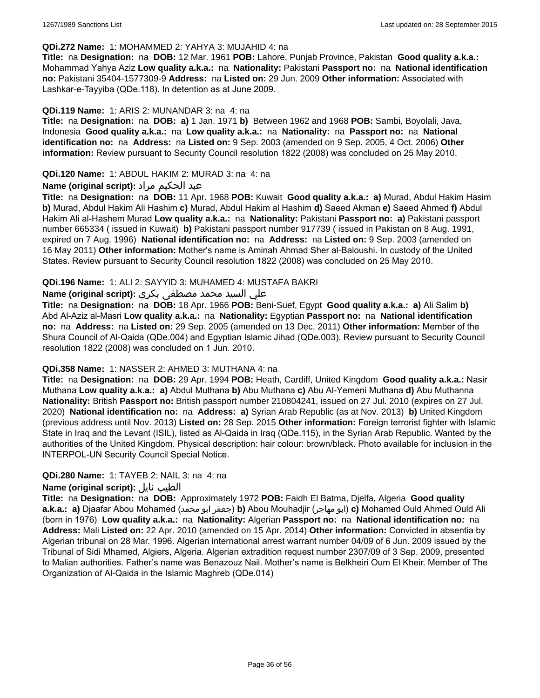#### **QDi.272 Name:** 1: MOHAMMED 2: YAHYA 3: MUJAHID 4: na

**Title:** na **Designation:** na **DOB:** 12 Mar. 1961 **POB:** Lahore, Punjab Province, Pakistan **Good quality a.k.a.:** Mohammad Yahya Aziz **Low quality a.k.a.:** na **Nationality:** Pakistani **Passport no:** na **National identification no:** Pakistani 35404-1577309-9 **Address:** na **Listed on:** 29 Jun. 2009 **Other information:** Associated with Lashkar-e-Tayyiba (QDe.118). In detention as at June 2009.

### **QDi.119 Name:** 1: ARIS 2: MUNANDAR 3: na 4: na

**Title:** na **Designation:** na **DOB: a)** 1 Jan. 1971 **b)** Between 1962 and 1968 **POB:** Sambi, Boyolali, Java, Indonesia **Good quality a.k.a.:** na **Low quality a.k.a.:** na **Nationality:** na **Passport no:** na **National identification no:** na **Address:** na **Listed on:** 9 Sep. 2003 (amended on 9 Sep. 2005, 4 Oct. 2006) **Other information:** Review pursuant to Security Council resolution 1822 (2008) was concluded on 25 May 2010.

**QDi.120 Name:** 1: ABDUL HAKIM 2: MURAD 3: na 4: na

### عبد الحكيم مراد **:(script original (Name**

**Title:** na **Designation:** na **DOB:** 11 Apr. 1968 **POB:** Kuwait **Good quality a.k.a.: a)** Murad, Abdul Hakim Hasim **b)** Murad, Abdul Hakim Ali Hashim **c)** Murad, Abdul Hakim al Hashim **d)** Saeed Akman **e)** Saeed Ahmed **f)** Abdul Hakim Ali al-Hashem Murad **Low quality a.k.a.:** na **Nationality:** Pakistani **Passport no: a)** Pakistani passport number 665334 ( issued in Kuwait) **b)** Pakistani passport number 917739 ( issued in Pakistan on 8 Aug. 1991, expired on 7 Aug. 1996) **National identification no:** na **Address:** na **Listed on:** 9 Sep. 2003 (amended on 16 May 2011) **Other information:** Mother's name is Aminah Ahmad Sher al-Baloushi. In custody of the United States. Review pursuant to Security Council resolution 1822 (2008) was concluded on 25 May 2010.

### **QDi.196 Name:** 1: ALI 2: SAYYID 3: MUHAMED 4: MUSTAFA BAKRI

### علي السيد محمد مصطفى بكري :Name (original script)

**Title:** na **Designation:** na **DOB:** 18 Apr. 1966 **POB:** Beni-Suef, Egypt **Good quality a.k.a.: a)** Ali Salim **b)** Abd Al-Aziz al-Masri **Low quality a.k.a.:** na **Nationality:** Egyptian **Passport no:** na **National identification no:** na **Address:** na **Listed on:** 29 Sep. 2005 (amended on 13 Dec. 2011) **Other information:** Member of the Shura Council of Al-Qaida (QDe.004) and Egyptian Islamic Jihad (QDe.003). Review pursuant to Security Council resolution 1822 (2008) was concluded on 1 Jun. 2010.

### **QDi.358 Name:** 1: NASSER 2: AHMED 3: MUTHANA 4: na

**Title:** na **Designation:** na **DOB:** 29 Apr. 1994 **POB:** Heath, Cardiff, United Kingdom **Good quality a.k.a.:** Nasir Muthana **Low quality a.k.a.: a)** Abdul Muthana **b)** Abu Muthana **c)** Abu Al-Yemeni Muthana **d)** Abu Muthanna **Nationality:** British **Passport no:** British passport number 210804241, issued on 27 Jul. 2010 (expires on 27 Jul. 2020) **National identification no:** na **Address: a)** Syrian Arab Republic (as at Nov. 2013) **b)** United Kingdom (previous address until Nov. 2013) **Listed on:** 28 Sep. 2015 **Other information:** Foreign terrorist fighter with Islamic State in Iraq and the Levant (ISIL), listed as Al-Qaida in Iraq (QDe.115), in the Syrian Arab Republic. Wanted by the authorities of the United Kingdom. Physical description: hair colour: brown/black. Photo available for inclusion in the INTERPOL-UN Security Council Special Notice.

# **QDi.280 Name:** 1: TAYEB 2: NAIL 3: na 4: na

# **Name (original script):** نايل الطيب

**Title:** na **Designation:** na **DOB:** Approximately 1972 **POB:** Faidh El Batma, Djelfa, Algeria **Good quality a.k.a.: a)** Djaafar Abou Mohamed (محمد ابو جعفر(**b)** Abou Mouhadjir (مهاجر ابو(**c)** Mohamed Ould Ahmed Ould Ali (born in 1976) **Low quality a.k.a.:** na **Nationality:** Algerian **Passport no:** na **National identification no:** na **Address:** Mali **Listed on:** 22 Apr. 2010 (amended on 15 Apr. 2014) **Other information:** Convicted in absentia by Algerian tribunal on 28 Mar. 1996. Algerian international arrest warrant number 04/09 of 6 Jun. 2009 issued by the Tribunal of Sidi Mhamed, Algiers, Algeria. Algerian extradition request number 2307/09 of 3 Sep. 2009, presented to Malian authorities. Father's name was Benazouz Nail. Mother's name is Belkheiri Oum El Kheir. Member of The Organization of Al-Qaida in the Islamic Maghreb (QDe.014)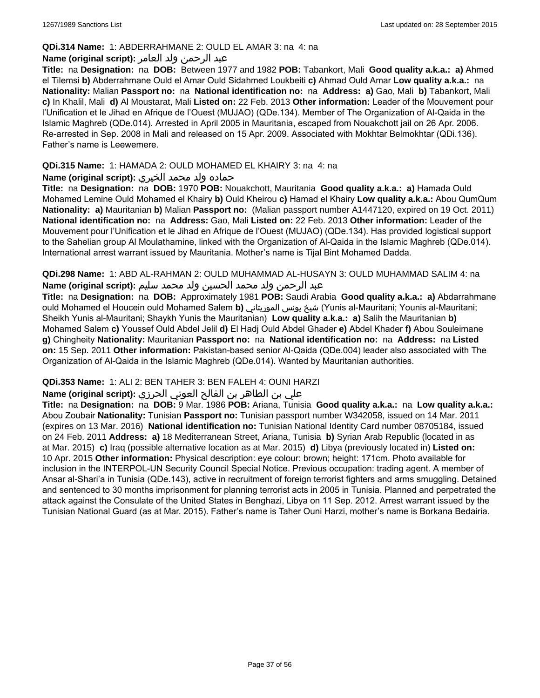### **QDi.314 Name:** 1: ABDERRAHMANE 2: OULD EL AMAR 3: na 4: na

# عبد الرحمن ولد العامر **:(script original (Name**

**Title:** na **Designation:** na **DOB:** Between 1977 and 1982 **POB:** Tabankort, Mali **Good quality a.k.a.: a)** Ahmed el Tilemsi **b)** Abderrahmane Ould el Amar Ould Sidahmed Loukbeiti **c)** Ahmad Ould Amar **Low quality a.k.a.:** na **Nationality:** Malian **Passport no:** na **National identification no:** na **Address: a)** Gao, Mali **b)** Tabankort, Mali **c)** In Khalil, Mali **d)** Al Moustarat, Mali **Listed on:** 22 Feb. 2013 **Other information:** Leader of the Mouvement pour l'Unification et le Jihad en Afrique de l'Ouest (MUJAO) (QDe.134). Member of The Organization of Al-Qaida in the Islamic Maghreb (QDe.014). Arrested in April 2005 in Mauritania, escaped from Nouakchott jail on 26 Apr. 2006. Re-arrested in Sep. 2008 in Mali and released on 15 Apr. 2009. Associated with Mokhtar Belmokhtar (QDi.136). Father's name is Leewemere.

# **QDi.315 Name:** 1: HAMADA 2: OULD MOHAMED EL KHAIRY 3: na 4: na

# حماده ولد محمد الخيري **:(script original (Name**

**Title:** na **Designation:** na **DOB:** 1970 **POB:** Nouakchott, Mauritania **Good quality a.k.a.: a)** Hamada Ould Mohamed Lemine Ould Mohamed el Khairy **b)** Ould Kheirou **c)** Hamad el Khairy **Low quality a.k.a.:** Abou QumQum **Nationality: a)** Mauritanian **b)** Malian **Passport no:** (Malian passport number A1447120, expired on 19 Oct. 2011) **National identification no:** na **Address:** Gao, Mali **Listed on:** 22 Feb. 2013 **Other information:** Leader of the Mouvement pour l'Unification et le Jihad en Afrique de l'Ouest (MUJAO) (QDe.134). Has provided logistical support to the Sahelian group Al Moulathamine, linked with the Organization of Al-Qaida in the Islamic Maghreb (QDe.014). International arrest warrant issued by Mauritania. Mother's name is Tijal Bint Mohamed Dadda.

**QDi.298 Name:** 1: ABD AL-RAHMAN 2: OULD MUHAMMAD AL-HUSAYN 3: OULD MUHAMMAD SALIM 4: na عبد الرحمن ولد محمد الحسين ولد محمد سليم **:(script original (Name**

**Title:** na **Designation:** na **DOB:** Approximately 1981 **POB:** Saudi Arabia **Good quality a.k.a.: a)** Abdarrahmane ould Mohamed el Houcein ould Mohamed Salem **b)** الموريتاني يونس شيخ) Yunis al-Mauritani; Younis al-Mauritani; Sheikh Yunis al-Mauritani; Shaykh Yunis the Mauritanian) **Low quality a.k.a.: a)** Salih the Mauritanian **b)** Mohamed Salem **c)** Youssef Ould Abdel Jelil **d)** El Hadj Ould Abdel Ghader **e)** Abdel Khader **f)** Abou Souleimane **g)** Chingheity **Nationality:** Mauritanian **Passport no:** na **National identification no:** na **Address:** na **Listed on:** 15 Sep. 2011 **Other information:** Pakistan-based senior Al-Qaida (QDe.004) leader also associated with The Organization of Al-Qaida in the Islamic Maghreb (QDe.014). Wanted by Mauritanian authorities.

# **QDi.353 Name:** 1: ALI 2: BEN TAHER 3: BEN FALEH 4: OUNI HARZI

# علي بن الطاھر بن الفالح العوني الحرزي **:(script original (Name**

**Title:** na **Designation:** na **DOB:** 9 Mar. 1986 **POB:** Ariana, Tunisia **Good quality a.k.a.:** na **Low quality a.k.a.:** Abou Zoubair **Nationality:** Tunisian **Passport no:** Tunisian passport number W342058, issued on 14 Mar. 2011 (expires on 13 Mar. 2016) **National identification no:** Tunisian National Identity Card number 08705184, issued on 24 Feb. 2011 **Address: a)** 18 Mediterranean Street, Ariana, Tunisia **b)** Syrian Arab Republic (located in as at Mar. 2015) **c)** Iraq (possible alternative location as at Mar. 2015) **d)** Libya (previously located in) **Listed on:** 10 Apr. 2015 **Other information:** Physical description: eye colour: brown; height: 171cm. Photo available for inclusion in the INTERPOL-UN Security Council Special Notice. Previous occupation: trading agent. A member of Ansar al-Shari'a in Tunisia (QDe.143), active in recruitment of foreign terrorist fighters and arms smuggling. Detained and sentenced to 30 months imprisonment for planning terrorist acts in 2005 in Tunisia. Planned and perpetrated the attack against the Consulate of the United States in Benghazi, Libya on 11 Sep. 2012. Arrest warrant issued by the Tunisian National Guard (as at Mar. 2015). Father's name is Taher Ouni Harzi, mother's name is Borkana Bedairia.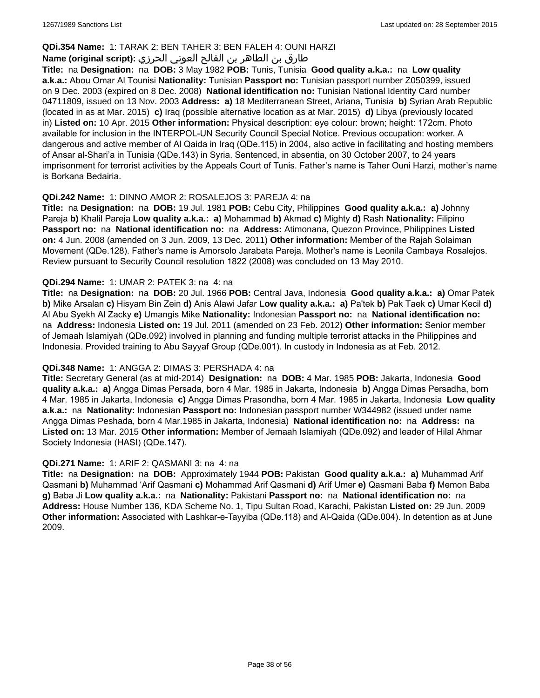### **QDi.354 Name:** 1: TARAK 2: BEN TAHER 3: BEN FALEH 4: OUNI HARZI

# طارق بن الطاھر بن الفالح العوني الحرزي **:(script original (Name**

**Title:** na **Designation:** na **DOB:** 3 May 1982 **POB:** Tunis, Tunisia **Good quality a.k.a.:** na **Low quality a.k.a.:** Abou Omar Al Tounisi **Nationality:** Tunisian **Passport no:** Tunisian passport number Z050399, issued on 9 Dec. 2003 (expired on 8 Dec. 2008) **National identification no:** Tunisian National Identity Card number 04711809, issued on 13 Nov. 2003 **Address: a)** 18 Mediterranean Street, Ariana, Tunisia **b)** Syrian Arab Republic (located in as at Mar. 2015) **c)** Iraq (possible alternative location as at Mar. 2015) **d)** Libya (previously located in) **Listed on:** 10 Apr. 2015 **Other information:** Physical description: eye colour: brown; height: 172cm. Photo available for inclusion in the INTERPOL-UN Security Council Special Notice. Previous occupation: worker. A dangerous and active member of Al Qaida in Iraq (QDe.115) in 2004, also active in facilitating and hosting members of Ansar al-Shari'a in Tunisia (QDe.143) in Syria. Sentenced, in absentia, on 30 October 2007, to 24 years imprisonment for terrorist activities by the Appeals Court of Tunis. Father's name is Taher Ouni Harzi, mother's name is Borkana Bedairia.

#### **QDi.242 Name:** 1: DINNO AMOR 2: ROSALEJOS 3: PAREJA 4: na

**Title:** na **Designation:** na **DOB:** 19 Jul. 1981 **POB:** Cebu City, Philippines **Good quality a.k.a.: a)** Johnny Pareja **b)** Khalil Pareja **Low quality a.k.a.: a)** Mohammad **b)** Akmad **c)** Mighty **d)** Rash **Nationality:** Filipino **Passport no:** na **National identification no:** na **Address:** Atimonana, Quezon Province, Philippines **Listed on:** 4 Jun. 2008 (amended on 3 Jun. 2009, 13 Dec. 2011) **Other information:** Member of the Rajah Solaiman Movement (QDe.128). Father's name is Amorsolo Jarabata Pareja. Mother's name is Leonila Cambaya Rosalejos. Review pursuant to Security Council resolution 1822 (2008) was concluded on 13 May 2010.

### **QDi.294 Name:** 1: UMAR 2: PATEK 3: na 4: na

**Title:** na **Designation:** na **DOB:** 20 Jul. 1966 **POB:** Central Java, Indonesia **Good quality a.k.a.: a)** Omar Patek **b)** Mike Arsalan **c)** Hisyam Bin Zein **d)** Anis Alawi Jafar **Low quality a.k.a.: a)** Pa'tek **b)** Pak Taek **c)** Umar Kecil **d)** Al Abu Syekh Al Zacky **e)** Umangis Mike **Nationality:** Indonesian **Passport no:** na **National identification no:**  na **Address:** Indonesia **Listed on:** 19 Jul. 2011 (amended on 23 Feb. 2012) **Other information:** Senior member of Jemaah Islamiyah (QDe.092) involved in planning and funding multiple terrorist attacks in the Philippines and Indonesia. Provided training to Abu Sayyaf Group (QDe.001). In custody in Indonesia as at Feb. 2012.

#### **QDi.348 Name:** 1: ANGGA 2: DIMAS 3: PERSHADA 4: na

**Title:** Secretary General (as at mid-2014) **Designation:** na **DOB:** 4 Mar. 1985 **POB:** Jakarta, Indonesia **Good quality a.k.a.: a)** Angga Dimas Persada, born 4 Mar. 1985 in Jakarta, Indonesia **b)** Angga Dimas Persadha, born 4 Mar. 1985 in Jakarta, Indonesia **c)** Angga Dimas Prasondha, born 4 Mar. 1985 in Jakarta, Indonesia **Low quality a.k.a.:** na **Nationality:** Indonesian **Passport no:** Indonesian passport number W344982 (issued under name Angga Dimas Peshada, born 4 Mar.1985 in Jakarta, Indonesia) **National identification no:** na **Address:** na **Listed on:** 13 Mar. 2015 **Other information:** Member of Jemaah Islamiyah (QDe.092) and leader of Hilal Ahmar Society Indonesia (HASI) (QDe.147).

#### **QDi.271 Name:** 1: ARIF 2: QASMANI 3: na 4: na

**Title:** na **Designation:** na **DOB:** Approximately 1944 **POB:** Pakistan **Good quality a.k.a.: a)** Muhammad Arif Qasmani **b)** Muhammad 'Arif Qasmani **c)** Mohammad Arif Qasmani **d)** Arif Umer **e)** Qasmani Baba **f)** Memon Baba **g)** Baba Ji **Low quality a.k.a.:** na **Nationality:** Pakistani **Passport no:** na **National identification no:** na **Address:** House Number 136, KDA Scheme No. 1, Tipu Sultan Road, Karachi, Pakistan **Listed on:** 29 Jun. 2009 **Other information:** Associated with Lashkar-e-Tayyiba (QDe.118) and Al-Qaida (QDe.004). In detention as at June 2009.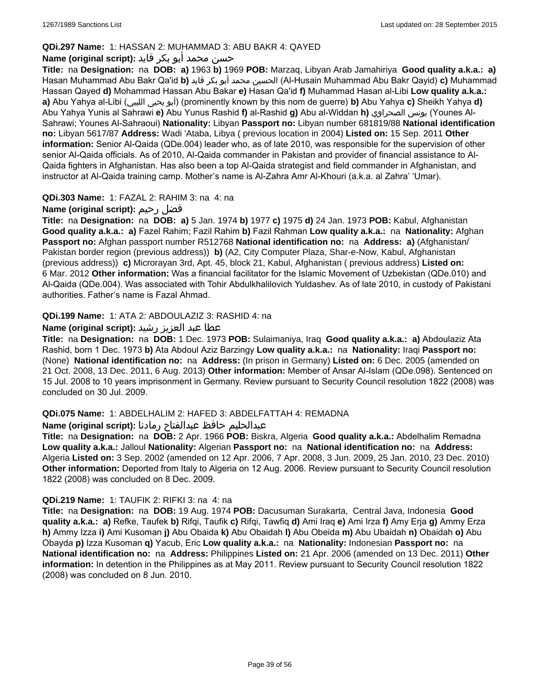# **QDi.297 Name:** 1: HASSAN 2: MUHAMMAD 3: ABU BAKR 4: QAYED

# حسن محمد أبو بكر قايد **:(script original (Name**

**Title:** na **Designation:** na **DOB: a)** 1963 **b)** 1969 **POB:** Marzaq, Libyan Arab Jamahiriya **Good quality a.k.a.: a)** Hasan Muhammad Abu Bakr Qa'id **b)** قايد بكر أبو محمد الحسين) Al-Husain Muhammad Abu Bakr Qayid) **c)** Muhammad Hassan Qayed **d)** Mohammad Hassan Abu Bakar **e)** Hasan Qa'id **f)** Muhammad Hasan al-Libi **Low quality a.k.a.: a)** Abu Yahya al-Libi (الليبي يحيى أبو) (prominently known by this nom de guerre) **b)** Abu Yahya **c)** Sheikh Yahya **d)** Abu Yahya Yunis al Sahrawi **e)** Abu Yunus Rashid **f)** al-Rashid **g)** Abu al-Widdan **h)** الصحراوي يونس) Younes Al-Sahrawi; Younes Al-Sahraoui) **Nationality:** Libyan **Passport no:** Libyan number 681819/88 **National identification no:** Libyan 5617/87 **Address:** Wadi 'Ataba, Libya ( previous location in 2004) **Listed on:** 15 Sep. 2011 **Other information:** Senior Al-Qaida (QDe.004) leader who, as of late 2010, was responsible for the supervision of other senior Al-Qaida officials. As of 2010, Al-Qaida commander in Pakistan and provider of financial assistance to Al-Qaida fighters in Afghanistan. Has also been a top Al-Qaida strategist and field commander in Afghanistan, and instructor at Al-Qaida training camp. Mother's name is Al-Zahra Amr Al-Khouri (a.k.a. al Zahra' 'Umar).

# **QDi.303 Name:** 1: FAZAL 2: RAHIM 3: na 4: na

# **Name (original script):** رحيم فضل

**Title:** na **Designation:** na **DOB: a)** 5 Jan. 1974 **b)** 1977 **c)** 1975 **d)** 24 Jan. 1973 **POB:** Kabul, Afghanistan **Good quality a.k.a.: a)** Fazel Rahim; Fazil Rahim **b)** Fazil Rahman **Low quality a.k.a.:** na **Nationality:** Afghan **Passport no:** Afghan passport number R512768 **National identification no:** na **Address: a)** (Afghanistan/ Pakistan border region (previous address)) **b)** (A2, City Computer Plaza, Shar-e-Now, Kabul, Afghanistan (previous address)) **c)** Microrayan 3rd, Apt. 45, block 21, Kabul, Afghanistan ( previous address) **Listed on:** 6 Mar. 2012 **Other information:** Was a financial facilitator for the Islamic Movement of Uzbekistan (QDe.010) and Al-Qaida (QDe.004). Was associated with Tohir Abdulkhalilovich Yuldashev. As of late 2010, in custody of Pakistani authorities. Father's name is Fazal Ahmad.

# **QDi.199 Name:** 1: ATA 2: ABDOULAZIZ 3: RASHID 4: na

# عطا عبد العزيز رشيد **:(script original (Name**

**Title:** na **Designation:** na **DOB:** 1 Dec. 1973 **POB:** Sulaimaniya, Iraq **Good quality a.k.a.: a)** Abdoulaziz Ata Rashid, born 1 Dec. 1973 **b)** Ata Abdoul Aziz Barzingy **Low quality a.k.a.:** na **Nationality:** Iraqi **Passport no:**  (None) **National identification no:** na **Address:** (In prison in Germany) **Listed on:** 6 Dec. 2005 (amended on 21 Oct. 2008, 13 Dec. 2011, 6 Aug. 2013) **Other information:** Member of Ansar Al-Islam (QDe.098). Sentenced on 15 Jul. 2008 to 10 years imprisonment in Germany. Review pursuant to Security Council resolution 1822 (2008) was concluded on 30 Jul. 2009.

# **QDi.075 Name:** 1: ABDELHALIM 2: HAFED 3: ABDELFATTAH 4: REMADNA

# عبدالحليم حافظ عبدالفتاح رمادنا **:(script original (Name**

**Title:** na **Designation:** na **DOB:** 2 Apr. 1966 **POB:** Biskra, Algeria **Good quality a.k.a.:** Abdelhalim Remadna **Low quality a.k.a.:** Jalloul **Nationality:** Algerian **Passport no:** na **National identification no:** na **Address:** Algeria **Listed on:** 3 Sep. 2002 (amended on 12 Apr. 2006, 7 Apr. 2008, 3 Jun. 2009, 25 Jan. 2010, 23 Dec. 2010) **Other information:** Deported from Italy to Algeria on 12 Aug. 2006. Review pursuant to Security Council resolution 1822 (2008) was concluded on 8 Dec. 2009.

# **QDi.219 Name:** 1: TAUFIK 2: RIFKI 3: na 4: na

**Title:** na **Designation:** na **DOB:** 19 Aug. 1974 **POB:** Dacusuman Surakarta, Central Java, Indonesia **Good quality a.k.a.: a)** Refke, Taufek **b)** Rifqi, Taufik **c)** Rifqi, Tawfiq **d)** Ami Iraq **e)** Ami Irza **f)** Amy Erja **g)** Ammy Erza **h)** Ammy Izza **i)** Ami Kusoman **j)** Abu Obaida **k)** Abu Obaidah **l)** Abu Obeida **m)** Abu Ubaidah **n)** Obaidah **o)** Abu Obayda **p)** Izza Kusoman **q)** Yacub, Eric **Low quality a.k.a.:** na **Nationality:** Indonesian **Passport no:** na **National identification no:** na **Address:** Philippines **Listed on:** 21 Apr. 2006 (amended on 13 Dec. 2011) **Other information:** In detention in the Philippines as at May 2011. Review pursuant to Security Council resolution 1822 (2008) was concluded on 8 Jun. 2010.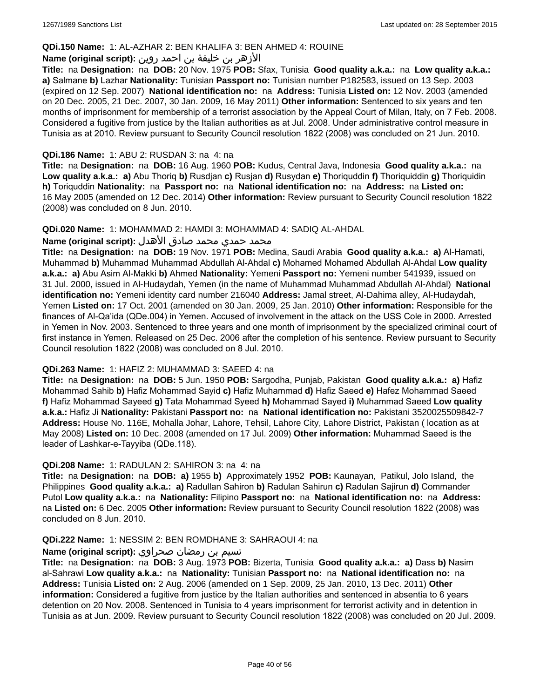### **QDi.150 Name:** 1: AL-AZHAR 2: BEN KHALIFA 3: BEN AHMED 4: ROUINE

# الأزهر بن خليفة بن احمد روين **:(script original (Name**

**Title:** na **Designation:** na **DOB:** 20 Nov. 1975 **POB:** Sfax, Tunisia **Good quality a.k.a.:** na **Low quality a.k.a.: a)** Salmane **b)** Lazhar **Nationality:** Tunisian **Passport no:** Tunisian number P182583, issued on 13 Sep. 2003 (expired on 12 Sep. 2007) **National identification no:** na **Address:** Tunisia **Listed on:** 12 Nov. 2003 (amended on 20 Dec. 2005, 21 Dec. 2007, 30 Jan. 2009, 16 May 2011) **Other information:** Sentenced to six years and ten months of imprisonment for membership of a terrorist association by the Appeal Court of Milan, Italy, on 7 Feb. 2008. Considered a fugitive from justice by the Italian authorities as at Jul. 2008. Under administrative control measure in Tunisia as at 2010. Review pursuant to Security Council resolution 1822 (2008) was concluded on 21 Jun. 2010.

### **QDi.186 Name:** 1: ABU 2: RUSDAN 3: na 4: na

**Title:** na **Designation:** na **DOB:** 16 Aug. 1960 **POB:** Kudus, Central Java, Indonesia **Good quality a.k.a.:** na **Low quality a.k.a.: a)** Abu Thoriq **b)** Rusdjan **c)** Rusjan **d)** Rusydan **e)** Thoriquddin **f)** Thoriquiddin **g)** Thoriquidin **h)** Toriquddin **Nationality:** na **Passport no:** na **National identification no:** na **Address:** na **Listed on:** 16 May 2005 (amended on 12 Dec. 2014) **Other information:** Review pursuant to Security Council resolution 1822 (2008) was concluded on 8 Jun. 2010.

#### **QDi.020 Name:** 1: MOHAMMAD 2: HAMDI 3: MOHAMMAD 4: SADIQ AL-AHDAL

#### محمد حمدي محمد صادق الأهدل **:Name (original script**)

**Title:** na **Designation:** na **DOB:** 19 Nov. 1971 **POB:** Medina, Saudi Arabia **Good quality a.k.a.: a)** Al-Hamati, Muhammad **b)** Muhammad Muhammad Abdullah Al-Ahdal **c)** Mohamed Mohamed Abdullah Al-Ahdal **Low quality a.k.a.: a)** Abu Asim Al-Makki **b)** Ahmed **Nationality:** Yemeni **Passport no:** Yemeni number 541939, issued on 31 Jul. 2000, issued in Al-Hudaydah, Yemen (in the name of Muhammad Muhammad Abdullah Al-Ahdal) **National identification no:** Yemeni identity card number 216040 **Address:** Jamal street, Al-Dahima alley, Al-Hudaydah, Yemen **Listed on:** 17 Oct. 2001 (amended on 30 Jan. 2009, 25 Jan. 2010) **Other information:** Responsible for the finances of Al-Qa'ida (QDe.004) in Yemen. Accused of involvement in the attack on the USS Cole in 2000. Arrested in Yemen in Nov. 2003. Sentenced to three years and one month of imprisonment by the specialized criminal court of first instance in Yemen. Released on 25 Dec. 2006 after the completion of his sentence. Review pursuant to Security Council resolution 1822 (2008) was concluded on 8 Jul. 2010.

#### **QDi.263 Name:** 1: HAFIZ 2: MUHAMMAD 3: SAEED 4: na

**Title:** na **Designation:** na **DOB:** 5 Jun. 1950 **POB:** Sargodha, Punjab, Pakistan **Good quality a.k.a.: a)** Hafiz Mohammad Sahib **b)** Hafiz Mohammad Sayid **c)** Hafiz Muhammad **d)** Hafiz Saeed **e)** Hafez Mohammad Saeed **f)** Hafiz Mohammad Sayeed **g)** Tata Mohammad Syeed **h)** Mohammad Sayed **i)** Muhammad Saeed **Low quality a.k.a.:** Hafiz Ji **Nationality:** Pakistani **Passport no:** na **National identification no:** Pakistani 3520025509842-7 **Address:** House No. 116E, Mohalla Johar, Lahore, Tehsil, Lahore City, Lahore District, Pakistan ( location as at May 2008) **Listed on:** 10 Dec. 2008 (amended on 17 Jul. 2009) **Other information:** Muhammad Saeed is the leader of Lashkar-e-Tayyiba (QDe.118).

#### **QDi.208 Name:** 1: RADULAN 2: SAHIRON 3: na 4: na

**Title:** na **Designation:** na **DOB: a)** 1955 **b)** Approximately 1952 **POB:** Kaunayan, Patikul, Jolo Island, the Philippines **Good quality a.k.a.: a)** Radullan Sahiron **b)** Radulan Sahirun **c)** Radulan Sajirun **d)** Commander Putol **Low quality a.k.a.:** na **Nationality:** Filipino **Passport no:** na **National identification no:** na **Address:**  na **Listed on:** 6 Dec. 2005 **Other information:** Review pursuant to Security Council resolution 1822 (2008) was concluded on 8 Jun. 2010.

#### **QDi.222 Name:** 1: NESSIM 2: BEN ROMDHANE 3: SAHRAOUI 4: na

#### نسيم بن رمضان صحراوي **:(script original (Name**

**Title:** na **Designation:** na **DOB:** 3 Aug. 1973 **POB:** Bizerta, Tunisia **Good quality a.k.a.: a)** Dass **b)** Nasim al-Sahrawi **Low quality a.k.a.:** na **Nationality:** Tunisian **Passport no:** na **National identification no:** na **Address:** Tunisia **Listed on:** 2 Aug. 2006 (amended on 1 Sep. 2009, 25 Jan. 2010, 13 Dec. 2011) **Other information:** Considered a fugitive from justice by the Italian authorities and sentenced in absentia to 6 years detention on 20 Nov. 2008. Sentenced in Tunisia to 4 years imprisonment for terrorist activity and in detention in Tunisia as at Jun. 2009. Review pursuant to Security Council resolution 1822 (2008) was concluded on 20 Jul. 2009.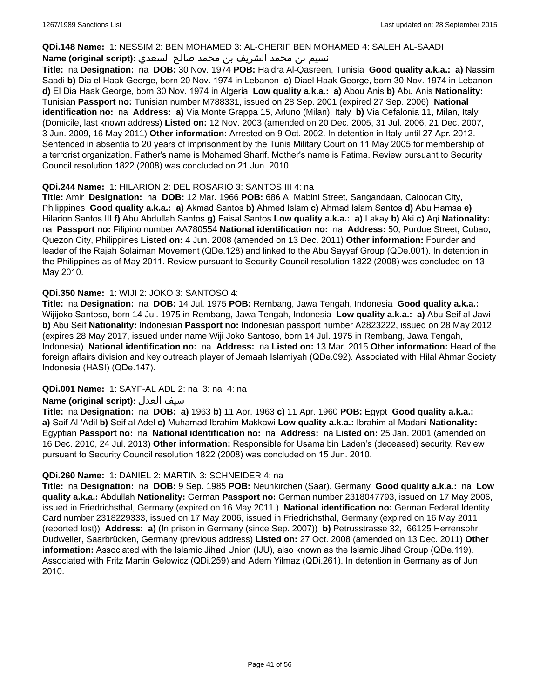### **QDi.148 Name:** 1: NESSIM 2: BEN MOHAMED 3: AL-CHERIF BEN MOHAMED 4: SALEH AL-SAADI

# نسيم بن محمد الشريف بن محمد صالح السعدي **:(script original (Name**

**Title:** na **Designation:** na **DOB:** 30 Nov. 1974 **POB:** Haidra Al-Qasreen, Tunisia **Good quality a.k.a.: a)** Nassim Saadi **b)** Dia el Haak George, born 20 Nov. 1974 in Lebanon **c)** Diael Haak George, born 30 Nov. 1974 in Lebanon **d)** El Dia Haak George, born 30 Nov. 1974 in Algeria **Low quality a.k.a.: a)** Abou Anis **b)** Abu Anis **Nationality:** Tunisian **Passport no:** Tunisian number M788331, issued on 28 Sep. 2001 (expired 27 Sep. 2006) **National identification no:** na **Address: a)** Via Monte Grappa 15, Arluno (Milan), Italy **b)** Via Cefalonia 11, Milan, Italy (Domicile, last known address) **Listed on:** 12 Nov. 2003 (amended on 20 Dec. 2005, 31 Jul. 2006, 21 Dec. 2007, 3 Jun. 2009, 16 May 2011) **Other information:** Arrested on 9 Oct. 2002. In detention in Italy until 27 Apr. 2012. Sentenced in absentia to 20 years of imprisonment by the Tunis Military Court on 11 May 2005 for membership of a terrorist organization. Father's name is Mohamed Sharif. Mother's name is Fatima. Review pursuant to Security Council resolution 1822 (2008) was concluded on 21 Jun. 2010.

# **QDi.244 Name:** 1: HILARION 2: DEL ROSARIO 3: SANTOS III 4: na

**Title:** Amir **Designation:** na **DOB:** 12 Mar. 1966 **POB:** 686 A. Mabini Street, Sangandaan, Caloocan City, Philippines **Good quality a.k.a.: a)** Akmad Santos **b)** Ahmed Islam **c)** Ahmad Islam Santos **d)** Abu Hamsa **e)** Hilarion Santos III **f)** Abu Abdullah Santos **g)** Faisal Santos **Low quality a.k.a.: a)** Lakay **b)** Aki **c)** Aqi **Nationality:**  na **Passport no:** Filipino number AA780554 **National identification no:** na **Address:** 50, Purdue Street, Cubao, Quezon City, Philippines **Listed on:** 4 Jun. 2008 (amended on 13 Dec. 2011) **Other information:** Founder and leader of the Rajah Solaiman Movement (QDe.128) and linked to the Abu Sayyaf Group (QDe.001). In detention in the Philippines as of May 2011. Review pursuant to Security Council resolution 1822 (2008) was concluded on 13 May 2010.

# **QDi.350 Name:** 1: WIJI 2: JOKO 3: SANTOSO 4:

**Title:** na **Designation:** na **DOB:** 14 Jul. 1975 **POB:** Rembang, Jawa Tengah, Indonesia **Good quality a.k.a.:** Wijijoko Santoso, born 14 Jul. 1975 in Rembang, Jawa Tengah, Indonesia **Low quality a.k.a.: a)** Abu Seif al-Jawi **b)** Abu Seif **Nationality:** Indonesian **Passport no:** Indonesian passport number A2823222, issued on 28 May 2012 (expires 28 May 2017, issued under name Wiji Joko Santoso, born 14 Jul. 1975 in Rembang, Jawa Tengah, Indonesia) **National identification no:** na **Address:** na **Listed on:** 13 Mar. 2015 **Other information:** Head of the foreign affairs division and key outreach player of Jemaah Islamiyah (QDe.092). Associated with Hilal Ahmar Society Indonesia (HASI) (QDe.147).

# **QDi.001 Name:** 1: SAYF-AL ADL 2: na 3: na 4: na

# **Name (original script):** العدل سيف

**Title:** na **Designation:** na **DOB: a)** 1963 **b)** 11 Apr. 1963 **c)** 11 Apr. 1960 **POB:** Egypt **Good quality a.k.a.: a)** Saif Al-'Adil **b)** Seif al Adel **c)** Muhamad Ibrahim Makkawi **Low quality a.k.a.:** Ibrahim al-Madani **Nationality:** Egyptian **Passport no:** na **National identification no:** na **Address:** na **Listed on:** 25 Jan. 2001 (amended on 16 Dec. 2010, 24 Jul. 2013) **Other information:** Responsible for Usama bin Laden's (deceased) security. Review pursuant to Security Council resolution 1822 (2008) was concluded on 15 Jun. 2010.

# **QDi.260 Name:** 1: DANIEL 2: MARTIN 3: SCHNEIDER 4: na

**Title:** na **Designation:** na **DOB:** 9 Sep. 1985 **POB:** Neunkirchen (Saar), Germany **Good quality a.k.a.:** na **Low quality a.k.a.:** Abdullah **Nationality:** German **Passport no:** German number 2318047793, issued on 17 May 2006, issued in Friedrichsthal, Germany (expired on 16 May 2011.) **National identification no:** German Federal Identity Card number 2318229333, issued on 17 May 2006, issued in Friedrichsthal, Germany (expired on 16 May 2011 (reported lost)) **Address: a)** (In prison in Germany (since Sep. 2007)) **b)** Petrusstrasse 32, 66125 Herrensohr, Dudweiler, Saarbrücken, Germany (previous address) **Listed on:** 27 Oct. 2008 (amended on 13 Dec. 2011) **Other information:** Associated with the Islamic Jihad Union (IJU), also known as the Islamic Jihad Group (QDe.119). Associated with Fritz Martin Gelowicz (QDi.259) and Adem Yilmaz (QDi.261). In detention in Germany as of Jun. 2010.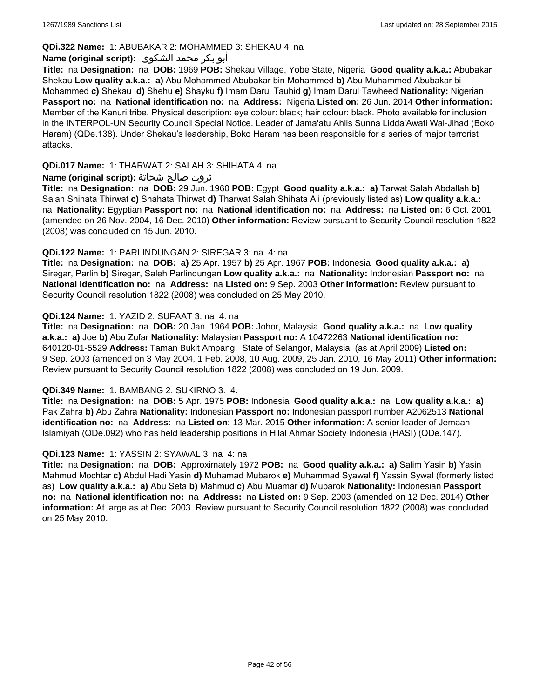# **QDi.322 Name:** 1: ABUBAKAR 2: MOHAMMED 3: SHEKAU 4: na

# أبو بكر محمد الشكوى **:(script original (Name**

**Title:** na **Designation:** na **DOB:** 1969 **POB:** Shekau Village, Yobe State, Nigeria **Good quality a.k.a.:** Abubakar Shekau **Low quality a.k.a.: a)** Abu Mohammed Abubakar bin Mohammed **b)** Abu Muhammed Abubakar bi Mohammed **c)** Shekau **d)** Shehu **e)** Shayku **f)** Imam Darul Tauhid **g)** Imam Darul Tawheed **Nationality:** Nigerian **Passport no:** na **National identification no:** na **Address:** Nigeria **Listed on:** 26 Jun. 2014 **Other information:** Member of the Kanuri tribe. Physical description: eye colour: black; hair colour: black. Photo available for inclusion in the INTERPOL-UN Security Council Special Notice. Leader of Jama'atu Ahlis Sunna Lidda'Awati Wal-Jihad (Boko Haram) (QDe.138). Under Shekau's leadership, Boko Haram has been responsible for a series of major terrorist attacks.

# **QDi.017 Name:** 1: THARWAT 2: SALAH 3: SHIHATA 4: na

# ثروت صالح شحاتة **:(script original (Name**

**Title:** na **Designation:** na **DOB:** 29 Jun. 1960 **POB:** Egypt **Good quality a.k.a.: a)** Tarwat Salah Abdallah **b)** Salah Shihata Thirwat **c)** Shahata Thirwat **d)** Tharwat Salah Shihata Ali (previously listed as) **Low quality a.k.a.:**  na **Nationality:** Egyptian **Passport no:** na **National identification no:** na **Address:** na **Listed on:** 6 Oct. 2001 (amended on 26 Nov. 2004, 16 Dec. 2010) **Other information:** Review pursuant to Security Council resolution 1822 (2008) was concluded on 15 Jun. 2010.

# **QDi.122 Name:** 1: PARLINDUNGAN 2: SIREGAR 3: na 4: na

**Title:** na **Designation:** na **DOB: a)** 25 Apr. 1957 **b)** 25 Apr. 1967 **POB:** Indonesia **Good quality a.k.a.: a)** Siregar, Parlin **b)** Siregar, Saleh Parlindungan **Low quality a.k.a.:** na **Nationality:** Indonesian **Passport no:** na **National identification no:** na **Address:** na **Listed on:** 9 Sep. 2003 **Other information:** Review pursuant to Security Council resolution 1822 (2008) was concluded on 25 May 2010.

### **QDi.124 Name:** 1: YAZID 2: SUFAAT 3: na 4: na

**Title:** na **Designation:** na **DOB:** 20 Jan. 1964 **POB:** Johor, Malaysia **Good quality a.k.a.:** na **Low quality a.k.a.: a)** Joe **b)** Abu Zufar **Nationality:** Malaysian **Passport no:** A 10472263 **National identification no:** 640120-01-5529 **Address:** Taman Bukit Ampang, State of Selangor, Malaysia (as at April 2009) **Listed on:** 9 Sep. 2003 (amended on 3 May 2004, 1 Feb. 2008, 10 Aug. 2009, 25 Jan. 2010, 16 May 2011) **Other information:** Review pursuant to Security Council resolution 1822 (2008) was concluded on 19 Jun. 2009.

# **QDi.349 Name:** 1: BAMBANG 2: SUKIRNO 3: 4:

**Title:** na **Designation:** na **DOB:** 5 Apr. 1975 **POB:** Indonesia **Good quality a.k.a.:** na **Low quality a.k.a.: a)** Pak Zahra **b)** Abu Zahra **Nationality:** Indonesian **Passport no:** Indonesian passport number A2062513 **National identification no:** na **Address:** na **Listed on:** 13 Mar. 2015 **Other information:** A senior leader of Jemaah Islamiyah (QDe.092) who has held leadership positions in Hilal Ahmar Society Indonesia (HASI) (QDe.147).

# **QDi.123 Name:** 1: YASSIN 2: SYAWAL 3: na 4: na

**Title:** na **Designation:** na **DOB:** Approximately 1972 **POB:** na **Good quality a.k.a.: a)** Salim Yasin **b)** Yasin Mahmud Mochtar **c)** Abdul Hadi Yasin **d)** Muhamad Mubarok **e)** Muhammad Syawal **f)** Yassin Sywal (formerly listed as) **Low quality a.k.a.: a)** Abu Seta **b)** Mahmud **c)** Abu Muamar **d)** Mubarok **Nationality:** Indonesian **Passport no:** na **National identification no:** na **Address:** na **Listed on:** 9 Sep. 2003 (amended on 12 Dec. 2014) **Other information:** At large as at Dec. 2003. Review pursuant to Security Council resolution 1822 (2008) was concluded on 25 May 2010.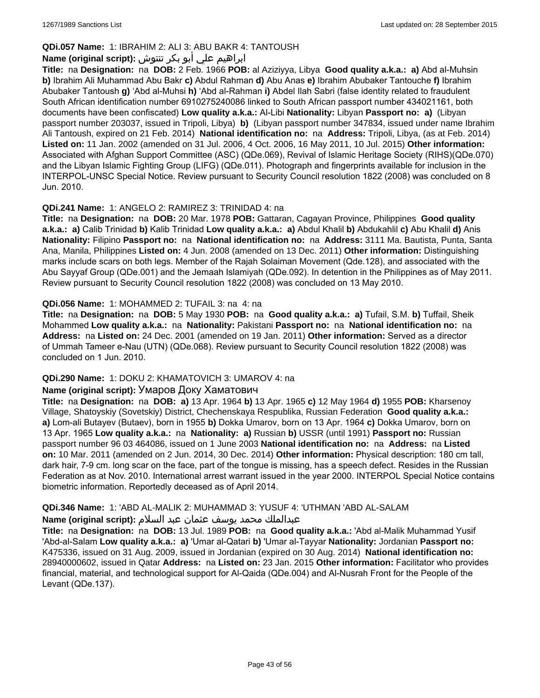# **QDi.057 Name:** 1: IBRAHIM 2: ALI 3: ABU BAKR 4: TANTOUSH

# ابراهيم علي أبو بكر تنتوش **:(script original (Name**

**Title:** na **Designation:** na **DOB:** 2 Feb. 1966 **POB:** al Aziziyya, Libya **Good quality a.k.a.: a)** Abd al-Muhsin **b)** Ibrahim Ali Muhammad Abu Bakr **c)** Abdul Rahman **d)** Abu Anas **e)** Ibrahim Abubaker Tantouche **f)** Ibrahim Abubaker Tantoush **g)** 'Abd al-Muhsi **h)** 'Abd al-Rahman **i)** Abdel Ilah Sabri (false identity related to fraudulent South African identification number 6910275240086 linked to South African passport number 434021161, both documents have been confiscated) **Low quality a.k.a.:** Al-Libi **Nationality:** Libyan **Passport no: a)** (Libyan passport number 203037, issued in Tripoli, Libya) **b)** (Libyan passport number 347834, issued under name Ibrahim Ali Tantoush, expired on 21 Feb. 2014) **National identification no:** na **Address:** Tripoli, Libya, (as at Feb. 2014) **Listed on:** 11 Jan. 2002 (amended on 31 Jul. 2006, 4 Oct. 2006, 16 May 2011, 10 Jul. 2015) **Other information:** Associated with Afghan Support Committee (ASC) (QDe.069), Revival of Islamic Heritage Society (RIHS)(QDe.070) and the Libyan Islamic Fighting Group (LIFG) (QDe.011). Photograph and fingerprints available for inclusion in the INTERPOL-UNSC Special Notice. Review pursuant to Security Council resolution 1822 (2008) was concluded on 8 Jun. 2010.

# **QDi.241 Name:** 1: ANGELO 2: RAMIREZ 3: TRINIDAD 4: na

**Title:** na **Designation:** na **DOB:** 20 Mar. 1978 **POB:** Gattaran, Cagayan Province, Philippines **Good quality a.k.a.: a)** Calib Trinidad **b)** Kalib Trinidad **Low quality a.k.a.: a)** Abdul Khalil **b)** Abdukahlil **c)** Abu Khalil **d)** Anis **Nationality:** Filipino **Passport no:** na **National identification no:** na **Address:** 3111 Ma. Bautista, Punta, Santa Ana, Manila, Philippines **Listed on:** 4 Jun. 2008 (amended on 13 Dec. 2011) **Other information:** Distinguishing marks include scars on both legs. Member of the Rajah Solaiman Movement (Qde.128), and associated with the Abu Sayyaf Group (QDe.001) and the Jemaah Islamiyah (QDe.092). In detention in the Philippines as of May 2011. Review pursuant to Security Council resolution 1822 (2008) was concluded on 13 May 2010.

# **QDi.056 Name:** 1: MOHAMMED 2: TUFAIL 3: na 4: na

**Title:** na **Designation:** na **DOB:** 5 May 1930 **POB:** na **Good quality a.k.a.: a)** Tufail, S.M. **b)** Tuffail, Sheik Mohammed **Low quality a.k.a.:** na **Nationality:** Pakistani **Passport no:** na **National identification no:** na **Address:** na **Listed on:** 24 Dec. 2001 (amended on 19 Jan. 2011) **Other information:** Served as a director of Ummah Tameer e-Nau (UTN) (QDe.068). Review pursuant to Security Council resolution 1822 (2008) was concluded on 1 Jun. 2010.

# **QDi.290 Name:** 1: DOKU 2: KHAMATOVICH 3: UMAROV 4: na

#### **Name (original script):** Умаров Доку Хаматович

**Title:** na **Designation:** na **DOB: a)** 13 Apr. 1964 **b)** 13 Apr. 1965 **c)** 12 May 1964 **d)** 1955 **POB:** Kharsenoy Village, Shatoyskiy (Sovetskiy) District, Chechenskaya Respublika, Russian Federation **Good quality a.k.a.: a)** Lom-ali Butayev (Butaev), born in 1955 **b)** Dokka Umarov, born on 13 Apr. 1964 **c)** Dokka Umarov, born on 13 Apr. 1965 **Low quality a.k.a.:** na **Nationality: a)** Russian **b)** USSR (until 1991) **Passport no:** Russian passport number 96 03 464086, issued on 1 June 2003 **National identification no:** na **Address:** na **Listed on:** 10 Mar. 2011 (amended on 2 Jun. 2014, 30 Dec. 2014) **Other information:** Physical description: 180 cm tall, dark hair, 7-9 cm. long scar on the face, part of the tongue is missing, has a speech defect. Resides in the Russian Federation as at Nov. 2010. International arrest warrant issued in the year 2000. INTERPOL Special Notice contains biometric information. Reportedly deceased as of April 2014.

# **QDi.346 Name:** 1: 'ABD AL-MALIK 2: MUHAMMAD 3: YUSUF 4: 'UTHMAN 'ABD AL-SALAM

#### عبدالملك محمد يوسف عثمان عبد السلام **:(script original (Name**

**Title:** na **Designation:** na **DOB:** 13 Jul. 1989 **POB:** na **Good quality a.k.a.:** 'Abd al-Malik Muhammad Yusif 'Abd-al-Salam **Low quality a.k.a.: a)** 'Umar al-Qatari **b)** 'Umar al-Tayyar **Nationality:** Jordanian **Passport no:** K475336, issued on 31 Aug. 2009, issued in Jordanian (expired on 30 Aug. 2014) **National identification no:** 28940000602, issued in Qatar **Address:** na **Listed on:** 23 Jan. 2015 **Other information:** Facilitator who provides financial, material, and technological support for Al-Qaida (QDe.004) and Al-Nusrah Front for the People of the Levant (QDe.137).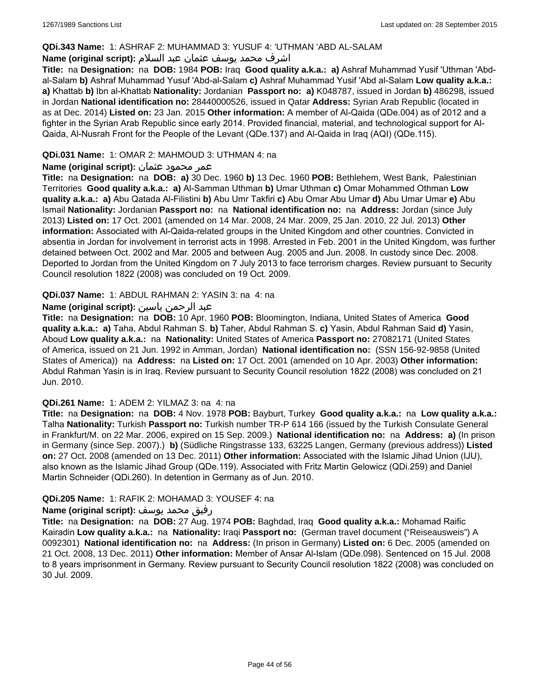### **QDi.343 Name:** 1: ASHRAF 2: MUHAMMAD 3: YUSUF 4: 'UTHMAN 'ABD AL-SALAM

# اشرف محمد يوسف عثمان عبد السلام **:(script original (Name**

**Title:** na **Designation:** na **DOB:** 1984 **POB:** Iraq **Good quality a.k.a.: a)** Ashraf Muhammad Yusif 'Uthman 'Abdal-Salam **b)** Ashraf Muhammad Yusuf 'Abd-al-Salam **c)** Ashraf Muhammad Yusif 'Abd al-Salam **Low quality a.k.a.: a)** Khattab **b)** Ibn al-Khattab **Nationality:** Jordanian **Passport no: a)** K048787, issued in Jordan **b)** 486298, issued in Jordan **National identification no:** 28440000526, issued in Qatar **Address:** Syrian Arab Republic (located in as at Dec. 2014) **Listed on:** 23 Jan. 2015 **Other information:** A member of Al-Qaida (QDe.004) as of 2012 and a fighter in the Syrian Arab Republic since early 2014. Provided financial, material, and technological support for Al-Qaida, Al-Nusrah Front for the People of the Levant (QDe.137) and Al-Qaida in Iraq (AQI) (QDe.115).

### **QDi.031 Name:** 1: OMAR 2: MAHMOUD 3: UTHMAN 4: na

### عمر محمود عثمان **:(script original (Name**

**Title:** na **Designation:** na **DOB: a)** 30 Dec. 1960 **b)** 13 Dec. 1960 **POB:** Bethlehem, West Bank, Palestinian Territories **Good quality a.k.a.: a)** Al-Samman Uthman **b)** Umar Uthman **c)** Omar Mohammed Othman **Low quality a.k.a.: a)** Abu Qatada Al-Filistini **b)** Abu Umr Takfiri **c)** Abu Omar Abu Umar **d)** Abu Umar Umar **e)** Abu Ismail **Nationality:** Jordanian **Passport no:** na **National identification no:** na **Address:** Jordan (since July 2013) **Listed on:** 17 Oct. 2001 (amended on 14 Mar. 2008, 24 Mar. 2009, 25 Jan. 2010, 22 Jul. 2013) **Other information:** Associated with Al-Qaida-related groups in the United Kingdom and other countries. Convicted in absentia in Jordan for involvement in terrorist acts in 1998. Arrested in Feb. 2001 in the United Kingdom, was further detained between Oct. 2002 and Mar. 2005 and between Aug. 2005 and Jun. 2008. In custody since Dec. 2008. Deported to Jordan from the United Kingdom on 7 July 2013 to face terrorism charges. Review pursuant to Security Council resolution 1822 (2008) was concluded on 19 Oct. 2009.

### **QDi.037 Name:** 1: ABDUL RAHMAN 2: YASIN 3: na 4: na

### عبد الرحمن ياسين **:(script original (Name**

**Title:** na **Designation:** na **DOB:** 10 Apr. 1960 **POB:** Bloomington, Indiana, United States of America **Good quality a.k.a.: a)** Taha, Abdul Rahman S. **b)** Taher, Abdul Rahman S. **c)** Yasin, Abdul Rahman Said **d)** Yasin, Aboud **Low quality a.k.a.:** na **Nationality:** United States of America **Passport no:** 27082171 (United States of America, issued on 21 Jun. 1992 in Amman, Jordan) **National identification no:** (SSN 156-92-9858 (United States of America)) na **Address:** na **Listed on:** 17 Oct. 2001 (amended on 10 Apr. 2003) **Other information:** Abdul Rahman Yasin is in Iraq. Review pursuant to Security Council resolution 1822 (2008) was concluded on 21 Jun. 2010.

#### **QDi.261 Name:** 1: ADEM 2: YILMAZ 3: na 4: na

**Title:** na **Designation:** na **DOB:** 4 Nov. 1978 **POB:** Bayburt, Turkey **Good quality a.k.a.:** na **Low quality a.k.a.:** Talha **Nationality:** Turkish **Passport no:** Turkish number TR-P 614 166 (issued by the Turkish Consulate General in Frankfurt/M. on 22 Mar. 2006, expired on 15 Sep. 2009.) **National identification no:** na **Address: a)** (In prison in Germany (since Sep. 2007).) **b)** (Südliche Ringstrasse 133, 63225 Langen, Germany (previous address)) **Listed on:** 27 Oct. 2008 (amended on 13 Dec. 2011) **Other information:** Associated with the Islamic Jihad Union (IJU), also known as the Islamic Jihad Group (QDe.119). Associated with Fritz Martin Gelowicz (QDi.259) and Daniel Martin Schneider (QDi.260). In detention in Germany as of Jun. 2010.

#### **QDi.205 Name:** 1: RAFIK 2: MOHAMAD 3: YOUSEF 4: na

#### رفيق محمد يوسف **:(script original (Name**

**Title:** na **Designation:** na **DOB:** 27 Aug. 1974 **POB:** Baghdad, Iraq **Good quality a.k.a.:** Mohamad Raific Kairadin **Low quality a.k.a.:** na **Nationality:** Iraqi **Passport no:** (German travel document ("Reiseausweis") A 0092301) **National identification no:** na **Address:** (In prison in Germany) **Listed on:** 6 Dec. 2005 (amended on 21 Oct. 2008, 13 Dec. 2011) **Other information:** Member of Ansar Al-Islam (QDe.098). Sentenced on 15 Jul. 2008 to 8 years imprisonment in Germany. Review pursuant to Security Council resolution 1822 (2008) was concluded on 30 Jul. 2009.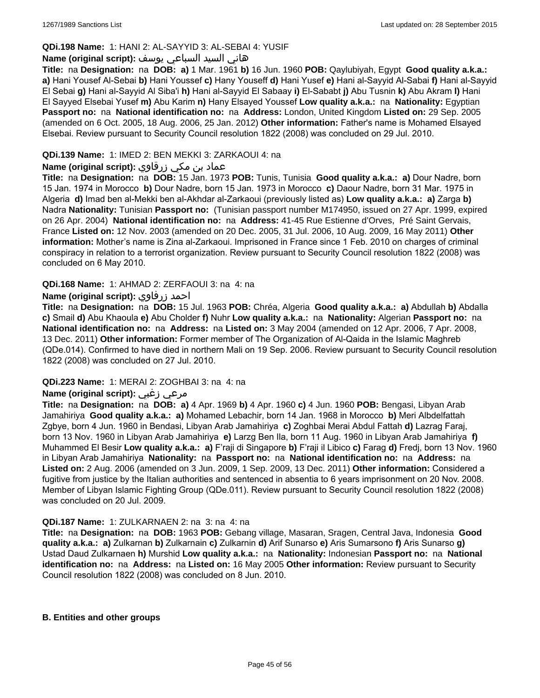# **QDi.198 Name:** 1: HANI 2: AL-SAYYID 3: AL-SEBAI 4: YUSIF

# هاني السيد السباعي يوسف **:(script original (Name**

**Title:** na **Designation:** na **DOB: a)** 1 Mar. 1961 **b)** 16 Jun. 1960 **POB:** Qaylubiyah, Egypt **Good quality a.k.a.: a)** Hani Yousef Al-Sebai **b)** Hani Youssef **c)** Hany Youseff **d)** Hani Yusef **e)** Hani al-Sayyid Al-Sabai **f)** Hani al-Sayyid El Sebai **g)** Hani al-Sayyid Al Siba'i **h)** Hani al-Sayyid El Sabaay **i)** El-Sababt **j)** Abu Tusnin **k)** Abu Akram **l)** Hani El Sayyed Elsebai Yusef **m)** Abu Karim **n)** Hany Elsayed Youssef **Low quality a.k.a.:** na **Nationality:** Egyptian **Passport no:** na **National identification no:** na **Address:** London, United Kingdom **Listed on:** 29 Sep. 2005 (amended on 6 Oct. 2005, 18 Aug. 2006, 25 Jan. 2012) **Other information:** Father's name is Mohamed Elsayed Elsebai. Review pursuant to Security Council resolution 1822 (2008) was concluded on 29 Jul. 2010.

# **QDi.139 Name:** 1: IMED 2: BEN MEKKI 3: ZARKAOUI 4: na

# عماد بن مكي زرقاوي **:(script original (Name**

**Title:** na **Designation:** na **DOB:** 15 Jan. 1973 **POB:** Tunis, Tunisia **Good quality a.k.a.: a)** Dour Nadre, born 15 Jan. 1974 in Morocco **b)** Dour Nadre, born 15 Jan. 1973 in Morocco **c)** Daour Nadre, born 31 Mar. 1975 in Algeria **d)** Imad ben al-Mekki ben al-Akhdar al-Zarkaoui (previously listed as) **Low quality a.k.a.: a)** Zarga **b)** Nadra **Nationality:** Tunisian **Passport no:** (Tunisian passport number M174950, issued on 27 Apr. 1999, expired on 26 Apr. 2004) **National identification no:** na **Address:** 41-45 Rue Estienne d'Orves, Pré Saint Gervais, France **Listed on:** 12 Nov. 2003 (amended on 20 Dec. 2005, 31 Jul. 2006, 10 Aug. 2009, 16 May 2011) **Other information:** Mother's name is Zina al-Zarkaoui. Imprisoned in France since 1 Feb. 2010 on charges of criminal conspiracy in relation to a terrorist organization. Review pursuant to Security Council resolution 1822 (2008) was concluded on 6 May 2010.

### **QDi.168 Name:** 1: AHMAD 2: ZERFAOUI 3: na 4: na

# **Name (original script):** زرفاوي احمد

**Title:** na **Designation:** na **DOB:** 15 Jul. 1963 **POB:** Chréa, Algeria **Good quality a.k.a.: a)** Abdullah **b)** Abdalla **c)** Smail **d)** Abu Khaoula **e)** Abu Cholder **f)** Nuhr **Low quality a.k.a.:** na **Nationality:** Algerian **Passport no:** na **National identification no:** na **Address:** na **Listed on:** 3 May 2004 (amended on 12 Apr. 2006, 7 Apr. 2008, 13 Dec. 2011) **Other information:** Former member of The Organization of Al-Qaida in the Islamic Maghreb (QDe.014). Confirmed to have died in northern Mali on 19 Sep. 2006. Review pursuant to Security Council resolution 1822 (2008) was concluded on 27 Jul. 2010.

# **QDi.223 Name:** 1: MERAI 2: ZOGHBAI 3: na 4: na

# **Name (original script):** زغبي مرعي

**Title:** na **Designation:** na **DOB: a)** 4 Apr. 1969 **b)** 4 Apr. 1960 **c)** 4 Jun. 1960 **POB:** Bengasi, Libyan Arab Jamahiriya **Good quality a.k.a.: a)** Mohamed Lebachir, born 14 Jan. 1968 in Morocco **b)** Meri Albdelfattah Zgbye, born 4 Jun. 1960 in Bendasi, Libyan Arab Jamahiriya **c)** Zoghbai Merai Abdul Fattah **d)** Lazrag Faraj, born 13 Nov. 1960 in Libyan Arab Jamahiriya **e)** Larzg Ben Ila, born 11 Aug. 1960 in Libyan Arab Jamahiriya **f)** Muhammed El Besir **Low quality a.k.a.: a)** F'raji di Singapore **b)** F'raji il Libico **c)** Farag **d)** Fredj, born 13 Nov. 1960 in Libyan Arab Jamahiriya **Nationality:** na **Passport no:** na **National identification no:** na **Address:** na **Listed on:** 2 Aug. 2006 (amended on 3 Jun. 2009, 1 Sep. 2009, 13 Dec. 2011) **Other information:** Considered a fugitive from justice by the Italian authorities and sentenced in absentia to 6 years imprisonment on 20 Nov. 2008. Member of Libyan Islamic Fighting Group (QDe.011). Review pursuant to Security Council resolution 1822 (2008) was concluded on 20 Jul. 2009.

#### **QDi.187 Name:** 1: ZULKARNAEN 2: na 3: na 4: na

**Title:** na **Designation:** na **DOB:** 1963 **POB:** Gebang village, Masaran, Sragen, Central Java, Indonesia **Good quality a.k.a.: a)** Zulkarnan **b)** Zulkarnain **c)** Zulkarnin **d)** Arif Sunarso **e)** Aris Sumarsono **f)** Aris Sunarso **g)** Ustad Daud Zulkarnaen **h)** Murshid **Low quality a.k.a.:** na **Nationality:** Indonesian **Passport no:** na **National identification no:** na **Address:** na **Listed on:** 16 May 2005 **Other information:** Review pursuant to Security Council resolution 1822 (2008) was concluded on 8 Jun. 2010.

#### **B. Entities and other groups**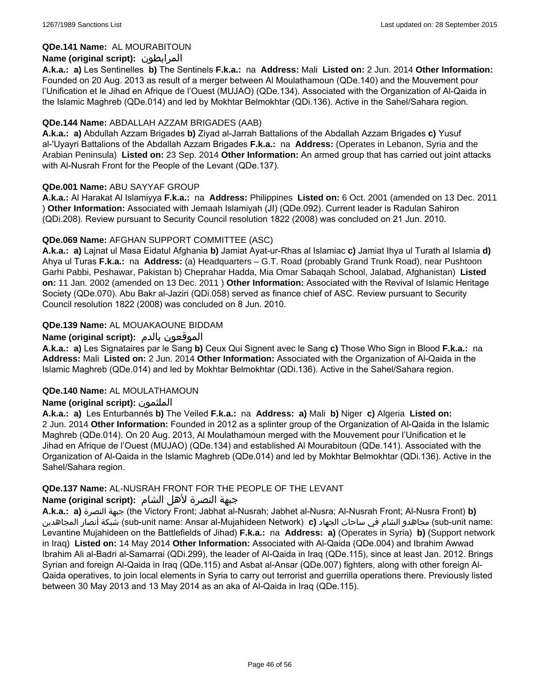# **QDe.141 Name:** AL MOURABITOUN

# **Name (original script):** المرابطون

**A.k.a.: a)** Les Sentinelles **b)** The Sentinels **F.k.a.:** na **Address:** Mali **Listed on:** 2 Jun. 2014 **Other Information:**  Founded on 20 Aug. 2013 as result of a merger between Al Moulathamoun (QDe.140) and the Mouvement pour l'Unification et le Jihad en Afrique de l'Ouest (MUJAO) (QDe.134). Associated with the Organization of Al-Qaida in the Islamic Maghreb (QDe.014) and led by Mokhtar Belmokhtar (QDi.136). Active in the Sahel/Sahara region.

### **QDe.144 Name:** ABDALLAH AZZAM BRIGADES (AAB)

**A.k.a.: a)** Abdullah Azzam Brigades **b)** Ziyad al-Jarrah Battalions of the Abdallah Azzam Brigades **c)** Yusuf al-'Uyayri Battalions of the Abdallah Azzam Brigades **F.k.a.:** na **Address:** (Operates in Lebanon, Syria and the Arabian Peninsula) **Listed on:** 23 Sep. 2014 **Other Information:** An armed group that has carried out joint attacks with Al-Nusrah Front for the People of the Levant (QDe.137).

### **QDe.001 Name:** ABU SAYYAF GROUP

**A.k.a.:** Al Harakat Al Islamiyya **F.k.a.:** na **Address:** Philippines **Listed on:** 6 Oct. 2001 (amended on 13 Dec. 2011 ) **Other Information:** Associated with Jemaah Islamiyah (JI) (QDe.092). Current leader is Radulan Sahiron (QDi.208). Review pursuant to Security Council resolution 1822 (2008) was concluded on 21 Jun. 2010.

# **QDe.069 Name:** AFGHAN SUPPORT COMMITTEE (ASC)

**A.k.a.: a)** Lajnat ul Masa Eidatul Afghania **b)** Jamiat Ayat-ur-Rhas al Islamiac **c)** Jamiat Ihya ul Turath al Islamia **d)** Ahya ul Turas **F.k.a.:** na **Address:** (a) Headquarters – G.T. Road (probably Grand Trunk Road), near Pushtoon Garhi Pabbi, Peshawar, Pakistan b) Cheprahar Hadda, Mia Omar Sabaqah School, Jalabad, Afghanistan) **Listed on:** 11 Jan. 2002 (amended on 13 Dec. 2011 ) **Other Information:** Associated with the Revival of Islamic Heritage Society (QDe.070). Abu Bakr al-Jaziri (QDi.058) served as finance chief of ASC. Review pursuant to Security Council resolution 1822 (2008) was concluded on 8 Jun. 2010.

# **QDe.139 Name:** AL MOUAKAOUNE BIDDAM

# **Name (original script):** بالدم الموقعون

**A.k.a.: a)** Les Signataires par le Sang **b)** Ceux Qui Signent avec le Sang **c)** Those Who Sign in Blood **F.k.a.:** na **Address:** Mali **Listed on:** 2 Jun. 2014 **Other Information:** Associated with the Organization of Al-Qaida in the Islamic Maghreb (QDe.014) and led by Mokhtar Belmokhtar (QDi.136). Active in the Sahel/Sahara region.

#### **QDe.140 Name:** AL MOULATHAMOUN

# **Name (original script):** الملثمون

**A.k.a.: a)** Les Enturbannés **b)** The Veiled **F.k.a.:** na **Address: a)** Mali **b)** Niger **c)** Algeria **Listed on:** 2 Jun. 2014 **Other Information:** Founded in 2012 as a splinter group of the Organization of Al-Qaida in the Islamic Maghreb (QDe.014). On 20 Aug. 2013, Al Moulathamoun merged with the Mouvement pour l'Unification et le Jihad en Afrique de l'Ouest (MUJAO) (QDe.134) and established Al Mourabitoun (QDe.141). Associated with the Organization of Al-Qaida in the Islamic Maghreb (QDe.014) and led by Mokhtar Belmokhtar (QDi.136). Active in the Sahel/Sahara region.

#### **QDe.137 Name:** AL-NUSRAH FRONT FOR THE PEOPLE OF THE LEVANT

#### جبهة النصرة لأهل الشام **:(script original (Name**

**A.k.a.: a)** النصرة جبهة) the Victory Front; Jabhat al-Nusrah; Jabhet al-Nusra; Al-Nusrah Front; Al-Nusra Front) **b)**  المجاهدين أنصار شبكة) sub-unit name: Ansar al-Mujahideen Network) **c)** الجهاد ساحات في الشام مجاهدو) sub-unit name: Levantine Mujahideen on the Battlefields of Jihad) **F.k.a.:** na **Address: a)** (Operates in Syria) **b)** (Support network in Iraq) **Listed on:** 14 May 2014 **Other Information:** Associated with Al-Qaida (QDe.004) and Ibrahim Awwad Ibrahim Ali al-Badri al-Samarrai (QDi.299), the leader of Al-Qaida in Iraq (QDe.115), since at least Jan. 2012. Brings Syrian and foreign Al-Qaida in Iraq (QDe.115) and Asbat al-Ansar (QDe.007) fighters, along with other foreign Al-Qaida operatives, to join local elements in Syria to carry out terrorist and guerrilla operations there. Previously listed between 30 May 2013 and 13 May 2014 as an aka of Al-Qaida in Iraq (QDe.115).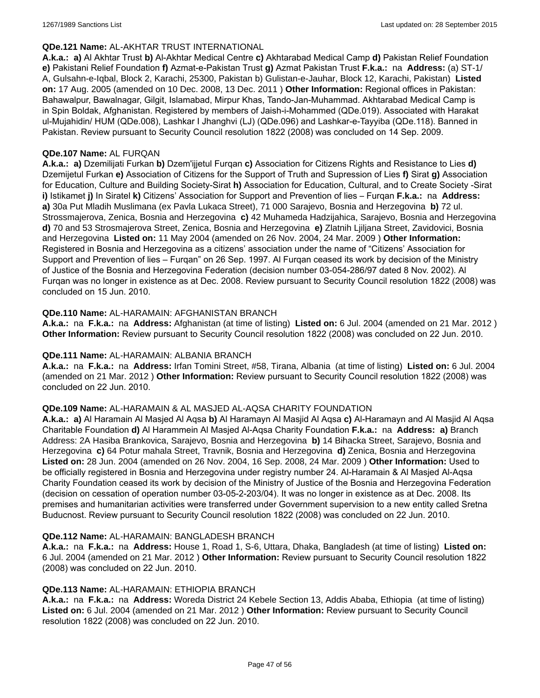#### **QDe.121 Name:** AL-AKHTAR TRUST INTERNATIONAL

**A.k.a.: a)** Al Akhtar Trust **b)** Al-Akhtar Medical Centre **c)** Akhtarabad Medical Camp **d)** Pakistan Relief Foundation **e)** Pakistani Relief Foundation **f)** Azmat-e-Pakistan Trust **g)** Azmat Pakistan Trust **F.k.a.:** na **Address:** (a) ST-1/ A, Gulsahn-e-Iqbal, Block 2, Karachi, 25300, Pakistan b) Gulistan-e-Jauhar, Block 12, Karachi, Pakistan) **Listed on:** 17 Aug. 2005 (amended on 10 Dec. 2008, 13 Dec. 2011 ) **Other Information:** Regional offices in Pakistan: Bahawalpur, Bawalnagar, Gilgit, Islamabad, Mirpur Khas, Tando-Jan-Muhammad. Akhtarabad Medical Camp is in Spin Boldak, Afghanistan. Registered by members of Jaish-i-Mohammed (QDe.019). Associated with Harakat ul-Mujahidin/ HUM (QDe.008), Lashkar I Jhanghvi (LJ) (QDe.096) and Lashkar-e-Tayyiba (QDe.118). Banned in Pakistan. Review pursuant to Security Council resolution 1822 (2008) was concluded on 14 Sep. 2009.

### **QDe.107 Name:** AL FURQAN

**A.k.a.: a)** Dzemilijati Furkan **b)** Dzem'ijjetul Furqan **c)** Association for Citizens Rights and Resistance to Lies **d)** Dzemijetul Furkan **e)** Association of Citizens for the Support of Truth and Supression of Lies **f)** Sirat **g)** Association for Education, Culture and Building Society-Sirat **h)** Association for Education, Cultural, and to Create Society -Sirat **i)** Istikamet **j)** In Siratel **k)** Citizens' Association for Support and Prevention of lies – Furqan **F.k.a.:** na **Address: a)** 30a Put Mladih Muslimana (ex Pavla Lukaca Street), 71 000 Sarajevo, Bosnia and Herzegovina **b)** 72 ul. Strossmajerova, Zenica, Bosnia and Herzegovina **c)** 42 Muhameda Hadzijahica, Sarajevo, Bosnia and Herzegovina **d)** 70 and 53 Strosmajerova Street, Zenica, Bosnia and Herzegovina **e)** Zlatnih Ljiljana Street, Zavidovici, Bosnia and Herzegovina **Listed on:** 11 May 2004 (amended on 26 Nov. 2004, 24 Mar. 2009 ) **Other Information:** Registered in Bosnia and Herzegovina as a citizens' association under the name of "Citizens' Association for Support and Prevention of lies – Furqan" on 26 Sep. 1997. Al Furqan ceased its work by decision of the Ministry of Justice of the Bosnia and Herzegovina Federation (decision number 03-054-286/97 dated 8 Nov. 2002). Al Furqan was no longer in existence as at Dec. 2008. Review pursuant to Security Council resolution 1822 (2008) was concluded on 15 Jun. 2010.

### **QDe.110 Name:** AL-HARAMAIN: AFGHANISTAN BRANCH

**A.k.a.:** na **F.k.a.:** na **Address:** Afghanistan (at time of listing) **Listed on:** 6 Jul. 2004 (amended on 21 Mar. 2012 ) **Other Information:** Review pursuant to Security Council resolution 1822 (2008) was concluded on 22 Jun. 2010.

#### **QDe.111 Name:** AL-HARAMAIN: ALBANIA BRANCH

**A.k.a.:** na **F.k.a.:** na **Address:** Irfan Tomini Street, #58, Tirana, Albania (at time of listing) **Listed on:** 6 Jul. 2004 (amended on 21 Mar. 2012 ) **Other Information:** Review pursuant to Security Council resolution 1822 (2008) was concluded on 22 Jun. 2010.

#### **QDe.109 Name:** AL-HARAMAIN & AL MASJED AL-AQSA CHARITY FOUNDATION

**A.k.a.: a)** Al Haramain Al Masjed Al Aqsa **b)** Al Haramayn Al Masjid Al Aqsa **c)** Al-Haramayn and Al Masjid Al Aqsa Charitable Foundation **d)** Al Harammein Al Masjed Al-Aqsa Charity Foundation **F.k.a.:** na **Address: a)** Branch Address: 2A Hasiba Brankovica, Sarajevo, Bosnia and Herzegovina **b)** 14 Bihacka Street, Sarajevo, Bosnia and Herzegovina **c)** 64 Potur mahala Street, Travnik, Bosnia and Herzegovina **d)** Zenica, Bosnia and Herzegovina **Listed on:** 28 Jun. 2004 (amended on 26 Nov. 2004, 16 Sep. 2008, 24 Mar. 2009 ) **Other Information:** Used to be officially registered in Bosnia and Herzegovina under registry number 24. Al-Haramain & Al Masjed Al-Aqsa Charity Foundation ceased its work by decision of the Ministry of Justice of the Bosnia and Herzegovina Federation (decision on cessation of operation number 03-05-2-203/04). It was no longer in existence as at Dec. 2008. Its premises and humanitarian activities were transferred under Government supervision to a new entity called Sretna Buducnost. Review pursuant to Security Council resolution 1822 (2008) was concluded on 22 Jun. 2010.

#### **QDe.112 Name:** AL-HARAMAIN: BANGLADESH BRANCH

**A.k.a.:** na **F.k.a.:** na **Address:** House 1, Road 1, S-6, Uttara, Dhaka, Bangladesh (at time of listing) **Listed on:** 6 Jul. 2004 (amended on 21 Mar. 2012 ) **Other Information:** Review pursuant to Security Council resolution 1822 (2008) was concluded on 22 Jun. 2010.

#### **QDe.113 Name:** AL-HARAMAIN: ETHIOPIA BRANCH

**A.k.a.:** na **F.k.a.:** na **Address:** Woreda District 24 Kebele Section 13, Addis Ababa, Ethiopia (at time of listing) **Listed on:** 6 Jul. 2004 (amended on 21 Mar. 2012 ) **Other Information:** Review pursuant to Security Council resolution 1822 (2008) was concluded on 22 Jun. 2010.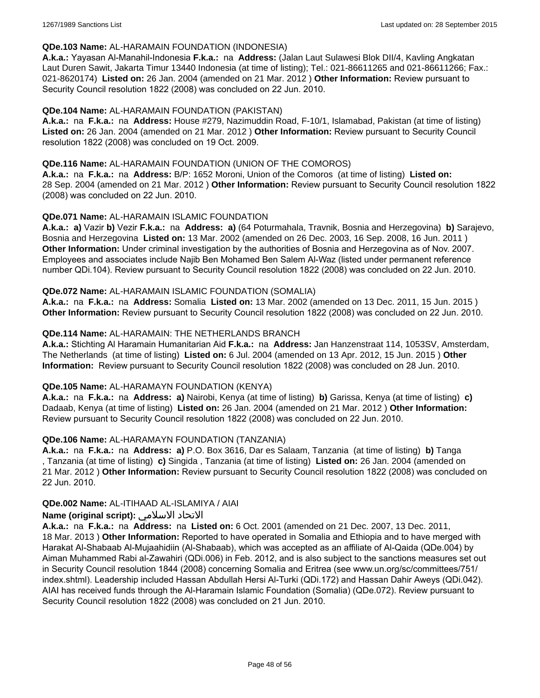### **QDe.103 Name:** AL-HARAMAIN FOUNDATION (INDONESIA)

**A.k.a.:** Yayasan Al-Manahil-Indonesia **F.k.a.:** na **Address:** (Jalan Laut Sulawesi Blok DII/4, Kavling Angkatan Laut Duren Sawit, Jakarta Timur 13440 Indonesia (at time of listing); Tel.: 021-86611265 and 021-86611266; Fax.: 021-8620174) **Listed on:** 26 Jan. 2004 (amended on 21 Mar. 2012 ) **Other Information:** Review pursuant to Security Council resolution 1822 (2008) was concluded on 22 Jun. 2010.

### **QDe.104 Name:** AL-HARAMAIN FOUNDATION (PAKISTAN)

**A.k.a.:** na **F.k.a.:** na **Address:** House #279, Nazimuddin Road, F-10/1, Islamabad, Pakistan (at time of listing) **Listed on:** 26 Jan. 2004 (amended on 21 Mar. 2012 ) **Other Information:** Review pursuant to Security Council resolution 1822 (2008) was concluded on 19 Oct. 2009.

### **QDe.116 Name:** AL-HARAMAIN FOUNDATION (UNION OF THE COMOROS)

**A.k.a.:** na **F.k.a.:** na **Address:** B/P: 1652 Moroni, Union of the Comoros (at time of listing) **Listed on:** 28 Sep. 2004 (amended on 21 Mar. 2012 ) **Other Information:** Review pursuant to Security Council resolution 1822 (2008) was concluded on 22 Jun. 2010.

### **QDe.071 Name:** AL-HARAMAIN ISLAMIC FOUNDATION

**A.k.a.: a)** Vazir **b)** Vezir **F.k.a.:** na **Address: a)** (64 Poturmahala, Travnik, Bosnia and Herzegovina) **b)** Sarajevo, Bosnia and Herzegovina **Listed on:** 13 Mar. 2002 (amended on 26 Dec. 2003, 16 Sep. 2008, 16 Jun. 2011 ) **Other Information:** Under criminal investigation by the authorities of Bosnia and Herzegovina as of Nov. 2007. Employees and associates include Najib Ben Mohamed Ben Salem Al-Waz (listed under permanent reference number QDi.104). Review pursuant to Security Council resolution 1822 (2008) was concluded on 22 Jun. 2010.

### **QDe.072 Name:** AL-HARAMAIN ISLAMIC FOUNDATION (SOMALIA)

**A.k.a.:** na **F.k.a.:** na **Address:** Somalia **Listed on:** 13 Mar. 2002 (amended on 13 Dec. 2011, 15 Jun. 2015 ) **Other Information:** Review pursuant to Security Council resolution 1822 (2008) was concluded on 22 Jun. 2010.

### **QDe.114 Name:** AL-HARAMAIN: THE NETHERLANDS BRANCH

**A.k.a.:** Stichting Al Haramain Humanitarian Aid **F.k.a.:** na **Address:** Jan Hanzenstraat 114, 1053SV, Amsterdam, The Netherlands (at time of listing) **Listed on:** 6 Jul. 2004 (amended on 13 Apr. 2012, 15 Jun. 2015 ) **Other Information:** Review pursuant to Security Council resolution 1822 (2008) was concluded on 28 Jun. 2010.

#### **QDe.105 Name:** AL-HARAMAYN FOUNDATION (KENYA)

**A.k.a.:** na **F.k.a.:** na **Address: a)** Nairobi, Kenya (at time of listing) **b)** Garissa, Kenya (at time of listing) **c)** Dadaab, Kenya (at time of listing) **Listed on:** 26 Jan. 2004 (amended on 21 Mar. 2012 ) **Other Information:** Review pursuant to Security Council resolution 1822 (2008) was concluded on 22 Jun. 2010.

# **QDe.106 Name:** AL-HARAMAYN FOUNDATION (TANZANIA)

**A.k.a.:** na **F.k.a.:** na **Address: a)** P.O. Box 3616, Dar es Salaam, Tanzania (at time of listing) **b)** Tanga , Tanzania (at time of listing) **c)** Singida , Tanzania (at time of listing) **Listed on:** 26 Jan. 2004 (amended on 21 Mar. 2012 ) **Other Information:** Review pursuant to Security Council resolution 1822 (2008) was concluded on 22 Jun. 2010.

#### **QDe.002 Name:** AL-ITIHAAD AL-ISLAMIYA / AIAI

# **Name (original script):** الاسلامي الاتحاد

**A.k.a.:** na **F.k.a.:** na **Address:** na **Listed on:** 6 Oct. 2001 (amended on 21 Dec. 2007, 13 Dec. 2011, 18 Mar. 2013 ) **Other Information:** Reported to have operated in Somalia and Ethiopia and to have merged with Harakat Al-Shabaab Al-Mujaahidiin (Al-Shabaab), which was accepted as an affiliate of Al-Qaida (QDe.004) by Aiman Muhammed Rabi al-Zawahiri (QDi.006) in Feb. 2012, and is also subject to the sanctions measures set out in Security Council resolution 1844 (2008) concerning Somalia and Eritrea (see www.un.org/sc/committees/751/ index.shtml). Leadership included Hassan Abdullah Hersi Al-Turki (QDi.172) and Hassan Dahir Aweys (QDi.042). AIAI has received funds through the Al-Haramain Islamic Foundation (Somalia) (QDe.072). Review pursuant to Security Council resolution 1822 (2008) was concluded on 21 Jun. 2010.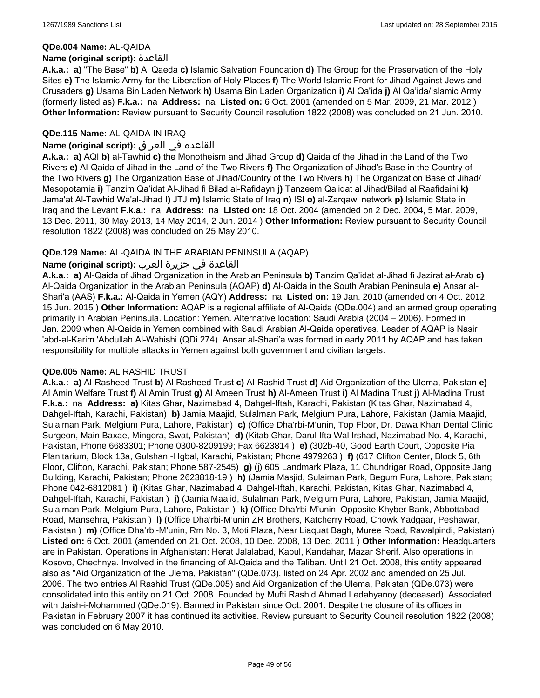#### **QDe.004 Name:** AL-QAIDA

#### **Name (original script):** القاعدة

**A.k.a.: a)** "The Base" **b)** Al Qaeda **c)** Islamic Salvation Foundation **d)** The Group for the Preservation of the Holy Sites **e)** The Islamic Army for the Liberation of Holy Places **f)** The World Islamic Front for Jihad Against Jews and Crusaders **g)** Usama Bin Laden Network **h)** Usama Bin Laden Organization **i)** Al Qa'ida **j)** Al Qa'ida/Islamic Army (formerly listed as) **F.k.a.:** na **Address:** na **Listed on:** 6 Oct. 2001 (amended on 5 Mar. 2009, 21 Mar. 2012 ) **Other Information:** Review pursuant to Security Council resolution 1822 (2008) was concluded on 21 Jun. 2010.

# **QDe.115 Name:** AL-QAIDA IN IRAQ

# القاعده في العراق **:(script original (Name**

**A.k.a.: a)** AQI **b)** al-Tawhid **c)** the Monotheism and Jihad Group **d)** Qaida of the Jihad in the Land of the Two Rivers **e)** Al-Qaida of Jihad in the Land of the Two Rivers **f)** The Organization of Jihad's Base in the Country of the Two Rivers **g)** The Organization Base of Jihad/Country of the Two Rivers **h)** The Organization Base of Jihad/ Mesopotamia **i)** Tanzim Qa'idat Al-Jihad fi Bilad al-Rafidayn **j)** Tanzeem Qa'idat al Jihad/Bilad al Raafidaini **k)** Jama'at Al-Tawhid Wa'al-Jihad **l)** JTJ **m)** Islamic State of Iraq **n)** ISI **o)** al-Zarqawi network **p)** Islamic State in Iraq and the Levant **F.k.a.:** na **Address:** na **Listed on:** 18 Oct. 2004 (amended on 2 Dec. 2004, 5 Mar. 2009, 13 Dec. 2011, 30 May 2013, 14 May 2014, 2 Jun. 2014 ) **Other Information:** Review pursuant to Security Council resolution 1822 (2008) was concluded on 25 May 2010.

# **QDe.129 Name:** AL-QAIDA IN THE ARABIAN PENINSULA (AQAP)

# القاعدة في جزيرة العرب **:(script original (Name**

**A.k.a.: a)** Al-Qaida of Jihad Organization in the Arabian Peninsula **b)** Tanzim Qa'idat al-Jihad fi Jazirat al-Arab **c)** Al-Qaida Organization in the Arabian Peninsula (AQAP) **d)** Al-Qaida in the South Arabian Peninsula **e)** Ansar al-Shari'a (AAS) **F.k.a.:** Al-Qaida in Yemen (AQY) **Address:** na **Listed on:** 19 Jan. 2010 (amended on 4 Oct. 2012, 15 Jun. 2015 ) **Other Information:** AQAP is a regional affiliate of Al-Qaida (QDe.004) and an armed group operating primarily in Arabian Peninsula. Location: Yemen. Alternative location: Saudi Arabia (2004 – 2006). Formed in Jan. 2009 when Al-Qaida in Yemen combined with Saudi Arabian Al-Qaida operatives. Leader of AQAP is Nasir 'abd-al-Karim 'Abdullah Al-Wahishi (QDi.274). Ansar al-Shari'a was formed in early 2011 by AQAP and has taken responsibility for multiple attacks in Yemen against both government and civilian targets.

# **QDe.005 Name:** AL RASHID TRUST

**A.k.a.: a)** Al-Rasheed Trust **b)** Al Rasheed Trust **c)** Al-Rashid Trust **d)** Aid Organization of the Ulema, Pakistan **e)** Al Amin Welfare Trust **f)** Al Amin Trust **g)** Al Ameen Trust **h)** Al-Ameen Trust **i)** Al Madina Trust **j)** Al-Madina Trust **F.k.a.:** na **Address: a)** Kitas Ghar, Nazimabad 4, Dahgel-Iftah, Karachi, Pakistan (Kitas Ghar, Nazimabad 4, Dahgel-Iftah, Karachi, Pakistan) **b)** Jamia Maajid, Sulalman Park, Melgium Pura, Lahore, Pakistan (Jamia Maajid, Sulalman Park, Melgium Pura, Lahore, Pakistan) **c)** (Office Dha'rbi-M'unin, Top Floor, Dr. Dawa Khan Dental Clinic Surgeon, Main Baxae, Mingora, Swat, Pakistan) **d)** (Kitab Ghar, Darul Ifta Wal Irshad, Nazimabad No. 4, Karachi, Pakistan, Phone 6683301; Phone 0300-8209199; Fax 6623814 ) **e)** (302b-40, Good Earth Court, Opposite Pia Planitarium, Block 13a, Gulshan -l Igbal, Karachi, Pakistan; Phone 4979263 ) **f)** (617 Clifton Center, Block 5, 6th Floor, Clifton, Karachi, Pakistan; Phone 587-2545) **g)** (j) 605 Landmark Plaza, 11 Chundrigar Road, Opposite Jang Building, Karachi, Pakistan; Phone 2623818-19 ) **h)** (Jamia Masjid, Sulaiman Park, Begum Pura, Lahore, Pakistan; Phone 042-6812081 ) **i)** (Kitas Ghar, Nazimabad 4, Dahgel-Iftah, Karachi, Pakistan, Kitas Ghar, Nazimabad 4, Dahgel-Iftah, Karachi, Pakistan ) **j)** (Jamia Maajid, Sulalman Park, Melgium Pura, Lahore, Pakistan, Jamia Maajid, Sulalman Park, Melgium Pura, Lahore, Pakistan ) **k)** (Office Dha'rbi-M'unin, Opposite Khyber Bank, Abbottabad Road, Mansehra, Pakistan ) **l)** (Office Dha'rbi-M'unin ZR Brothers, Katcherry Road, Chowk Yadgaar, Peshawar, Pakistan ) **m)** (Office Dha'rbi-M'unin, Rm No. 3, Moti Plaza, Near Liaquat Bagh, Muree Road, Rawalpindi, Pakistan) **Listed on:** 6 Oct. 2001 (amended on 21 Oct. 2008, 10 Dec. 2008, 13 Dec. 2011 ) **Other Information:** Headquarters are in Pakistan. Operations in Afghanistan: Herat Jalalabad, Kabul, Kandahar, Mazar Sherif. Also operations in Kosovo, Chechnya. Involved in the financing of Al-Qaida and the Taliban. Until 21 Oct. 2008, this entity appeared also as "Aid Organization of the Ulema, Pakistan" (QDe.073), listed on 24 Apr. 2002 and amended on 25 Jul. 2006. The two entries Al Rashid Trust (QDe.005) and Aid Organization of the Ulema, Pakistan (QDe.073) were consolidated into this entity on 21 Oct. 2008. Founded by Mufti Rashid Ahmad Ledahyanoy (deceased). Associated with Jaish-i-Mohammed (QDe.019). Banned in Pakistan since Oct. 2001. Despite the closure of its offices in Pakistan in February 2007 it has continued its activities. Review pursuant to Security Council resolution 1822 (2008) was concluded on 6 May 2010.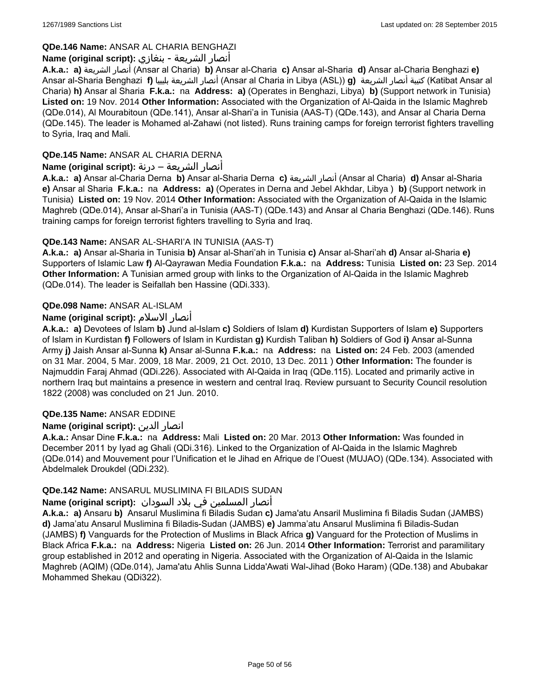# **QDe.146 Name:** ANSAR AL CHARIA BENGHAZI

# أنصار الشريعة - بنغازي **:(script original (Name**

**A.k.a.: a)** الشريعة أنصار) Ansar al Charia) **b)** Ansar al-Charia **c)** Ansar al-Sharia **d)** Ansar al-Charia Benghazi **e)** Ansar al-Sharia Benghazi **f)** بليبيا الشريعة أنصار) Ansar al Charia in Libya (ASL)) **g)** الشريعة أنصار كتيبة) Katibat Ansar al Charia) **h)** Ansar al Sharia **F.k.a.:** na **Address: a)** (Operates in Benghazi, Libya) **b)** (Support network in Tunisia) **Listed on:** 19 Nov. 2014 **Other Information:** Associated with the Organization of Al-Qaida in the Islamic Maghreb (QDe.014), Al Mourabitoun (QDe.141), Ansar al-Shari'a in Tunisia (AAS-T) (QDe.143), and Ansar al Charia Derna (QDe.145). The leader is Mohamed al-Zahawi (not listed). Runs training camps for foreign terrorist fighters travelling to Syria, Iraq and Mali.

# **QDe.145 Name:** ANSAR AL CHARIA DERNA

# أنصار الشريعة – درنة **:(script original (Name**

**A.k.a.: a)** Ansar al-Charia Derna **b)** Ansar al-Sharia Derna **c)** الشريعة أنصار) Ansar al Charia) **d)** Ansar al-Sharia **e)** Ansar al Sharia **F.k.a.:** na **Address: a)** (Operates in Derna and Jebel Akhdar, Libya ) **b)** (Support network in Tunisia) **Listed on:** 19 Nov. 2014 **Other Information:** Associated with the Organization of Al-Qaida in the Islamic Maghreb (QDe.014), Ansar al-Shari'a in Tunisia (AAS-T) (QDe.143) and Ansar al Charia Benghazi (QDe.146). Runs training camps for foreign terrorist fighters travelling to Syria and Iraq.

# **QDe.143 Name:** ANSAR AL-SHARI'A IN TUNISIA (AAS-T)

**A.k.a.: a)** Ansar al-Sharia in Tunisia **b)** Ansar al-Shari'ah in Tunisia **c)** Ansar al-Shari'ah **d)** Ansar al-Sharia **e)** Supporters of Islamic Law **f)** Al-Qayrawan Media Foundation **F.k.a.:** na **Address:** Tunisia **Listed on:** 23 Sep. 2014 **Other Information:** A Tunisian armed group with links to the Organization of Al-Qaida in the Islamic Maghreb (QDe.014). The leader is Seifallah ben Hassine (QDi.333).

# **QDe.098 Name:** ANSAR AL-ISLAM

# **Name (original script):** الاسلام أنصار

**A.k.a.: a)** Devotees of Islam **b)** Jund al-Islam **c)** Soldiers of Islam **d)** Kurdistan Supporters of Islam **e)** Supporters of Islam in Kurdistan **f)** Followers of Islam in Kurdistan **g)** Kurdish Taliban **h)** Soldiers of God **i)** Ansar al-Sunna Army **j)** Jaish Ansar al-Sunna **k)** Ansar al-Sunna **F.k.a.:** na **Address:** na **Listed on:** 24 Feb. 2003 (amended on 31 Mar. 2004, 5 Mar. 2009, 18 Mar. 2009, 21 Oct. 2010, 13 Dec. 2011 ) **Other Information:** The founder is Najmuddin Faraj Ahmad (QDi.226). Associated with Al-Qaida in Iraq (QDe.115). Located and primarily active in northern Iraq but maintains a presence in western and central Iraq. Review pursuant to Security Council resolution 1822 (2008) was concluded on 21 Jun. 2010.

# **QDe.135 Name:** ANSAR EDDINE

# **Name (original script):** الدين انصار

**A.k.a.:** Ansar Dine **F.k.a.:** na **Address:** Mali **Listed on:** 20 Mar. 2013 **Other Information:** Was founded in December 2011 by Iyad ag Ghali (QDi.316). Linked to the Organization of Al-Qaida in the Islamic Maghreb (QDe.014) and Mouvement pour l'Unification et le Jihad en Afrique de l'Ouest (MUJAO) (QDe.134). Associated with Abdelmalek Droukdel (QDi.232).

# **QDe.142 Name:** ANSARUL MUSLIMINA FI BILADIS SUDAN

# أنصار المسلمین في بلاد السودان **:(script original (Name**

**A.k.a.: a)** Ansaru **b)** Ansarul Muslimina fi Biladis Sudan **c)** Jama'atu Ansaril Muslimina fi Biladis Sudan (JAMBS) **d)** Jama'atu Ansarul Muslimina fi Biladis-Sudan (JAMBS) **e)** Jamma'atu Ansarul Muslimina fi Biladis-Sudan (JAMBS) **f)** Vanguards for the Protection of Muslims in Black Africa **g)** Vanguard for the Protection of Muslims in Black Africa **F.k.a.:** na **Address:** Nigeria **Listed on:** 26 Jun. 2014 **Other Information:** Terrorist and paramilitary group established in 2012 and operating in Nigeria. Associated with the Organization of Al-Qaida in the Islamic Maghreb (AQIM) (QDe.014), Jama'atu Ahlis Sunna Lidda'Awati Wal-Jihad (Boko Haram) (QDe.138) and Abubakar Mohammed Shekau (QDi322).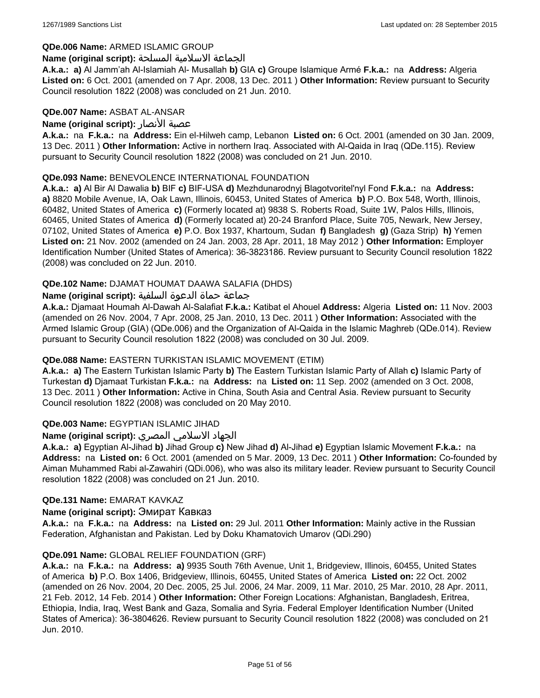### **QDe.006 Name:** ARMED ISLAMIC GROUP

#### الجماعة الاسلامية المسلحة **:(script original (Name**

**A.k.a.: a)** Al Jamm'ah Al-Islamiah Al- Musallah **b)** GIA **c)** Groupe Islamique Armé **F.k.a.:** na **Address:** Algeria **Listed on:** 6 Oct. 2001 (amended on 7 Apr. 2008, 13 Dec. 2011 ) **Other Information:** Review pursuant to Security Council resolution 1822 (2008) was concluded on 21 Jun. 2010.

### **QDe.007 Name:** ASBAT AL-ANSAR

### **Name (original script):** الأنصار عصبة

**A.k.a.:** na **F.k.a.:** na **Address:** Ein el-Hilweh camp, Lebanon **Listed on:** 6 Oct. 2001 (amended on 30 Jan. 2009, 13 Dec. 2011 ) **Other Information:** Active in northern Iraq. Associated with Al-Qaida in Iraq (QDe.115). Review pursuant to Security Council resolution 1822 (2008) was concluded on 21 Jun. 2010.

# **QDe.093 Name:** BENEVOLENCE INTERNATIONAL FOUNDATION

**A.k.a.: a)** Al Bir Al Dawalia **b)** BIF **c)** BIF-USA **d)** Mezhdunarodnyj Blagotvoritel'nyl Fond **F.k.a.:** na **Address: a)** 8820 Mobile Avenue, IA, Oak Lawn, Illinois, 60453, United States of America **b)** P.O. Box 548, Worth, Illinois, 60482, United States of America **c)** (Formerly located at) 9838 S. Roberts Road, Suite 1W, Palos Hills, Illinois, 60465, United States of America **d)** (Formerly located at) 20-24 Branford Place, Suite 705, Newark, New Jersey, 07102, United States of America **e)** P.O. Box 1937, Khartoum, Sudan **f)** Bangladesh **g)** (Gaza Strip) **h)** Yemen **Listed on:** 21 Nov. 2002 (amended on 24 Jan. 2003, 28 Apr. 2011, 18 May 2012 ) **Other Information:** Employer Identification Number (United States of America): 36-3823186. Review pursuant to Security Council resolution 1822 (2008) was concluded on 22 Jun. 2010.

# **QDe.102 Name:** DJAMAT HOUMAT DAAWA SALAFIA (DHDS)

### جماعة حماة الدعوة السلفية **:(script original (Name**

**A.k.a.:** Djamaat Houmah Al-Dawah Al-Salafiat **F.k.a.:** Katibat el Ahouel **Address:** Algeria **Listed on:** 11 Nov. 2003 (amended on 26 Nov. 2004, 7 Apr. 2008, 25 Jan. 2010, 13 Dec. 2011 ) **Other Information:** Associated with the Armed Islamic Group (GIA) (QDe.006) and the Organization of Al-Qaida in the Islamic Maghreb (QDe.014). Review pursuant to Security Council resolution 1822 (2008) was concluded on 30 Jul. 2009.

# **QDe.088 Name:** EASTERN TURKISTAN ISLAMIC MOVEMENT (ETIM)

**A.k.a.: a)** The Eastern Turkistan Islamic Party **b)** The Eastern Turkistan Islamic Party of Allah **c)** Islamic Party of Turkestan **d)** Djamaat Turkistan **F.k.a.:** na **Address:** na **Listed on:** 11 Sep. 2002 (amended on 3 Oct. 2008, 13 Dec. 2011 ) **Other Information:** Active in China, South Asia and Central Asia. Review pursuant to Security Council resolution 1822 (2008) was concluded on 20 May 2010.

# **QDe.003 Name:** EGYPTIAN ISLAMIC JIHAD

# الجهاد الاسلامي المصري **:(script original (Name**

**A.k.a.: a)** Egyptian Al-Jihad **b)** Jihad Group **c)** New Jihad **d)** Al-Jihad **e)** Egyptian Islamic Movement **F.k.a.:** na **Address:** na **Listed on:** 6 Oct. 2001 (amended on 5 Mar. 2009, 13 Dec. 2011 ) **Other Information:** Co-founded by Aiman Muhammed Rabi al-Zawahiri (QDi.006), who was also its military leader. Review pursuant to Security Council resolution 1822 (2008) was concluded on 21 Jun. 2010.

#### **QDe.131 Name:** EMARAT KAVKAZ

#### **Name (original script):** Эмират Кавказ

**A.k.a.:** na **F.k.a.:** na **Address:** na **Listed on:** 29 Jul. 2011 **Other Information:** Mainly active in the Russian Federation, Afghanistan and Pakistan. Led by Doku Khamatovich Umarov (QDi.290)

#### **QDe.091 Name:** GLOBAL RELIEF FOUNDATION (GRF)

**A.k.a.:** na **F.k.a.:** na **Address: a)** 9935 South 76th Avenue, Unit 1, Bridgeview, Illinois, 60455, United States of America **b)** P.O. Box 1406, Bridgeview, Illinois, 60455, United States of America **Listed on:** 22 Oct. 2002 (amended on 26 Nov. 2004, 20 Dec. 2005, 25 Jul. 2006, 24 Mar. 2009, 11 Mar. 2010, 25 Mar. 2010, 28 Apr. 2011, 21 Feb. 2012, 14 Feb. 2014 ) **Other Information:** Other Foreign Locations: Afghanistan, Bangladesh, Eritrea, Ethiopia, India, Iraq, West Bank and Gaza, Somalia and Syria. Federal Employer Identification Number (United States of America): 36-3804626. Review pursuant to Security Council resolution 1822 (2008) was concluded on 21 Jun. 2010.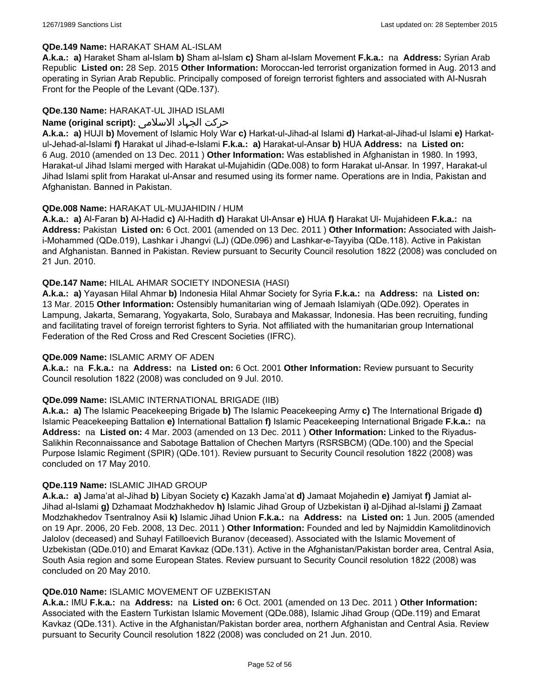# **QDe.149 Name:** HARAKAT SHAM AL-ISLAM

**A.k.a.: a)** Haraket Sham al-Islam **b)** Sham al-Islam **c)** Sham al-Islam Movement **F.k.a.:** na **Address:** Syrian Arab Republic **Listed on:** 28 Sep. 2015 **Other Information:** Moroccan-led terrorist organization formed in Aug. 2013 and operating in Syrian Arab Republic. Principally composed of foreign terrorist fighters and associated with AI-Nusrah Front for the People of the Levant (QDe.137).

### **QDe.130 Name:** HARAKAT-UL JIHAD ISLAMI

### حرکت الجہاد الاسلامی **:(script original (Name**

**A.k.a.: a)** HUJI **b)** Movement of Islamic Holy War **c)** Harkat-ul-Jihad-al Islami **d)** Harkat-al-Jihad-ul Islami **e)** Harkatul-Jehad-al-Islami **f)** Harakat ul Jihad-e-Islami **F.k.a.: a)** Harakat-ul-Ansar **b)** HUA **Address:** na **Listed on:** 6 Aug. 2010 (amended on 13 Dec. 2011 ) **Other Information:** Was established in Afghanistan in 1980. In 1993, Harakat-ul Jihad Islami merged with Harakat ul-Mujahidin (QDe.008) to form Harakat ul-Ansar. In 1997, Harakat-ul Jihad Islami split from Harakat ul-Ansar and resumed using its former name. Operations are in India, Pakistan and Afghanistan. Banned in Pakistan.

### **QDe.008 Name:** HARAKAT UL-MUJAHIDIN / HUM

**A.k.a.: a)** Al-Faran **b)** Al-Hadid **c)** Al-Hadith **d)** Harakat Ul-Ansar **e)** HUA **f)** Harakat Ul- Mujahideen **F.k.a.:** na **Address:** Pakistan **Listed on:** 6 Oct. 2001 (amended on 13 Dec. 2011 ) **Other Information:** Associated with Jaishi-Mohammed (QDe.019), Lashkar i Jhangvi (LJ) (QDe.096) and Lashkar-e-Tayyiba (QDe.118). Active in Pakistan and Afghanistan. Banned in Pakistan. Review pursuant to Security Council resolution 1822 (2008) was concluded on 21 Jun. 2010.

### **QDe.147 Name:** HILAL AHMAR SOCIETY INDONESIA (HASI)

**A.k.a.: a)** Yayasan Hilal Ahmar **b)** Indonesia Hilal Ahmar Society for Syria **F.k.a.:** na **Address:** na **Listed on:** 13 Mar. 2015 **Other Information:** Ostensibly humanitarian wing of Jemaah Islamiyah (QDe.092). Operates in Lampung, Jakarta, Semarang, Yogyakarta, Solo, Surabaya and Makassar, Indonesia. Has been recruiting, funding and facilitating travel of foreign terrorist fighters to Syria. Not affiliated with the humanitarian group International Federation of the Red Cross and Red Crescent Societies (IFRC).

#### **QDe.009 Name:** ISLAMIC ARMY OF ADEN

**A.k.a.:** na **F.k.a.:** na **Address:** na **Listed on:** 6 Oct. 2001 **Other Information:** Review pursuant to Security Council resolution 1822 (2008) was concluded on 9 Jul. 2010.

#### **QDe.099 Name:** ISLAMIC INTERNATIONAL BRIGADE (IIB)

**A.k.a.: a)** The Islamic Peacekeeping Brigade **b)** The Islamic Peacekeeping Army **c)** The International Brigade **d)** Islamic Peacekeeping Battalion **e)** International Battalion **f)** Islamic Peacekeeping International Brigade **F.k.a.:** na **Address:** na **Listed on:** 4 Mar. 2003 (amended on 13 Dec. 2011 ) **Other Information:** Linked to the Riyadus-Salikhin Reconnaissance and Sabotage Battalion of Chechen Martyrs (RSRSBCM) (QDe.100) and the Special Purpose Islamic Regiment (SPIR) (QDe.101). Review pursuant to Security Council resolution 1822 (2008) was concluded on 17 May 2010.

#### **QDe.119 Name:** ISLAMIC JIHAD GROUP

**A.k.a.: a)** Jama'at al-Jihad **b)** Libyan Society **c)** Kazakh Jama'at **d)** Jamaat Mojahedin **e)** Jamiyat **f)** Jamiat al-Jihad al-Islami **g)** Dzhamaat Modzhakhedov **h)** Islamic Jihad Group of Uzbekistan **i)** al-Djihad al-Islami **j)** Zamaat Modzhakhedov Tsentralnoy Asii **k)** Islamic Jihad Union **F.k.a.:** na **Address:** na **Listed on:** 1 Jun. 2005 (amended on 19 Apr. 2006, 20 Feb. 2008, 13 Dec. 2011 ) **Other Information:** Founded and led by Najmiddin Kamolitdinovich Jalolov (deceased) and Suhayl Fatilloevich Buranov (deceased). Associated with the Islamic Movement of Uzbekistan (QDe.010) and Emarat Kavkaz (QDe.131). Active in the Afghanistan/Pakistan border area, Central Asia, South Asia region and some European States. Review pursuant to Security Council resolution 1822 (2008) was concluded on 20 May 2010.

#### **QDe.010 Name:** ISLAMIC MOVEMENT OF UZBEKISTAN

**A.k.a.:** IMU **F.k.a.:** na **Address:** na **Listed on:** 6 Oct. 2001 (amended on 13 Dec. 2011 ) **Other Information:** Associated with the Eastern Turkistan Islamic Movement (QDe.088), Islamic Jihad Group (QDe.119) and Emarat Kavkaz (QDe.131). Active in the Afghanistan/Pakistan border area, northern Afghanistan and Central Asia. Review pursuant to Security Council resolution 1822 (2008) was concluded on 21 Jun. 2010.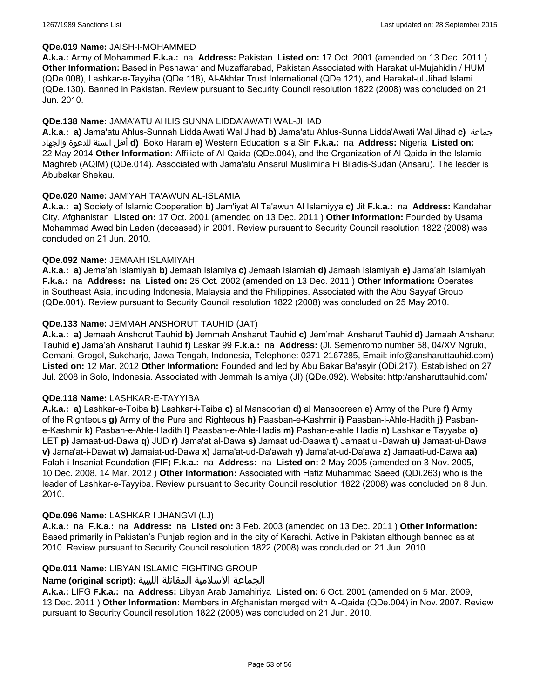### **QDe.019 Name:** JAISH-I-MOHAMMED

**A.k.a.:** Army of Mohammed **F.k.a.:** na **Address:** Pakistan **Listed on:** 17 Oct. 2001 (amended on 13 Dec. 2011 ) **Other Information:** Based in Peshawar and Muzaffarabad, Pakistan Associated with Harakat ul-Mujahidin / HUM (QDe.008), Lashkar-e-Tayyiba (QDe.118), Al-Akhtar Trust International (QDe.121), and Harakat-ul Jihad Islami (QDe.130). Banned in Pakistan. Review pursuant to Security Council resolution 1822 (2008) was concluded on 21 Jun. 2010.

### **QDe.138 Name:** JAMA'ATU AHLIS SUNNA LIDDA'AWATI WAL-JIHAD

**A.k.a.: a)** Jama'atu Ahlus-Sunnah Lidda'Awati Wal Jihad **b)** Jama'atu Ahlus-Sunna Lidda'Awati Wal Jihad **c)** جماعة والجهاد للدعوة السنة أهل **d)** Boko Haram **e)** Western Education is a Sin **F.k.a.:** na **Address:** Nigeria **Listed on:** 22 May 2014 **Other Information:** Affiliate of Al-Qaida (QDe.004), and the Organization of Al-Qaida in the Islamic Maghreb (AQIM) (QDe.014). Associated with Jama'atu Ansarul Muslimina Fi Biladis-Sudan (Ansaru). The leader is Abubakar Shekau.

### **QDe.020 Name:** JAM'YAH TA'AWUN AL-ISLAMIA

**A.k.a.: a)** Society of Islamic Cooperation **b)** Jam'iyat Al Ta'awun Al Islamiyya **c)** Jit **F.k.a.:** na **Address:** Kandahar City, Afghanistan **Listed on:** 17 Oct. 2001 (amended on 13 Dec. 2011 ) **Other Information:** Founded by Usama Mohammad Awad bin Laden (deceased) in 2001. Review pursuant to Security Council resolution 1822 (2008) was concluded on 21 Jun. 2010.

### **QDe.092 Name:** JEMAAH ISLAMIYAH

**A.k.a.: a)** Jema'ah Islamiyah **b)** Jemaah Islamiya **c)** Jemaah Islamiah **d)** Jamaah Islamiyah **e)** Jama'ah Islamiyah **F.k.a.:** na **Address:** na **Listed on:** 25 Oct. 2002 (amended on 13 Dec. 2011 ) **Other Information:** Operates in Southeast Asia, including Indonesia, Malaysia and the Philippines. Associated with the Abu Sayyaf Group (QDe.001). Review pursuant to Security Council resolution 1822 (2008) was concluded on 25 May 2010.

### **QDe.133 Name:** JEMMAH ANSHORUT TAUHID (JAT)

**A.k.a.: a)** Jemaah Anshorut Tauhid **b)** Jemmah Ansharut Tauhid **c)** Jem'mah Ansharut Tauhid **d)** Jamaah Ansharut Tauhid **e)** Jama'ah Ansharut Tauhid **f)** Laskar 99 **F.k.a.:** na **Address:** (Jl. Semenromo number 58, 04/XV Ngruki, Cemani, Grogol, Sukoharjo, Jawa Tengah, Indonesia, Telephone: 0271-2167285, Email: info@ansharuttauhid.com) **Listed on:** 12 Mar. 2012 **Other Information:** Founded and led by Abu Bakar Ba'asyir (QDi.217). Established on 27 Jul. 2008 in Solo, Indonesia. Associated with Jemmah Islamiya (JI) (QDe.092). Website: http:/ansharuttauhid.com/

#### **QDe.118 Name:** LASHKAR-E-TAYYIBA

**A.k.a.: a)** Lashkar-e-Toiba **b)** Lashkar-i-Taiba **c)** al Mansoorian **d)** al Mansooreen **e)** Army of the Pure **f)** Army of the Righteous **g)** Army of the Pure and Righteous **h)** Paasban-e-Kashmir **i)** Paasban-i-Ahle-Hadith **j)** Pasbane-Kashmir **k)** Pasban-e-Ahle-Hadith **l)** Paasban-e-Ahle-Hadis **m)** Pashan-e-ahle Hadis **n)** Lashkar e Tayyaba **o)** LET **p)** Jamaat-ud-Dawa **q)** JUD **r)** Jama'at al-Dawa **s)** Jamaat ud-Daawa **t)** Jamaat ul-Dawah **u)** Jamaat-ul-Dawa **v)** Jama'at-i-Dawat **w)** Jamaiat-ud-Dawa **x)** Jama'at-ud-Da'awah **y)** Jama'at-ud-Da'awa **z)** Jamaati-ud-Dawa **aa)** Falah-i-Insaniat Foundation (FIF) **F.k.a.:** na **Address:** na **Listed on:** 2 May 2005 (amended on 3 Nov. 2005, 10 Dec. 2008, 14 Mar. 2012 ) **Other Information:** Associated with Hafiz Muhammad Saeed (QDi.263) who is the leader of Lashkar-e-Tayyiba. Review pursuant to Security Council resolution 1822 (2008) was concluded on 8 Jun. 2010.

#### **QDe.096 Name:** LASHKAR I JHANGVI (LJ)

**A.k.a.:** na **F.k.a.:** na **Address:** na **Listed on:** 3 Feb. 2003 (amended on 13 Dec. 2011 ) **Other Information:** Based primarily in Pakistan's Punjab region and in the city of Karachi. Active in Pakistan although banned as at 2010. Review pursuant to Security Council resolution 1822 (2008) was concluded on 21 Jun. 2010.

# **QDe.011 Name:** LIBYAN ISLAMIC FIGHTING GROUP

# الجماعة الاسلامية المقاتلة الليبية **:(script original (Name**

**A.k.a.:** LIFG **F.k.a.:** na **Address:** Libyan Arab Jamahiriya **Listed on:** 6 Oct. 2001 (amended on 5 Mar. 2009, 13 Dec. 2011 ) **Other Information:** Members in Afghanistan merged with Al-Qaida (QDe.004) in Nov. 2007. Review pursuant to Security Council resolution 1822 (2008) was concluded on 21 Jun. 2010.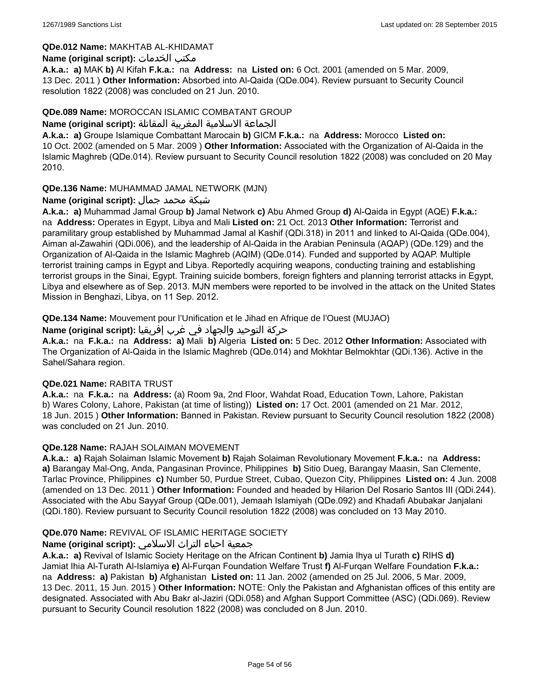# **QDe.012 Name:** MAKHTAB AL-KHIDAMAT

### **Name (original script):** الخدمات مكتب

**A.k.a.: a)** MAK **b)** Al Kifah **F.k.a.:** na **Address:** na **Listed on:** 6 Oct. 2001 (amended on 5 Mar. 2009, 13 Dec. 2011 ) **Other Information:** Absorbed into Al-Qaida (QDe.004). Review pursuant to Security Council resolution 1822 (2008) was concluded on 21 Jun. 2010.

### **QDe.089 Name:** MOROCCAN ISLAMIC COMBATANT GROUP

### الجماعة الاسلامية المغربية المقاتلة **:(script original (Name**

**A.k.a.: a)** Groupe Islamique Combattant Marocain **b)** GICM **F.k.a.:** na **Address:** Morocco **Listed on:** 10 Oct. 2002 (amended on 5 Mar. 2009 ) **Other Information:** Associated with the Organization of Al-Qaida in the Islamic Maghreb (QDe.014). Review pursuant to Security Council resolution 1822 (2008) was concluded on 20 May 2010.

# **QDe.136 Name:** MUHAMMAD JAMAL NETWORK (MJN)

# شبكة محمد جمال **:(script original (Name**

**A.k.a.: a)** Muhammad Jamal Group **b)** Jamal Network **c)** Abu Ahmed Group **d)** Al-Qaida in Egypt (AQE) **F.k.a.:**  na **Address:** Operates in Egypt, Libya and Mali **Listed on:** 21 Oct. 2013 **Other Information:** Terrorist and paramilitary group established by Muhammad Jamal al Kashif (QDi.318) in 2011 and linked to Al-Qaida (QDe.004), Aiman al-Zawahiri (QDi.006), and the leadership of Al-Qaida in the Arabian Peninsula (AQAP) (QDe.129) and the Organization of Al-Qaida in the Islamic Maghreb (AQIM) (QDe.014). Funded and supported by AQAP. Multiple terrorist training camps in Egypt and Libya. Reportedly acquiring weapons, conducting training and establishing terrorist groups in the Sinai, Egypt. Training suicide bombers, foreign fighters and planning terrorist attacks in Egypt, Libya and elsewhere as of Sep. 2013. MJN members were reported to be involved in the attack on the United States Mission in Benghazi, Libya, on 11 Sep. 2012.

**QDe.134 Name:** Mouvement pour l'Unification et le Jihad en Afrique de l'Ouest (MUJAO)

حركة التوحيد والجهاد في غرب إفريقيا **:Name (original script)** 

**A.k.a.:** na **F.k.a.:** na **Address: a)** Mali **b)** Algeria **Listed on:** 5 Dec. 2012 **Other Information:** Associated with The Organization of Al-Qaida in the Islamic Maghreb (QDe.014) and Mokhtar Belmokhtar (QDi.136). Active in the Sahel/Sahara region.

# **QDe.021 Name:** RABITA TRUST

**A.k.a.:** na **F.k.a.:** na **Address:** (a) Room 9a, 2nd Floor, Wahdat Road, Education Town, Lahore, Pakistan b) Wares Colony, Lahore, Pakistan (at time of listing)) **Listed on:** 17 Oct. 2001 (amended on 21 Mar. 2012, 18 Jun. 2015 ) **Other Information:** Banned in Pakistan. Review pursuant to Security Council resolution 1822 (2008) was concluded on 21 Jun. 2010.

# **QDe.128 Name:** RAJAH SOLAIMAN MOVEMENT

**A.k.a.: a)** Rajah Solaiman Islamic Movement **b)** Rajah Solaiman Revolutionary Movement **F.k.a.:** na **Address: a)** Barangay Mal-Ong, Anda, Pangasinan Province, Philippines **b)** Sitio Dueg, Barangay Maasin, San Clemente, Tarlac Province, Philippines **c)** Number 50, Purdue Street, Cubao, Quezon City, Philippines **Listed on:** 4 Jun. 2008 (amended on 13 Dec. 2011 ) **Other Information:** Founded and headed by Hilarion Del Rosario Santos III (QDi.244). Associated with the Abu Sayyaf Group (QDe.001), Jemaah Islamiyah (QDe.092) and Khadafi Abubakar Janjalani (QDi.180). Review pursuant to Security Council resolution 1822 (2008) was concluded on 13 May 2010.

# **QDe.070 Name:** REVIVAL OF ISLAMIC HERITAGE SOCIETY

# جمعية احياء التراث الاسلامي **:(script original (Name**

**A.k.a.: a)** Revival of Islamic Society Heritage on the African Continent **b)** Jamia Ihya ul Turath **c)** RIHS **d)** Jamiat Ihia Al-Turath Al-Islamiya **e)** Al-Furqan Foundation Welfare Trust **f)** Al-Furqan Welfare Foundation **F.k.a.:**  na **Address: a)** Pakistan **b)** Afghanistan **Listed on:** 11 Jan. 2002 (amended on 25 Jul. 2006, 5 Mar. 2009, 13 Dec. 2011, 15 Jun. 2015 ) **Other Information:** NOTE: Only the Pakistan and Afghanistan offices of this entity are designated. Associated with Abu Bakr al-Jaziri (QDi.058) and Afghan Support Committee (ASC) (QDi.069). Review pursuant to Security Council resolution 1822 (2008) was concluded on 8 Jun. 2010.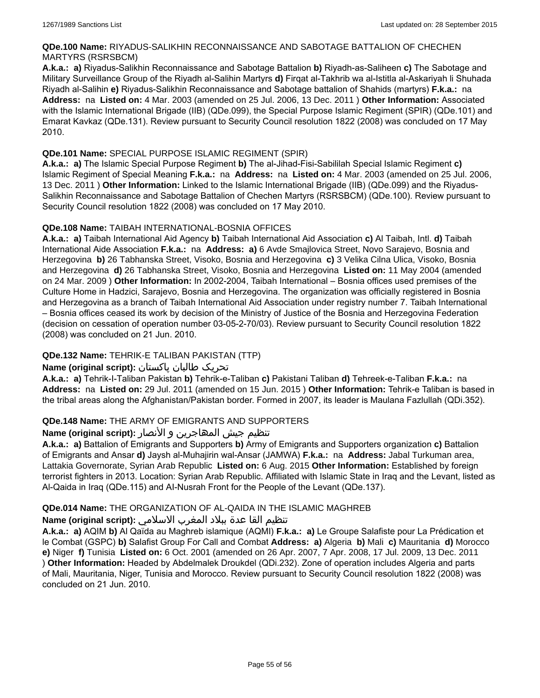### **QDe.100 Name:** RIYADUS-SALIKHIN RECONNAISSANCE AND SABOTAGE BATTALION OF CHECHEN MARTYRS (RSRSBCM)

**A.k.a.: a)** Riyadus-Salikhin Reconnaissance and Sabotage Battalion **b)** Riyadh-as-Saliheen **c)** The Sabotage and Military Surveillance Group of the Riyadh al-Salihin Martyrs **d)** Firqat al-Takhrib wa al-Istitla al-Askariyah li Shuhada Riyadh al-Salihin **e)** Riyadus-Salikhin Reconnaissance and Sabotage battalion of Shahids (martyrs) **F.k.a.:** na **Address:** na **Listed on:** 4 Mar. 2003 (amended on 25 Jul. 2006, 13 Dec. 2011 ) **Other Information:** Associated with the Islamic International Brigade (IIB) (QDe.099), the Special Purpose Islamic Regiment (SPIR) (QDe.101) and Emarat Kavkaz (QDe.131). Review pursuant to Security Council resolution 1822 (2008) was concluded on 17 May 2010.

# **QDe.101 Name:** SPECIAL PURPOSE ISLAMIC REGIMENT (SPIR)

**A.k.a.: a)** The Islamic Special Purpose Regiment **b)** The al-Jihad-Fisi-Sabililah Special Islamic Regiment **c)** Islamic Regiment of Special Meaning **F.k.a.:** na **Address:** na **Listed on:** 4 Mar. 2003 (amended on 25 Jul. 2006, 13 Dec. 2011 ) **Other Information:** Linked to the Islamic International Brigade (IIB) (QDe.099) and the Riyadus-Salikhin Reconnaissance and Sabotage Battalion of Chechen Martyrs (RSRSBCM) (QDe.100). Review pursuant to Security Council resolution 1822 (2008) was concluded on 17 May 2010.

# **QDe.108 Name:** TAIBAH INTERNATIONAL-BOSNIA OFFICES

**A.k.a.: a)** Taibah International Aid Agency **b)** Taibah International Aid Association **c)** Al Taibah, Intl. **d)** Taibah International Aide Association **F.k.a.:** na **Address: a)** 6 Avde Smajlovica Street, Novo Sarajevo, Bosnia and Herzegovina **b)** 26 Tabhanska Street, Visoko, Bosnia and Herzegovina **c)** 3 Velika Cilna Ulica, Visoko, Bosnia and Herzegovina **d)** 26 Tabhanska Street, Visoko, Bosnia and Herzegovina **Listed on:** 11 May 2004 (amended on 24 Mar. 2009 ) **Other Information:** In 2002-2004, Taibah International – Bosnia offices used premises of the Culture Home in Hadzici, Sarajevo, Bosnia and Herzegovina. The organization was officially registered in Bosnia and Herzegovina as a branch of Taibah International Aid Association under registry number 7. Taibah International – Bosnia offices ceased its work by decision of the Ministry of Justice of the Bosnia and Herzegovina Federation (decision on cessation of operation number 03-05-2-70/03). Review pursuant to Security Council resolution 1822 (2008) was concluded on 21 Jun. 2010.

# **QDe.132 Name:** TEHRIK-E TALIBAN PAKISTAN (TTP)

# تحریک طالبان پاکستان **:(script original (Name**

**A.k.a.: a)** Tehrik-I-Taliban Pakistan **b)** Tehrik-e-Taliban **c)** Pakistani Taliban **d)** Tehreek-e-Taliban **F.k.a.:** na **Address:** na **Listed on:** 29 Jul. 2011 (amended on 15 Jun. 2015 ) **Other Information:** Tehrik-e Taliban is based in the tribal areas along the Afghanistan/Pakistan border. Formed in 2007, its leader is Maulana Fazlullah (QDi.352).

# **QDe.148 Name:** THE ARMY OF EMIGRANTS AND SUPPORTERS

# تنظیم جیش المھاجرین و الأنصار :**Name (original script)**

**A.k.a.: a)** Battalion of Emigrants and Supporters **b)** Army of Emigrants and Supporters organization **c)** Battalion of Emigrants and Ansar **d)** Jaysh al-Muhajirin wal-Ansar (JAMWA) **F.k.a.:** na **Address:** Jabal Turkuman area, Lattakia Governorate, Syrian Arab Republic **Listed on:** 6 Aug. 2015 **Other Information:** Established by foreign terrorist fighters in 2013. Location: Syrian Arab Republic. Affiliated with Islamic State in Iraq and the Levant, listed as Al-Qaida in Iraq (QDe.115) and AI-Nusrah Front for the People of the Levant (QDe.137).

# **QDe.014 Name:** THE ORGANIZATION OF AL-QAIDA IN THE ISLAMIC MAGHREB

# تنظيم القا عدة ببلاد المغرب الاسلامي **:(script original (Name**

**A.k.a.: a)** AQIM **b)** Al Qaïda au Maghreb islamique (AQMI) **F.k.a.: a)** Le Groupe Salafiste pour La Prédication et le Combat (GSPC) **b)** Salafist Group For Call and Combat **Address: a)** Algeria **b)** Mali **c)** Mauritania **d)** Morocco **e)** Niger **f)** Tunisia **Listed on:** 6 Oct. 2001 (amended on 26 Apr. 2007, 7 Apr. 2008, 17 Jul. 2009, 13 Dec. 2011 ) **Other Information:** Headed by Abdelmalek Droukdel (QDi.232). Zone of operation includes Algeria and parts of Mali, Mauritania, Niger, Tunisia and Morocco. Review pursuant to Security Council resolution 1822 (2008) was concluded on 21 Jun. 2010.